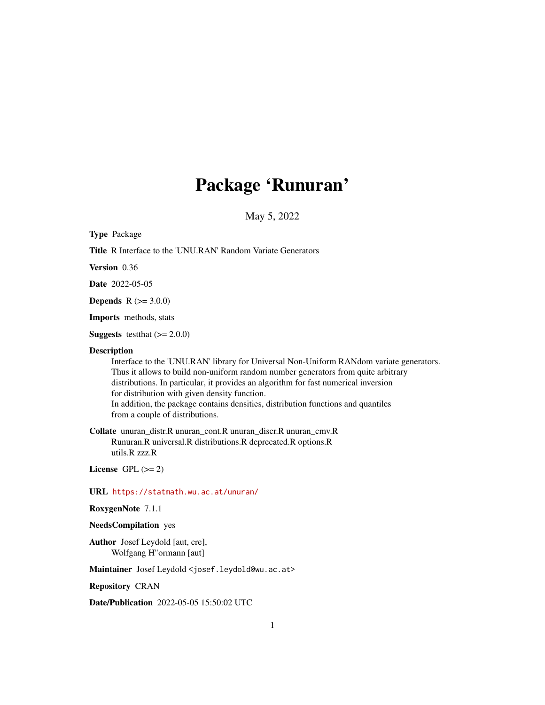# Package 'Runuran'

May 5, 2022

<span id="page-0-0"></span>

| <b>Type Package</b>                                                                                                                                                                                                                                                                                                                                                                                                                                                |
|--------------------------------------------------------------------------------------------------------------------------------------------------------------------------------------------------------------------------------------------------------------------------------------------------------------------------------------------------------------------------------------------------------------------------------------------------------------------|
| <b>Title R</b> Interface to the 'UNU.RAN' Random Variate Generators                                                                                                                                                                                                                                                                                                                                                                                                |
| Version 0.36                                                                                                                                                                                                                                                                                                                                                                                                                                                       |
| <b>Date</b> 2022-05-05                                                                                                                                                                                                                                                                                                                                                                                                                                             |
| <b>Depends</b> $R (= 3.0.0)$                                                                                                                                                                                                                                                                                                                                                                                                                                       |
| <b>Imports</b> methods, stats                                                                                                                                                                                                                                                                                                                                                                                                                                      |
| <b>Suggests</b> test that $(>= 2.0.0)$                                                                                                                                                                                                                                                                                                                                                                                                                             |
| <b>Description</b><br>Interface to the 'UNU.RAN' library for Universal Non-Uniform RANdom variate generators.<br>Thus it allows to build non-uniform random number generators from quite arbitrary<br>distributions. In particular, it provides an algorithm for fast numerical inversion<br>for distribution with given density function.<br>In addition, the package contains densities, distribution functions and quantiles<br>from a couple of distributions. |
| <b>Collate</b> unuran_distr.R unuran_cont.R unuran_discr.R unuran_cmv.R<br>Runuran.R universal.R distributions.R deprecated.R options.R<br>utils.R zzz.R                                                                                                                                                                                                                                                                                                           |
| License GPL $(>= 2)$                                                                                                                                                                                                                                                                                                                                                                                                                                               |
| URL https://statmath.wu.ac.at/unuran/                                                                                                                                                                                                                                                                                                                                                                                                                              |
| RoxygenNote 7.1.1                                                                                                                                                                                                                                                                                                                                                                                                                                                  |
| <b>NeedsCompilation</b> yes                                                                                                                                                                                                                                                                                                                                                                                                                                        |
| Author Josef Leydold [aut, cre],<br>Wolfgang H"ormann [aut]                                                                                                                                                                                                                                                                                                                                                                                                        |
|                                                                                                                                                                                                                                                                                                                                                                                                                                                                    |

Maintainer Josef Leydold < josef.leydold@wu.ac.at>

Repository CRAN

Date/Publication 2022-05-05 15:50:02 UTC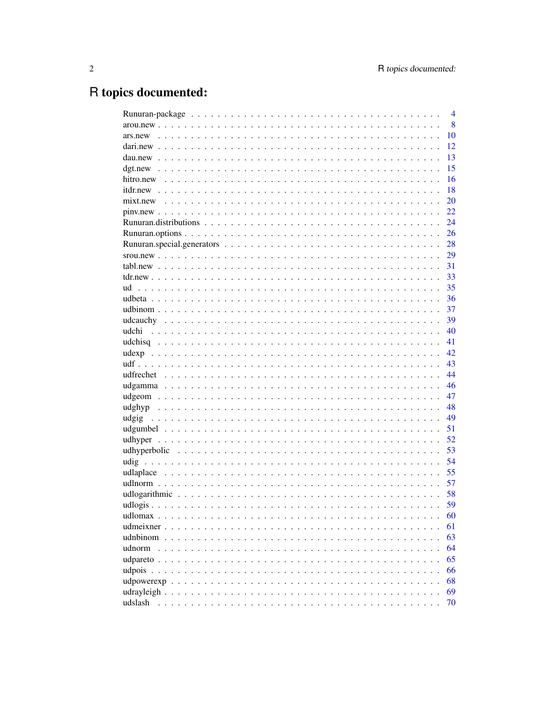# R topics documented:

| $\overline{4}$                                                                                                      |
|---------------------------------------------------------------------------------------------------------------------|
| 8                                                                                                                   |
| 10                                                                                                                  |
| 12                                                                                                                  |
| 13                                                                                                                  |
| 15                                                                                                                  |
| 16                                                                                                                  |
| 18                                                                                                                  |
| 20                                                                                                                  |
| 22                                                                                                                  |
| 24                                                                                                                  |
| 26                                                                                                                  |
| 28                                                                                                                  |
| 29                                                                                                                  |
| 31                                                                                                                  |
| 33                                                                                                                  |
| 35<br>ud                                                                                                            |
| 36                                                                                                                  |
| 37                                                                                                                  |
| 39                                                                                                                  |
| 40<br>udchi                                                                                                         |
| 41                                                                                                                  |
| 42.                                                                                                                 |
| 43                                                                                                                  |
| 44                                                                                                                  |
| 46                                                                                                                  |
| 47                                                                                                                  |
| 48                                                                                                                  |
| 49                                                                                                                  |
| 51                                                                                                                  |
| 52                                                                                                                  |
| 53                                                                                                                  |
| 54                                                                                                                  |
| 55                                                                                                                  |
| 57                                                                                                                  |
| 58                                                                                                                  |
| 59                                                                                                                  |
| 60                                                                                                                  |
| udmeixner<br>61<br>$\ddot{\phantom{1}}$<br>$\mathbf{r}$ , $\mathbf{r}$ , $\mathbf{r}$ , $\mathbf{r}$ , $\mathbf{r}$ |
| 63                                                                                                                  |
| 64<br>udnorm                                                                                                        |
| 65                                                                                                                  |
| 66                                                                                                                  |
| 68                                                                                                                  |
| 69                                                                                                                  |
| udslash<br>70                                                                                                       |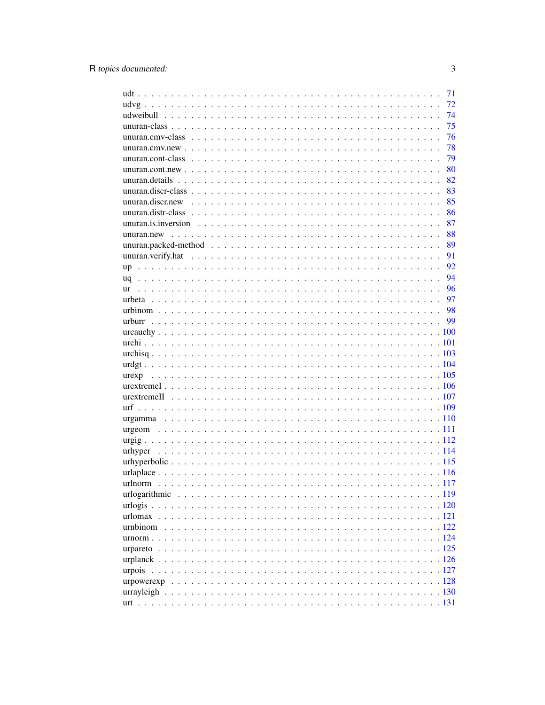|         | 71 |
|---------|----|
|         | 72 |
|         | 74 |
|         | 75 |
|         | 76 |
|         | 78 |
|         | 79 |
|         | 80 |
|         | 82 |
|         | 83 |
|         | 85 |
|         | 86 |
|         | 87 |
|         | 88 |
|         | 89 |
|         | 91 |
|         | 92 |
|         | 94 |
|         | 96 |
|         |    |
|         |    |
|         | 99 |
|         |    |
|         |    |
|         |    |
|         |    |
|         |    |
|         |    |
|         |    |
|         |    |
|         |    |
|         |    |
|         |    |
| urhyper |    |
|         |    |
|         |    |
|         |    |
|         |    |
|         |    |
|         |    |
|         |    |
|         |    |
|         |    |
|         |    |
|         |    |
|         |    |
|         |    |
|         |    |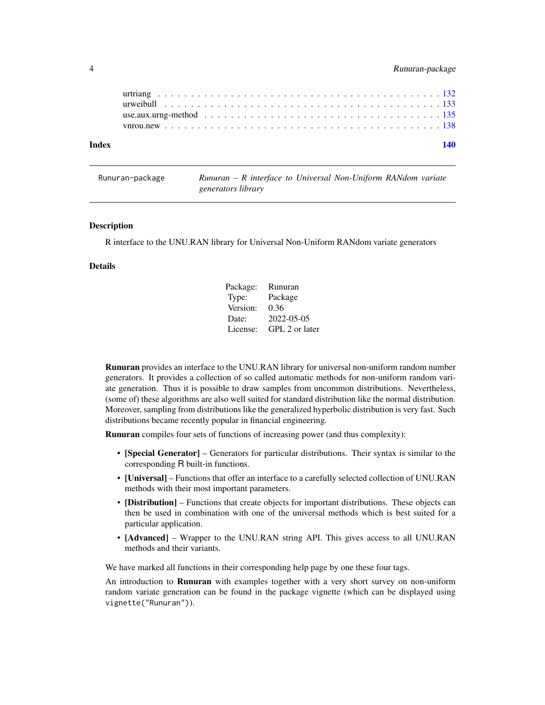<span id="page-3-0"></span>

| Index |  |
|-------|--|
|       |  |
|       |  |
|       |  |
|       |  |

<span id="page-3-1"></span>

| Runuran-package | $Runuran - R$ interface to Universal Non-Uniform RANdom variate |  |
|-----------------|-----------------------------------------------------------------|--|
|                 | generators library                                              |  |

R interface to the UNU.RAN library for Universal Non-Uniform RANdom variate generators

# Details

| Package: | Runuran        |
|----------|----------------|
| Type:    | Package        |
| Version: | 0.36           |
| Date:    | 2022-05-05     |
| License: | GPL 2 or later |

Runuran provides an interface to the UNU.RAN library for universal non-uniform random number generators. It provides a collection of so called automatic methods for non-uniform random variate generation. Thus it is possible to draw samples from uncommon distributions. Nevertheless, (some of) these algorithms are also well suited for standard distribution like the normal distribution. Moreover, sampling from distributions like the generalized hyperbolic distribution is very fast. Such distributions became recently popular in financial engineering.

Runuran compiles four sets of functions of increasing power (and thus complexity):

- [Special Generator] Generators for particular distributions. Their syntax is similar to the corresponding R built-in functions.
- [Universal] Functions that offer an interface to a carefully selected collection of UNU.RAN methods with their most important parameters.
- [Distribution] Functions that create objects for important distributions. These objects can then be used in combination with one of the universal methods which is best suited for a particular application.
- [Advanced] Wrapper to the UNU.RAN string API. This gives access to all UNU.RAN methods and their variants.

We have marked all functions in their corresponding help page by one these four tags.

An introduction to **Runuran** with examples together with a very short survey on non-uniform random variate generation can be found in the package vignette (which can be displayed using vignette("Runuran")).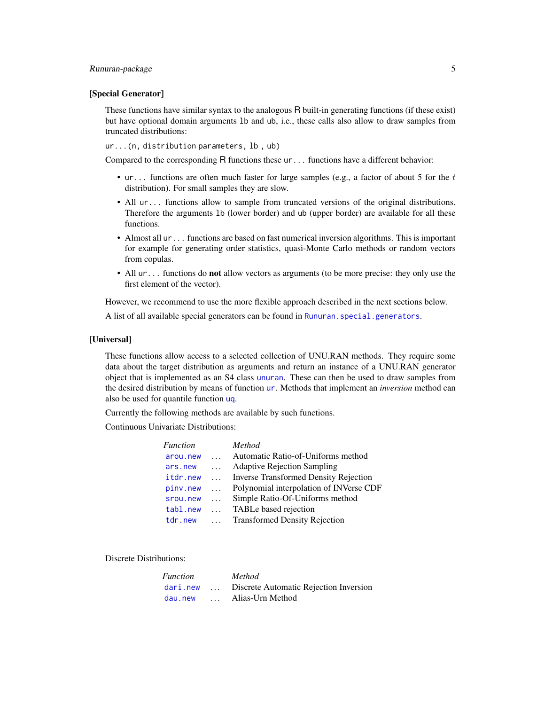# Runuran-package 5

#### [Special Generator]

These functions have similar syntax to the analogous R built-in generating functions (if these exist) but have optional domain arguments lb and ub, i.e., these calls also allow to draw samples from truncated distributions:

ur...(n, distribution parameters, lb , ub)

Compared to the corresponding R functions these ur... functions have a different behavior:

- ur... functions are often much faster for large samples (e.g., a factor of about 5 for the  $t$ distribution). For small samples they are slow.
- All ur... functions allow to sample from truncated versions of the original distributions. Therefore the arguments lb (lower border) and ub (upper border) are available for all these functions.
- Almost all ur... functions are based on fast numerical inversion algorithms. This is important for example for generating order statistics, quasi-Monte Carlo methods or random vectors from copulas.
- All ur... functions do **not** allow vectors as arguments (to be more precise: they only use the first element of the vector).

However, we recommend to use the more flexible approach described in the next sections below.

A list of all available special generators can be found in [Runuran.special.generators](#page-27-1).

#### [Universal]

These functions allow access to a selected collection of UNU.RAN methods. They require some data about the target distribution as arguments and return an instance of a UNU.RAN generator object that is implemented as an S4 class [unuran](#page-74-1). These can then be used to draw samples from the desired distribution by means of function [ur](#page-95-1). Methods that implement an *inversion* method can also be used for quantile function [uq](#page-93-1).

Currently the following methods are available by such functions.

Continuous Univariate Distributions:

| Function |          | <b>Method</b>                                |
|----------|----------|----------------------------------------------|
| arou.new | $\cdots$ | Automatic Ratio-of-Uniforms method           |
| ars.new  | $\cdots$ | <b>Adaptive Rejection Sampling</b>           |
| itdr.new | $\cdots$ | <b>Inverse Transformed Density Rejection</b> |
| pinv.new | $\cdots$ | Polynomial interpolation of INVerse CDF      |
| srou.new | $\cdots$ | Simple Ratio-Of-Uniforms method              |
| tabl.new | $\cdots$ | TABLe based rejection                        |
| tdr.new  | $\cdots$ | <b>Transformed Density Rejection</b>         |

Discrete Distributions:

| <i>Function</i> |               | Method                                 |
|-----------------|---------------|----------------------------------------|
| dari.new        | $\cdot \cdot$ | Discrete Automatic Rejection Inversion |
| day, new        | $\mathbf{1}$  | Alias-Urn Method                       |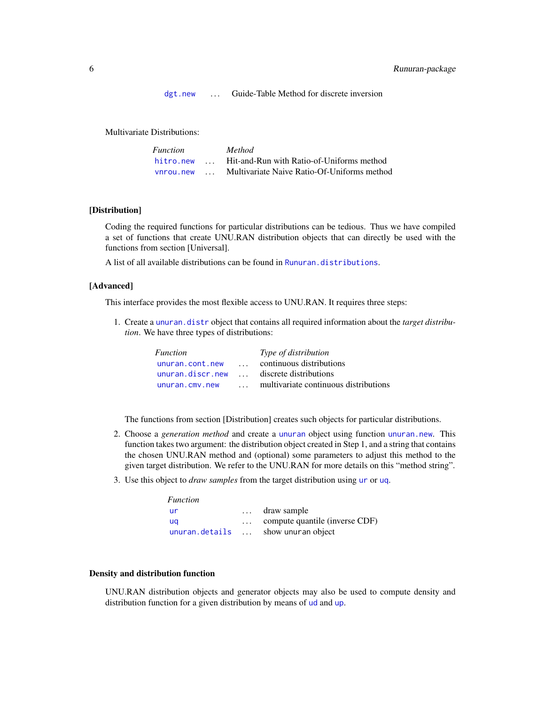[dgt.new](#page-14-1) ... Guide-Table Method for discrete inversion

Multivariate Distributions:

| <i>Function</i> |                      | <i>Method</i>                               |
|-----------------|----------------------|---------------------------------------------|
| hitro.new       | $\mathbf{1}$         | Hit-and-Run with Ratio-of-Uniforms method   |
| vnrou.new       | $\sim$ $\sim$ $\sim$ | Multivariate Naive Ratio-Of-Uniforms method |

# [Distribution]

Coding the required functions for particular distributions can be tedious. Thus we have compiled a set of functions that create UNU.RAN distribution objects that can directly be used with the functions from section [Universal].

A list of all available distributions can be found in [Runuran.distributions](#page-23-1).

#### [Advanced]

This interface provides the most flexible access to UNU.RAN. It requires three steps:

1. Create a [unuran.distr](#page-85-1) object that contains all required information about the *target distribution*. We have three types of distributions:

| <i>Function</i>  |              | Type of distribution                  |
|------------------|--------------|---------------------------------------|
| unuran.cont.new  | $\mathbf{1}$ | continuous distributions              |
| unuran.discr.new | $\mathbf{r}$ | discrete distributions                |
| unuran.cmv.new   |              | multivariate continuous distributions |

The functions from section [Distribution] creates such objects for particular distributions.

- 2. Choose a *generation method* and create a [unuran](#page-74-1) object using function [unuran.new](#page-87-1). This function takes two argument: the distribution object created in Step 1, and a string that contains the chosen UNU.RAN method and (optional) some parameters to adjust this method to the given target distribution. We refer to the UNU.RAN for more details on this "method string".
- 3. Use this object to *draw samples* from the target distribution using [ur](#page-95-1) or [uq](#page-93-1).

| Function       |                                         |
|----------------|-----------------------------------------|
| ur             | $\ldots$ draw sample                    |
| ua             | $\ldots$ compute quantile (inverse CDF) |
| unuran.details | $\ldots$ show unuran object             |

# Density and distribution function

UNU.RAN distribution objects and generator objects may also be used to compute density and distribution function for a given distribution by means of [ud](#page-34-1) and [up](#page-91-1).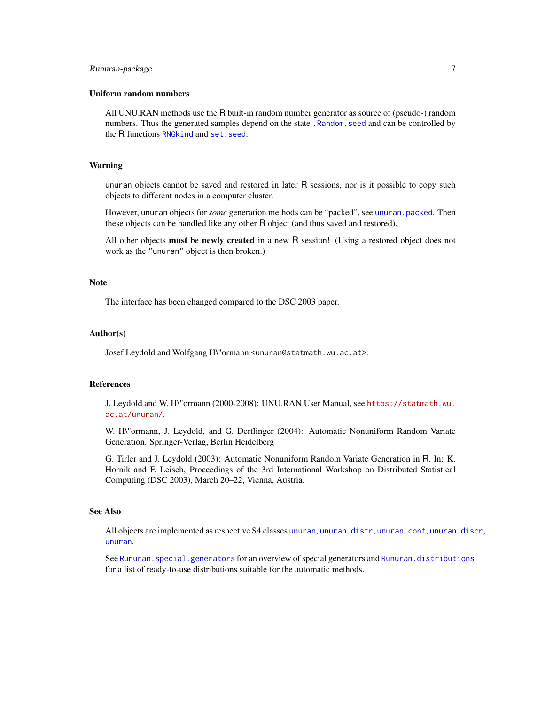# Runuran-package 7

#### Uniform random numbers

All UNU.RAN methods use the R built-in random number generator as source of (pseudo-) random numbers. Thus the generated samples depend on the state . Random, seed and can be controlled by the R functions [RNGkind](#page-0-0) and set. seed.

#### Warning

unuran objects cannot be saved and restored in later R sessions, nor is it possible to copy such objects to different nodes in a computer cluster.

However, unuran objects for *some* generation methods can be "packed", see [unuran.packed](#page-88-1). Then these objects can be handled like any other R object (and thus saved and restored).

All other objects must be newly created in a new R session! (Using a restored object does not work as the "unuran" object is then broken.)

#### **Note**

The interface has been changed compared to the DSC 2003 paper.

#### Author(s)

Josef Leydold and Wolfgang H\"ormann <unuran@statmath.wu.ac.at>.

#### References

J. Leydold and W. H\"ormann (2000-2008): UNU.RAN User Manual, see [https://statmath.wu.](https://statmath.wu.ac.at/unuran/) [ac.at/unuran/](https://statmath.wu.ac.at/unuran/).

W. H\"ormann, J. Leydold, and G. Derflinger (2004): Automatic Nonuniform Random Variate Generation. Springer-Verlag, Berlin Heidelberg

G. Tirler and J. Leydold (2003): Automatic Nonuniform Random Variate Generation in R. In: K. Hornik and F. Leisch, Proceedings of the 3rd International Workshop on Distributed Statistical Computing (DSC 2003), March 20–22, Vienna, Austria.

# See Also

All objects are implemented as respective S4 classes [unuran](#page-74-1), [unuran.distr](#page-85-1), [unuran.cont](#page-78-1), [unuran.discr](#page-82-1), [unuran](#page-74-1).

See Runuran. special.generators for an overview of special generators and [Runuran.distributions](#page-23-1) for a list of ready-to-use distributions suitable for the automatic methods.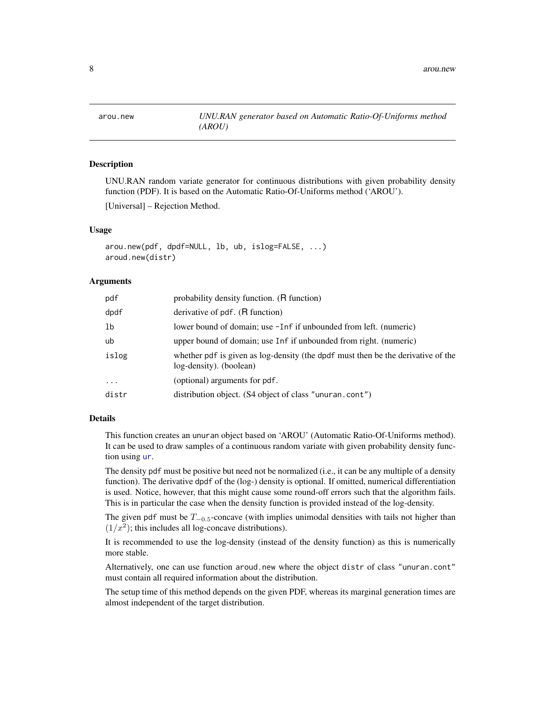<span id="page-7-1"></span><span id="page-7-0"></span>

UNU.RAN random variate generator for continuous distributions with given probability density function (PDF). It is based on the Automatic Ratio-Of-Uniforms method ('AROU').

[Universal] – Rejection Method.

#### Usage

```
arou.new(pdf, dpdf=NULL, lb, ub, islog=FALSE, ...)
aroud.new(distr)
```
#### Arguments

| pdf      | probability density function. (R function)                                                                  |
|----------|-------------------------------------------------------------------------------------------------------------|
| dpdf     | derivative of pdf. (R function)                                                                             |
| 1b       | lower bound of domain; use -Inf if unbounded from left. (numeric)                                           |
| ub       | upper bound of domain; use Inf if unbounded from right. (numeric)                                           |
| islog    | whether pdf is given as log-density (the dpdf must then be the derivative of the<br>log-density). (boolean) |
| $\cdots$ | (optional) arguments for pdf.                                                                               |
| distr    | distribution object. (S4 object of class "unuran.cont")                                                     |

#### Details

This function creates an unuran object based on 'AROU' (Automatic Ratio-Of-Uniforms method). It can be used to draw samples of a continuous random variate with given probability density function using [ur](#page-95-1).

The density pdf must be positive but need not be normalized (i.e., it can be any multiple of a density function). The derivative dpdf of the (log-) density is optional. If omitted, numerical differentiation is used. Notice, however, that this might cause some round-off errors such that the algorithm fails. This is in particular the case when the density function is provided instead of the log-density.

The given pdf must be  $T_{-0.5}$ -concave (with implies unimodal densities with tails not higher than  $(1/x<sup>2</sup>)$ ; this includes all log-concave distributions).

It is recommended to use the log-density (instead of the density function) as this is numerically more stable.

Alternatively, one can use function aroud.new where the object distr of class "unuran.cont" must contain all required information about the distribution.

The setup time of this method depends on the given PDF, whereas its marginal generation times are almost independent of the target distribution.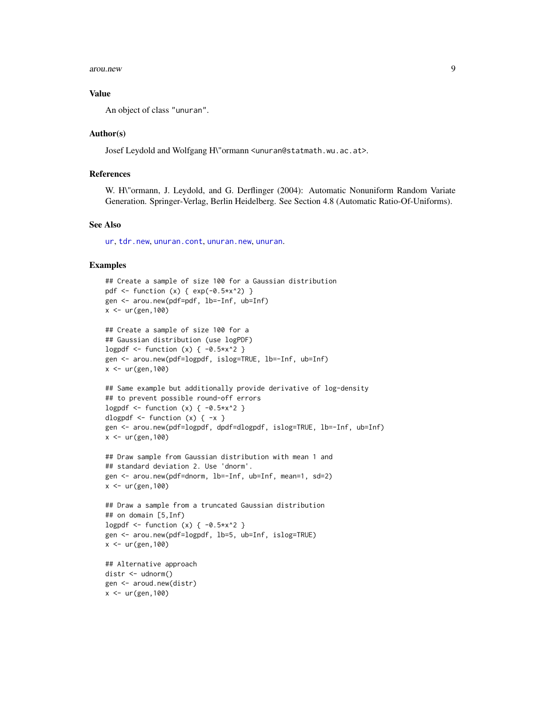arou.new 9

#### Value

An object of class "unuran".

## Author(s)

Josef Leydold and Wolfgang H\"ormann <unuran@statmath.wu.ac.at>.

# References

W. H\"ormann, J. Leydold, and G. Derflinger (2004): Automatic Nonuniform Random Variate Generation. Springer-Verlag, Berlin Heidelberg. See Section 4.8 (Automatic Ratio-Of-Uniforms).

# See Also

[ur](#page-95-1), [tdr.new](#page-32-1), [unuran.cont](#page-78-1), [unuran.new](#page-87-1), [unuran](#page-74-1).

```
## Create a sample of size 100 for a Gaussian distribution
pdf <- function (x) { exp(-0.5*x^2) }
gen <- arou.new(pdf=pdf, lb=-Inf, ub=Inf)
x < - ur (gen, 100)
## Create a sample of size 100 for a
## Gaussian distribution (use logPDF)
logpdf \le function (x) { -0.5*x^2 }
gen <- arou.new(pdf=logpdf, islog=TRUE, lb=-Inf, ub=Inf)
x \le - ur(gen, 100)
## Same example but additionally provide derivative of log-density
## to prevent possible round-off errors
logpdf \le function (x) { -0.5*x^2 }
dlogpdf \leq function (x) { -x }
gen <- arou.new(pdf=logpdf, dpdf=dlogpdf, islog=TRUE, lb=-Inf, ub=Inf)
x < - ur (gen, 100)
## Draw sample from Gaussian distribution with mean 1 and
## standard deviation 2. Use 'dnorm'.
gen <- arou.new(pdf=dnorm, lb=-Inf, ub=Inf, mean=1, sd=2)
x < -ur(gen, 100)## Draw a sample from a truncated Gaussian distribution
## on domain [5,Inf)
logpdf \le function (x) { -0.5*x^2 }
gen <- arou.new(pdf=logpdf, lb=5, ub=Inf, islog=TRUE)
x < -ur(gen, 100)## Alternative approach
distr <- udnorm()
```

```
gen <- aroud.new(distr)
x < -ur(gen, 100)
```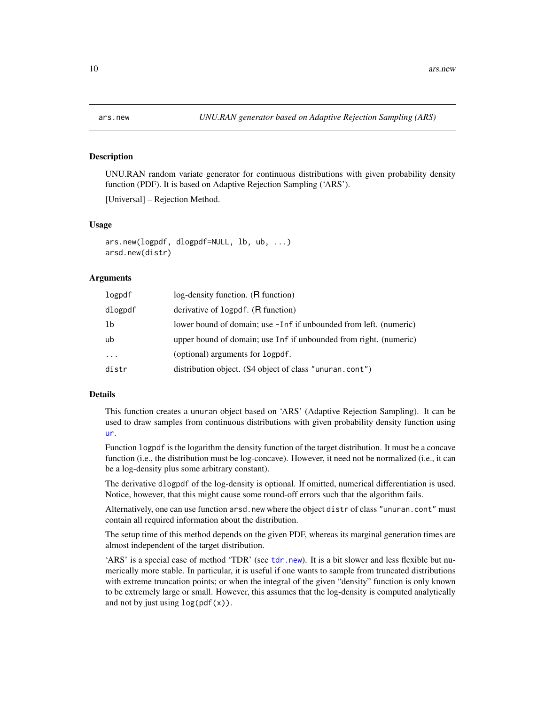UNU.RAN random variate generator for continuous distributions with given probability density function (PDF). It is based on Adaptive Rejection Sampling ('ARS').

[Universal] – Rejection Method.

## Usage

```
ars.new(logpdf, dlogpdf=NULL, lb, ub, ...)
arsd.new(distr)
```
#### Arguments

| logpdf                  | log-density function. (R function)                                |
|-------------------------|-------------------------------------------------------------------|
| dlogpdf                 | derivative of logpdf. (R function)                                |
| 1b                      | lower bound of domain; use -Inf if unbounded from left. (numeric) |
| ub                      | upper bound of domain; use Inf if unbounded from right. (numeric) |
| $\cdot$ $\cdot$ $\cdot$ | (optional) arguments for logpdf.                                  |
| distr                   | distribution object. (S4 object of class "unuran.cont")           |

#### Details

This function creates a unuran object based on 'ARS' (Adaptive Rejection Sampling). It can be used to draw samples from continuous distributions with given probability density function using [ur](#page-95-1).

Function logpdf is the logarithm the density function of the target distribution. It must be a concave function (i.e., the distribution must be log-concave). However, it need not be normalized (i.e., it can be a log-density plus some arbitrary constant).

The derivative dlogpdf of the log-density is optional. If omitted, numerical differentiation is used. Notice, however, that this might cause some round-off errors such that the algorithm fails.

Alternatively, one can use function arsd.new where the object distr of class "unuran.cont" must contain all required information about the distribution.

The setup time of this method depends on the given PDF, whereas its marginal generation times are almost independent of the target distribution.

'ARS' is a special case of method 'TDR' (see [tdr.new](#page-32-1)). It is a bit slower and less flexible but numerically more stable. In particular, it is useful if one wants to sample from truncated distributions with extreme truncation points; or when the integral of the given "density" function is only known to be extremely large or small. However, this assumes that the log-density is computed analytically and not by just using  $log(pdf(x))$ .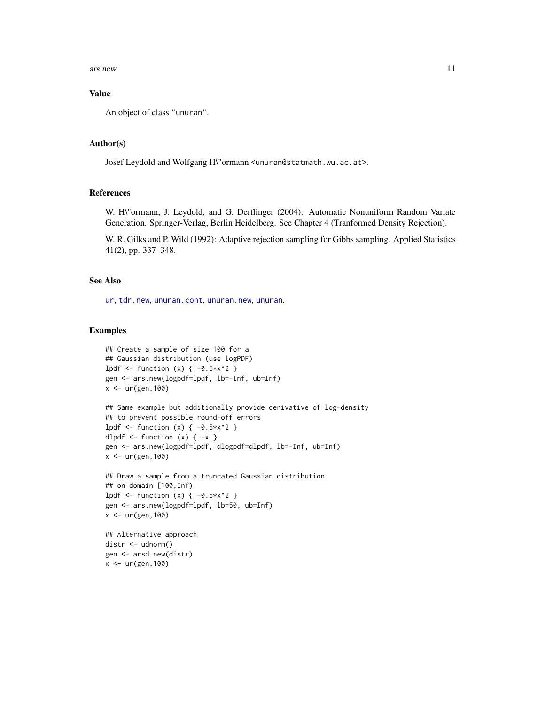ars.new 11

# Value

An object of class "unuran".

#### Author(s)

Josef Leydold and Wolfgang H\"ormann <unuran@statmath.wu.ac.at>.

# References

W. H\"ormann, J. Leydold, and G. Derflinger (2004): Automatic Nonuniform Random Variate Generation. Springer-Verlag, Berlin Heidelberg. See Chapter 4 (Tranformed Density Rejection).

W. R. Gilks and P. Wild (1992): Adaptive rejection sampling for Gibbs sampling. Applied Statistics 41(2), pp. 337–348.

# See Also

[ur](#page-95-1), [tdr.new](#page-32-1), [unuran.cont](#page-78-1), [unuran.new](#page-87-1), [unuran](#page-74-1).

```
## Create a sample of size 100 for a
## Gaussian distribution (use logPDF)
lpdf \le function (x) { -0.5*x^2 }
gen <- ars.new(logpdf=lpdf, lb=-Inf, ub=Inf)
x < -ur(gen, 100)
```

```
## Same example but additionally provide derivative of log-density
## to prevent possible round-off errors
1pdf <- function (x) { -0.5*x^2 }
dlpdf \leftarrow function (x) { -x }
gen <- ars.new(logpdf=lpdf, dlogpdf=dlpdf, lb=-Inf, ub=Inf)
x < -ur(gen, 100)
```

```
## Draw a sample from a truncated Gaussian distribution
## on domain [100,Inf)
lpdf \le function (x) { -0.5*x^2 }
gen <- ars.new(logpdf=lpdf, lb=50, ub=Inf)
x < -ur(gen, 100)
```

```
## Alternative approach
distr <- udnorm()
gen <- arsd.new(distr)
x < -ur(gen, 100)
```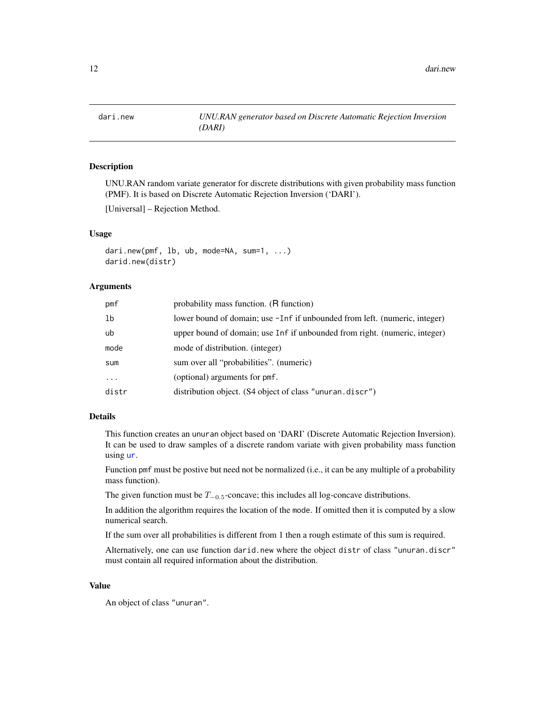<span id="page-11-1"></span><span id="page-11-0"></span>

UNU.RAN random variate generator for discrete distributions with given probability mass function (PMF). It is based on Discrete Automatic Rejection Inversion ('DARI').

[Universal] – Rejection Method.

# Usage

```
dari.new(pmf, lb, ub, mode=NA, sum=1, ...)
darid.new(distr)
```
# Arguments

| pmf      | probability mass function. (R function)                                    |
|----------|----------------------------------------------------------------------------|
| 1b       | lower bound of domain; use -Inf if unbounded from left. (numeric, integer) |
| ub       | upper bound of domain; use Inf if unbounded from right. (numeric, integer) |
| mode     | mode of distribution. (integer)                                            |
| sum      | sum over all "probabilities". (numeric)                                    |
| $\cdots$ | (optional) arguments for pmf.                                              |
| distr    | distribution object. (S4 object of class "unuran.discr")                   |

# Details

This function creates an unuran object based on 'DARI' (Discrete Automatic Rejection Inversion). It can be used to draw samples of a discrete random variate with given probability mass function using [ur](#page-95-1).

Function pmf must be postive but need not be normalized (i.e., it can be any multiple of a probability mass function).

The given function must be  $T_{-0.5}$ -concave; this includes all log-concave distributions.

In addition the algorithm requires the location of the mode. If omitted then it is computed by a slow numerical search.

If the sum over all probabilities is different from 1 then a rough estimate of this sum is required.

Alternatively, one can use function darid.new where the object distr of class "unuran.discr" must contain all required information about the distribution.

#### Value

An object of class "unuran".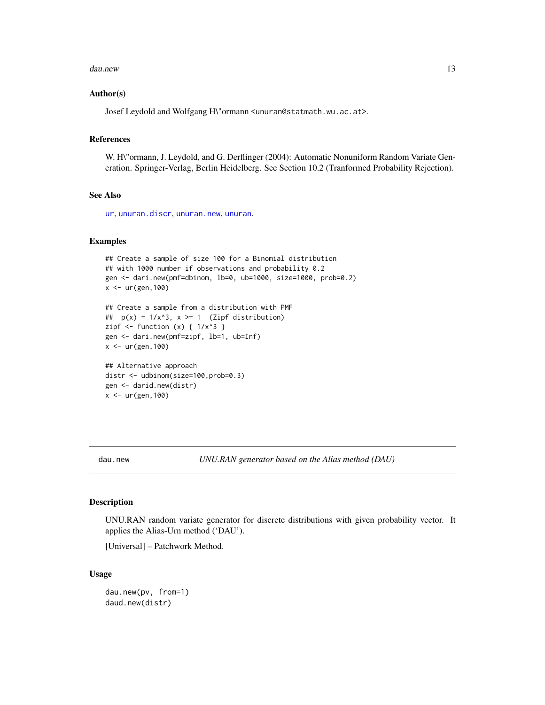#### <span id="page-12-0"></span>dau.new 13

#### Author(s)

Josef Leydold and Wolfgang H\"ormann <unuran@statmath.wu.ac.at>.

# References

W. H\"ormann, J. Leydold, and G. Derflinger (2004): Automatic Nonuniform Random Variate Generation. Springer-Verlag, Berlin Heidelberg. See Section 10.2 (Tranformed Probability Rejection).

# See Also

[ur](#page-95-1), [unuran.discr](#page-82-1), [unuran.new](#page-87-1), [unuran](#page-74-1).

# Examples

```
## Create a sample of size 100 for a Binomial distribution
## with 1000 number if observations and probability 0.2
gen <- dari.new(pmf=dbinom, lb=0, ub=1000, size=1000, prob=0.2)
x < -ur(gen, 100)## Create a sample from a distribution with PMF
## p(x) = 1/x^3, x \ge 1 (Zipf distribution)
zipf \le function (x) { 1/x^3 }
gen <- dari.new(pmf=zipf, lb=1, ub=Inf)
x <- ur(gen,100)
## Alternative approach
distr <- udbinom(size=100,prob=0.3)
gen <- darid.new(distr)
x <- ur(gen,100)
```
<span id="page-12-1"></span>dau.new *UNU.RAN generator based on the Alias method (DAU)*

#### Description

UNU.RAN random variate generator for discrete distributions with given probability vector. It applies the Alias-Urn method ('DAU').

[Universal] – Patchwork Method.

#### Usage

```
dau.new(pv, from=1)
daud.new(distr)
```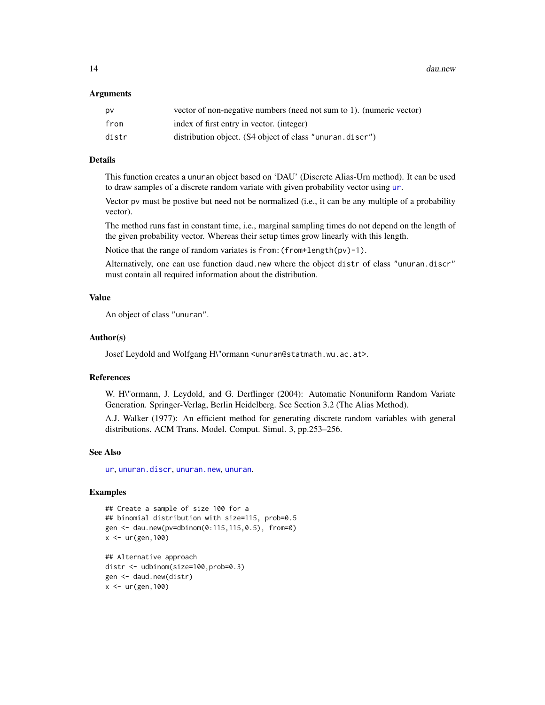14 dau.new

#### Arguments

| DV    | vector of non-negative numbers (need not sum to 1). (numeric vector) |
|-------|----------------------------------------------------------------------|
| from  | index of first entry in vector. (integer)                            |
| distr | distribution object. (S4 object of class "unuran.discr")             |

# Details

This function creates a unuran object based on 'DAU' (Discrete Alias-Urn method). It can be used to draw samples of a discrete random variate with given probability vector using [ur](#page-95-1).

Vector pv must be postive but need not be normalized (i.e., it can be any multiple of a probability vector).

The method runs fast in constant time, i.e., marginal sampling times do not depend on the length of the given probability vector. Whereas their setup times grow linearly with this length.

Notice that the range of random variates is from:(from+length(pv)-1).

Alternatively, one can use function daud.new where the object distr of class "unuran.discr" must contain all required information about the distribution.

# Value

An object of class "unuran".

# Author(s)

Josef Leydold and Wolfgang H\"ormann <unuran@statmath.wu.ac.at>.

#### References

W. H\"ormann, J. Leydold, and G. Derflinger (2004): Automatic Nonuniform Random Variate Generation. Springer-Verlag, Berlin Heidelberg. See Section 3.2 (The Alias Method).

A.J. Walker (1977): An efficient method for generating discrete random variables with general distributions. ACM Trans. Model. Comput. Simul. 3, pp.253–256.

#### See Also

[ur](#page-95-1), [unuran.discr](#page-82-1), [unuran.new](#page-87-1), [unuran](#page-74-1).

# Examples

```
## Create a sample of size 100 for a
## binomial distribution with size=115, prob=0.5
gen <- dau.new(pv=dbinom(0:115,115,0.5), from=0)
x < -ur(gen, 100)
```
## Alternative approach distr <- udbinom(size=100,prob=0.3) gen <- daud.new(distr)  $x < -ur(gen, 100)$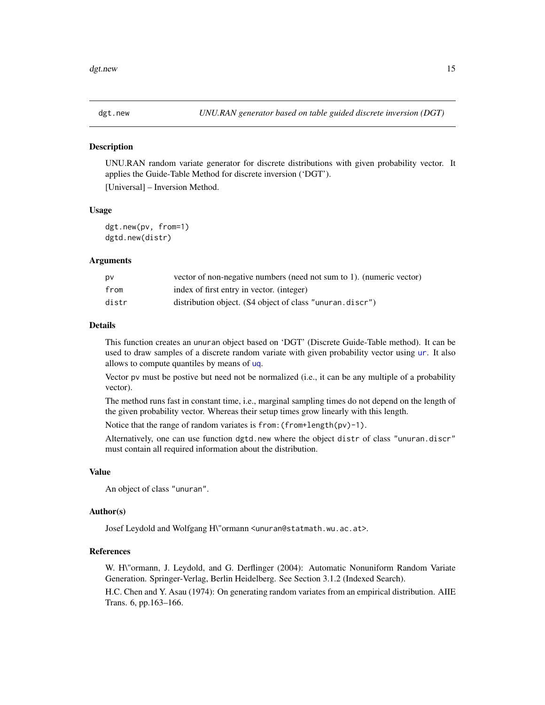<span id="page-14-1"></span><span id="page-14-0"></span>

UNU.RAN random variate generator for discrete distributions with given probability vector. It applies the Guide-Table Method for discrete inversion ('DGT'). [Universal] – Inversion Method.

#### Usage

dgt.new(pv, from=1) dgtd.new(distr)

#### Arguments

| pv    | vector of non-negative numbers (need not sum to 1). (numeric vector) |
|-------|----------------------------------------------------------------------|
| from  | index of first entry in vector. (integer)                            |
| distr | distribution object. (S4 object of class "unuran.discr")             |

# Details

This function creates an unuran object based on 'DGT' (Discrete Guide-Table method). It can be used to draw samples of a discrete random variate with given probability vector using [ur](#page-95-1). It also allows to compute quantiles by means of [uq](#page-93-1).

Vector pv must be postive but need not be normalized (i.e., it can be any multiple of a probability vector).

The method runs fast in constant time, i.e., marginal sampling times do not depend on the length of the given probability vector. Whereas their setup times grow linearly with this length.

Notice that the range of random variates is from:(from+length(pv)-1).

Alternatively, one can use function dgtd.new where the object distr of class "unuran.discr" must contain all required information about the distribution.

# Value

An object of class "unuran".

#### Author(s)

Josef Leydold and Wolfgang H\"ormann <unuran@statmath.wu.ac.at>.

# References

W. H\"ormann, J. Leydold, and G. Derflinger (2004): Automatic Nonuniform Random Variate Generation. Springer-Verlag, Berlin Heidelberg. See Section 3.1.2 (Indexed Search).

H.C. Chen and Y. Asau (1974): On generating random variates from an empirical distribution. AIIE Trans. 6, pp.163–166.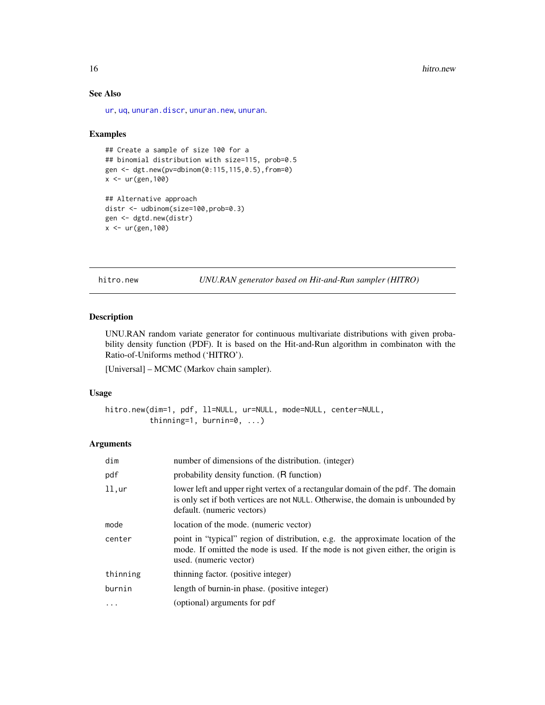# See Also

[ur](#page-95-1), [uq](#page-93-1), [unuran.discr](#page-82-1), [unuran.new](#page-87-1), [unuran](#page-74-1).

#### Examples

```
## Create a sample of size 100 for a
## binomial distribution with size=115, prob=0.5
gen <- dgt.new(pv=dbinom(0:115,115,0.5),from=0)
x < -ur(gen, 100)## Alternative approach
```

```
distr <- udbinom(size=100,prob=0.3)
gen <- dgtd.new(distr)
x < -ur(gen, 100)
```
<span id="page-15-1"></span>hitro.new *UNU.RAN generator based on Hit-and-Run sampler (HITRO)*

#### Description

UNU.RAN random variate generator for continuous multivariate distributions with given probability density function (PDF). It is based on the Hit-and-Run algorithm in combinaton with the Ratio-of-Uniforms method ('HITRO').

[Universal] – MCMC (Markov chain sampler).

# Usage

```
hitro.new(dim=1, pdf, ll=NULL, ur=NULL, mode=NULL, center=NULL,
          thinning=1, burnin=0, ...)
```
#### Arguments

| dim       | number of dimensions of the distribution. (integer)                                                                                                                                                |
|-----------|----------------------------------------------------------------------------------------------------------------------------------------------------------------------------------------------------|
| pdf       | probability density function. (R function)                                                                                                                                                         |
| $11,$ ur  | lower left and upper right vertex of a rectangular domain of the pdf. The domain<br>is only set if both vertices are not NULL. Otherwise, the domain is unbounded by<br>default. (numeric vectors) |
| mode      | location of the mode. (numeric vector)                                                                                                                                                             |
| center    | point in "typical" region of distribution, e.g. the approximate location of the<br>mode. If omitted the mode is used. If the mode is not given either, the origin is<br>used. (numeric vector)     |
| thinning  | thinning factor. (positive integer)                                                                                                                                                                |
| burnin    | length of burnin-in phase. (positive integer)                                                                                                                                                      |
| $\ddotsc$ | (optional) arguments for pdf                                                                                                                                                                       |

<span id="page-15-0"></span>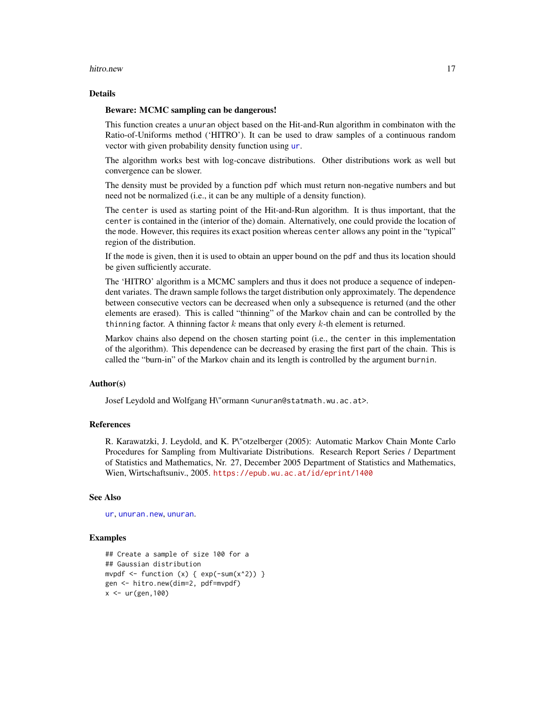#### hitro.new 17

#### Details

# Beware: MCMC sampling can be dangerous!

This function creates a unuran object based on the Hit-and-Run algorithm in combinaton with the Ratio-of-Uniforms method ('HITRO'). It can be used to draw samples of a continuous random vector with given probability density function using [ur](#page-95-1).

The algorithm works best with log-concave distributions. Other distributions work as well but convergence can be slower.

The density must be provided by a function pdf which must return non-negative numbers and but need not be normalized (i.e., it can be any multiple of a density function).

The center is used as starting point of the Hit-and-Run algorithm. It is thus important, that the center is contained in the (interior of the) domain. Alternatively, one could provide the location of the mode. However, this requires its exact position whereas center allows any point in the "typical" region of the distribution.

If the mode is given, then it is used to obtain an upper bound on the pdf and thus its location should be given sufficiently accurate.

The 'HITRO' algorithm is a MCMC samplers and thus it does not produce a sequence of independent variates. The drawn sample follows the target distribution only approximately. The dependence between consecutive vectors can be decreased when only a subsequence is returned (and the other elements are erased). This is called "thinning" of the Markov chain and can be controlled by the thinning factor. A thinning factor  $k$  means that only every  $k$ -th element is returned.

Markov chains also depend on the chosen starting point (i.e., the center in this implementation of the algorithm). This dependence can be decreased by erasing the first part of the chain. This is called the "burn-in" of the Markov chain and its length is controlled by the argument burnin.

#### Author(s)

Josef Leydold and Wolfgang H\"ormann <unuran@statmath.wu.ac.at>.

# References

R. Karawatzki, J. Leydold, and K. P\"otzelberger (2005): Automatic Markov Chain Monte Carlo Procedures for Sampling from Multivariate Distributions. Research Report Series / Department of Statistics and Mathematics, Nr. 27, December 2005 Department of Statistics and Mathematics, Wien, Wirtschaftsuniv., 2005. <https://epub.wu.ac.at/id/eprint/1400>

# See Also

```
urunuran.newunuran.
```

```
## Create a sample of size 100 for a
## Gaussian distribution
mvpdf \le function (x) { exp(-sum(x^2)) }
gen <- hitro.new(dim=2, pdf=mvpdf)
x < -ur(gen, 100)
```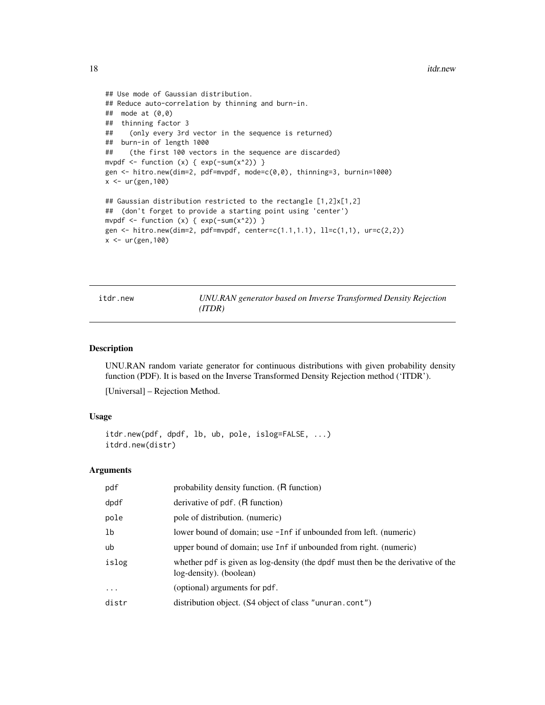```
## Use mode of Gaussian distribution.
## Reduce auto-correlation by thinning and burn-in.
## mode at (0,0)
## thinning factor 3
## (only every 3rd vector in the sequence is returned)
## burn-in of length 1000
## (the first 100 vectors in the sequence are discarded)
mvpdf \le function (x) { exp(-sum(x^2)) }
gen <- hitro.new(dim=2, pdf=mvpdf, mode=c(0,0), thinning=3, burnin=1000)
x <- ur(gen,100)
## Gaussian distribution restricted to the rectangle [1,2]x[1,2]
## (don't forget to provide a starting point using 'center')
mvpdf \le function (x) { exp(-sum(x^2)) }
gen <- hitro.new(dim=2, pdf=mvpdf, center=c(1.1,1.1), ll=c(1,1), ur=c(2,2))
x <- ur(gen,100)
```
<span id="page-17-1"></span>itdr.new *UNU.RAN generator based on Inverse Transformed Density Rejection (ITDR)*

# Description

UNU.RAN random variate generator for continuous distributions with given probability density function (PDF). It is based on the Inverse Transformed Density Rejection method ('ITDR').

[Universal] – Rejection Method.

# Usage

```
itdr.new(pdf, dpdf, lb, ub, pole, islog=FALSE, ...)
itdrd.new(distr)
```
# Arguments

| pdf      | probability density function. (R function)                                                                  |
|----------|-------------------------------------------------------------------------------------------------------------|
| dpdf     | derivative of pdf. (R function)                                                                             |
| pole     | pole of distribution. (numeric)                                                                             |
| lb       | lower bound of domain; use -Inf if unbounded from left. (numeric)                                           |
| ub       | upper bound of domain; use Inf if unbounded from right. (numeric)                                           |
| islog    | whether pdf is given as log-density (the dpdf must then be the derivative of the<br>log-density). (boolean) |
| $\cdots$ | (optional) arguments for pdf.                                                                               |
| distr    | distribution object. (S4 object of class "unuran.cont")                                                     |
|          |                                                                                                             |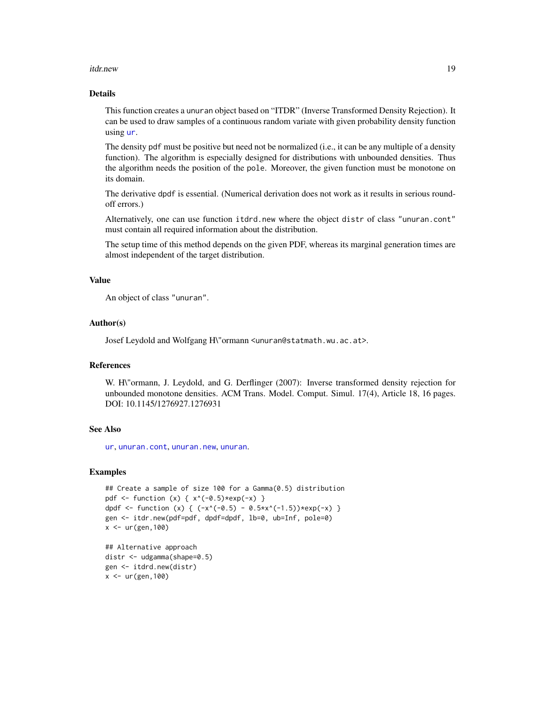#### itdr.new 19

# Details

This function creates a unuran object based on "ITDR" (Inverse Transformed Density Rejection). It can be used to draw samples of a continuous random variate with given probability density function using [ur](#page-95-1).

The density pdf must be positive but need not be normalized (i.e., it can be any multiple of a density function). The algorithm is especially designed for distributions with unbounded densities. Thus the algorithm needs the position of the pole. Moreover, the given function must be monotone on its domain.

The derivative dpdf is essential. (Numerical derivation does not work as it results in serious roundoff errors.)

Alternatively, one can use function itdrd.new where the object distr of class "unuran.cont" must contain all required information about the distribution.

The setup time of this method depends on the given PDF, whereas its marginal generation times are almost independent of the target distribution.

# Value

An object of class "unuran".

#### Author(s)

Josef Leydold and Wolfgang H\"ormann <unuran@statmath.wu.ac.at>.

#### References

W. H\"ormann, J. Leydold, and G. Derflinger (2007): Inverse transformed density rejection for unbounded monotone densities. ACM Trans. Model. Comput. Simul. 17(4), Article 18, 16 pages. DOI: 10.1145/1276927.1276931

# See Also

[ur](#page-95-1), [unuran.cont](#page-78-1), [unuran.new](#page-87-1), [unuran](#page-74-1).

#### Examples

```
## Create a sample of size 100 for a Gamma(0.5) distribution
pdf \le function (x) { x<sup>2</sup>(-0.5)*exp(-x) }
dpdf <- function (x) { (-x^*(-0.5) - 0.5*x^(-1.5))*exp(-x) }
gen <- itdr.new(pdf=pdf, dpdf=dpdf, lb=0, ub=Inf, pole=0)
x < -ur(gen, 100)## Alternative approach
```
distr <- udgamma(shape=0.5) gen <- itdrd.new(distr)  $x < -ur(gen, 100)$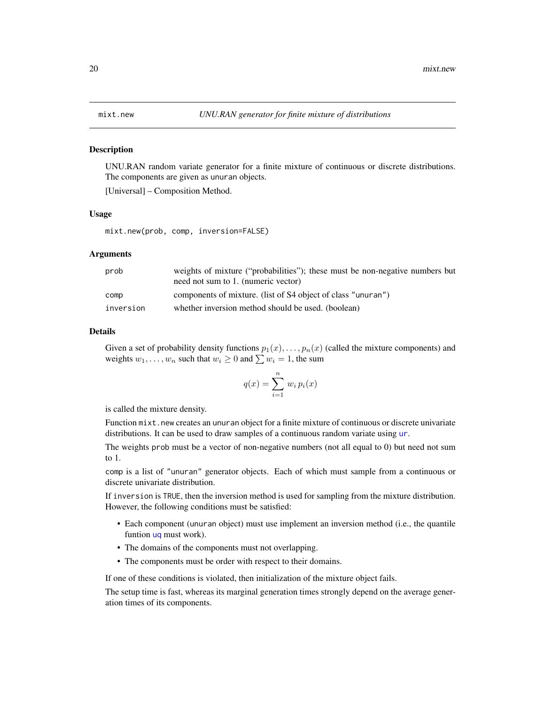<span id="page-19-0"></span>

UNU.RAN random variate generator for a finite mixture of continuous or discrete distributions. The components are given as unuran objects.

[Universal] – Composition Method.

#### Usage

mixt.new(prob, comp, inversion=FALSE)

# Arguments

| prob      | weights of mixture ("probabilities"); these must be non-negative numbers but<br>need not sum to 1. (numeric vector) |
|-----------|---------------------------------------------------------------------------------------------------------------------|
| comp      | components of mixture. (list of S4 object of class "unuran")                                                        |
| inversion | whether inversion method should be used. (boolean)                                                                  |

#### Details

Given a set of probability density functions  $p_1(x), \ldots, p_n(x)$  (called the mixture components) and weights  $w_1, \ldots, w_n$  such that  $w_i \geq 0$  and  $\sum w_i = 1$ , the sum

$$
q(x) = \sum_{i=1}^{n} w_i p_i(x)
$$

is called the mixture density.

Function mixt.new creates an unuran object for a finite mixture of continuous or discrete univariate distributions. It can be used to draw samples of a continuous random variate using [ur](#page-95-1).

The weights prob must be a vector of non-negative numbers (not all equal to 0) but need not sum to 1.

comp is a list of "unuran" generator objects. Each of which must sample from a continuous or discrete univariate distribution.

If inversion is TRUE, then the inversion method is used for sampling from the mixture distribution. However, the following conditions must be satisfied:

- Each component (unuran object) must use implement an inversion method (i.e., the quantile funtion [uq](#page-93-1) must work).
- The domains of the components must not overlapping.
- The components must be order with respect to their domains.

If one of these conditions is violated, then initialization of the mixture object fails.

The setup time is fast, whereas its marginal generation times strongly depend on the average generation times of its components.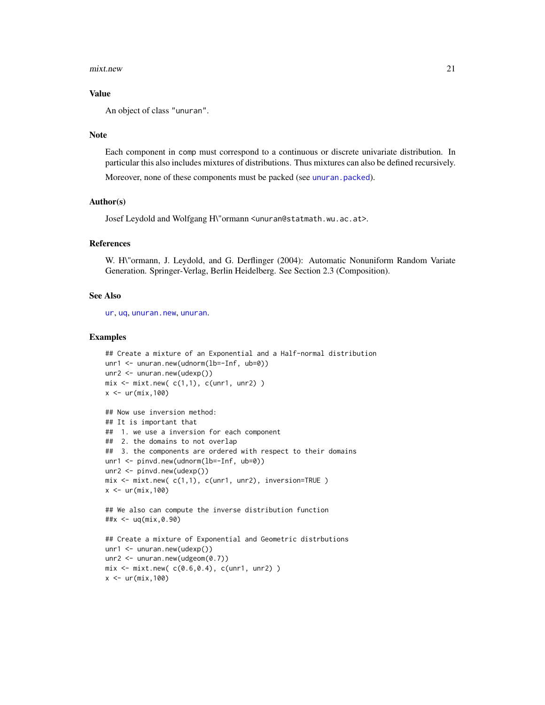#### mixt.new 21

#### Value

An object of class "unuran".

#### Note

Each component in comp must correspond to a continuous or discrete univariate distribution. In particular this also includes mixtures of distributions. Thus mixtures can also be defined recursively.

Moreover, none of these components must be packed (see [unuran.packed](#page-88-1)).

### Author(s)

Josef Leydold and Wolfgang H\"ormann <unuran@statmath.wu.ac.at>.

#### References

W. H\"ormann, J. Leydold, and G. Derflinger (2004): Automatic Nonuniform Random Variate Generation. Springer-Verlag, Berlin Heidelberg. See Section 2.3 (Composition).

#### See Also

[ur](#page-95-1), [uq](#page-93-1), [unuran.new](#page-87-1), [unuran](#page-74-1).

```
## Create a mixture of an Exponential and a Half-normal distribution
unr1 <- unuran.new(udnorm(lb=-Inf, ub=0))
unr2 <- unuran.new(udexp())
mix \leftarrow mix.new(c(1,1), c(unr1, unr2))
x < -ur(min, 100)## Now use inversion method:
## It is important that
## 1. we use a inversion for each component
## 2. the domains to not overlap
## 3. the components are ordered with respect to their domains
unr1 <- pinvd.new(udnorm(lb=-Inf, ub=0))
unr2 <- pinvd.new(udexp())
mix <- mixt.new( c(1,1), c(unr1, unr2), inversion=TRUE )
x \leftarrow \text{ur}(\text{mix},100)## We also can compute the inverse distribution function
##x <- uq(mix,0.90)
## Create a mixture of Exponential and Geometric distrbutions
unr1 <- unuran.new(udexp())
unr2 <- unuran.new(udgeom(0.7))
mix \leq mix.new(c(0.6, 0.4), c(unr1, unr2))
x < -ur(min, 100)
```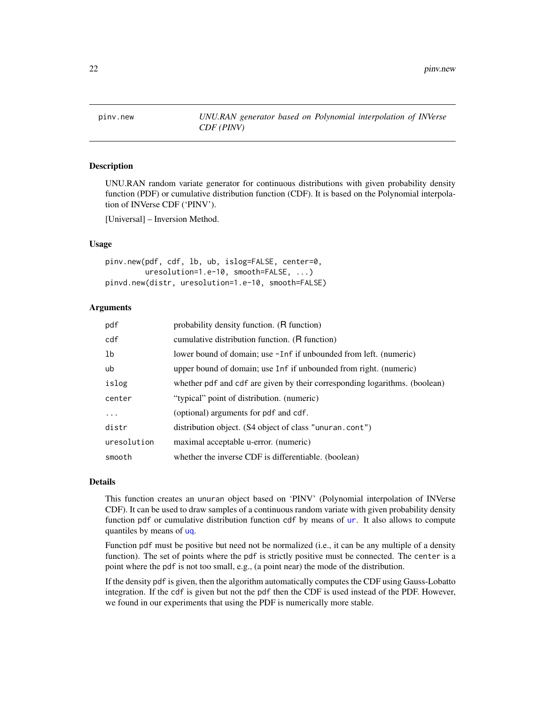<span id="page-21-1"></span><span id="page-21-0"></span>

UNU.RAN random variate generator for continuous distributions with given probability density function (PDF) or cumulative distribution function (CDF). It is based on the Polynomial interpolation of INVerse CDF ('PINV').

[Universal] – Inversion Method.

#### Usage

```
pinv.new(pdf, cdf, lb, ub, islog=FALSE, center=0,
         uresolution=1.e-10, smooth=FALSE, ...)
pinvd.new(distr, uresolution=1.e-10, smooth=FALSE)
```
# Arguments

| pdf            | probability density function. (R function)                                 |
|----------------|----------------------------------------------------------------------------|
| cdf            | cumulative distribution function. (R function)                             |
| 1 <sub>b</sub> | lower bound of domain; use -Inf if unbounded from left. (numeric)          |
| ub             | upper bound of domain; use Inf if unbounded from right. (numeric)          |
| islog          | whether pdf and cdf are given by their corresponding logarithms. (boolean) |
| center         | "typical" point of distribution. (numeric)                                 |
| .              | (optional) arguments for pdf and cdf.                                      |
| distr          | distribution object. (S4 object of class "unuran.cont")                    |
| uresolution    | maximal acceptable u-error. (numeric)                                      |
| smooth         | whether the inverse CDF is differentiable. (boolean)                       |

#### Details

This function creates an unuran object based on 'PINV' (Polynomial interpolation of INVerse CDF). It can be used to draw samples of a continuous random variate with given probability density function pdf or cumulative distribution function cdf by means of [ur](#page-95-1). It also allows to compute quantiles by means of [uq](#page-93-1).

Function pdf must be positive but need not be normalized (i.e., it can be any multiple of a density function). The set of points where the pdf is strictly positive must be connected. The center is a point where the pdf is not too small, e.g., (a point near) the mode of the distribution.

If the density pdf is given, then the algorithm automatically computes the CDF using Gauss-Lobatto integration. If the cdf is given but not the pdf then the CDF is used instead of the PDF. However, we found in our experiments that using the PDF is numerically more stable.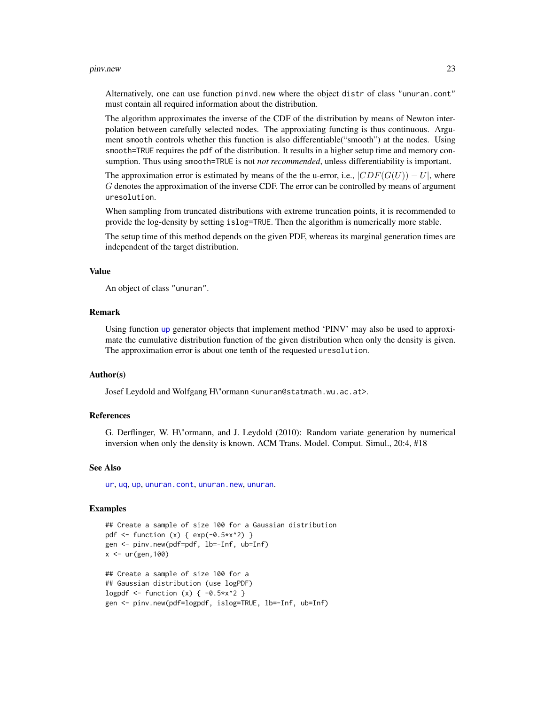#### pinv.new 23

Alternatively, one can use function pinvd.new where the object distr of class "unuran.cont" must contain all required information about the distribution.

The algorithm approximates the inverse of the CDF of the distribution by means of Newton interpolation between carefully selected nodes. The approxiating functing is thus continuous. Argument smooth controls whether this function is also differentiable("smooth") at the nodes. Using smooth=TRUE requires the pdf of the distribution. It results in a higher setup time and memory consumption. Thus using smooth=TRUE is not *not recommended*, unless differentiability is important.

The approximation error is estimated by means of the the u-error, i.e.,  $|CDF(G(U)) - U|$ , where G denotes the approximation of the inverse CDF. The error can be controlled by means of argument uresolution.

When sampling from truncated distributions with extreme truncation points, it is recommended to provide the log-density by setting islog=TRUE. Then the algorithm is numerically more stable.

The setup time of this method depends on the given PDF, whereas its marginal generation times are independent of the target distribution.

# Value

An object of class "unuran".

### Remark

Using function [up](#page-91-1) generator objects that implement method 'PINV' may also be used to approximate the cumulative distribution function of the given distribution when only the density is given. The approximation error is about one tenth of the requested uresolution.

#### Author(s)

Josef Leydold and Wolfgang H\"ormann <unuran@statmath.wu.ac.at>.

# References

G. Derflinger, W. H\"ormann, and J. Leydold (2010): Random variate generation by numerical inversion when only the density is known. ACM Trans. Model. Comput. Simul., 20:4, #18

#### See Also

[ur](#page-95-1), [uq](#page-93-1), [up](#page-91-1), [unuran.cont](#page-78-1), [unuran.new](#page-87-1), [unuran](#page-74-1).

```
## Create a sample of size 100 for a Gaussian distribution
pdf \le function (x) { exp(-0.5*x^2) }
gen <- pinv.new(pdf=pdf, lb=-Inf, ub=Inf)
x < -ur(gen, 100)## Create a sample of size 100 for a
## Gaussian distribution (use logPDF)
logpdf \le function (x) { -0.5*x^2 }
gen <- pinv.new(pdf=logpdf, islog=TRUE, lb=-Inf, ub=Inf)
```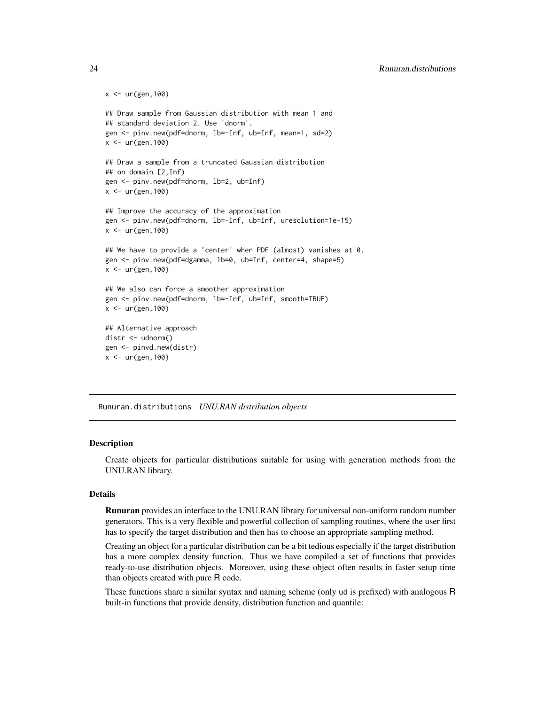```
x < -ur(gen, 100)## Draw sample from Gaussian distribution with mean 1 and
## standard deviation 2. Use 'dnorm'.
gen <- pinv.new(pdf=dnorm, lb=-Inf, ub=Inf, mean=1, sd=2)
x < -ur(gen, 100)## Draw a sample from a truncated Gaussian distribution
## on domain [2,Inf)
gen <- pinv.new(pdf=dnorm, lb=2, ub=Inf)
x < - ur (gen, 100)
## Improve the accuracy of the approximation
gen <- pinv.new(pdf=dnorm, lb=-Inf, ub=Inf, uresolution=1e-15)
x < -ur(gen, 100)## We have to provide a 'center' when PDF (almost) vanishes at 0.
gen <- pinv.new(pdf=dgamma, lb=0, ub=Inf, center=4, shape=5)
x < -ur(gen, 100)## We also can force a smoother approximation
gen <- pinv.new(pdf=dnorm, lb=-Inf, ub=Inf, smooth=TRUE)
x < -ur(gen, 100)## Alternative approach
distr <- udnorm()
gen <- pinvd.new(distr)
x < -ur(gen, 100)
```
<span id="page-23-1"></span>Runuran.distributions *UNU.RAN distribution objects*

#### **Description**

Create objects for particular distributions suitable for using with generation methods from the UNU.RAN library.

# Details

Runuran provides an interface to the UNU.RAN library for universal non-uniform random number generators. This is a very flexible and powerful collection of sampling routines, where the user first has to specify the target distribution and then has to choose an appropriate sampling method.

Creating an object for a particular distribution can be a bit tedious especially if the target distribution has a more complex density function. Thus we have compiled a set of functions that provides ready-to-use distribution objects. Moreover, using these object often results in faster setup time than objects created with pure R code.

These functions share a similar syntax and naming scheme (only ud is prefixed) with analogous R built-in functions that provide density, distribution function and quantile:

<span id="page-23-0"></span>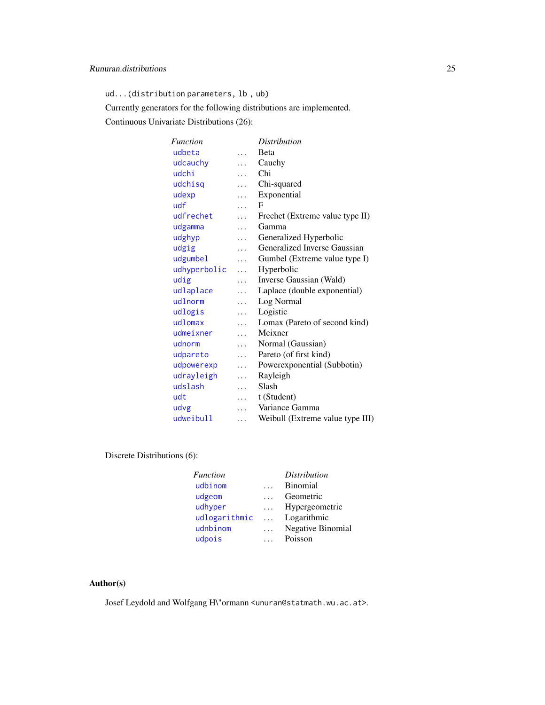ud...(distribution parameters, lb , ub)

Currently generators for the following distributions are implemented.

Continuous Univariate Distributions (26):

| <b>Function</b> |          | <i>Distribution</i>              |
|-----------------|----------|----------------------------------|
| udbeta          | .        | <b>B</b> eta                     |
| udcauchy        | $\cdots$ | Cauchy                           |
| udchi           | .        | Chi                              |
| udchisq         | $\cdots$ | Chi-squared                      |
| udexp           | .        | Exponential                      |
| udf             | .        | F                                |
| udfrechet       | .        | Frechet (Extreme value type II)  |
| udgamma         | $\cdots$ | Gamma                            |
| udghyp          | .        | Generalized Hyperbolic           |
| udgig           | .        | Generalized Inverse Gaussian     |
| udgumbel        | $\cdots$ | Gumbel (Extreme value type I)    |
| udhyperbolic    | $\cdots$ | Hyperbolic                       |
| udig            | $\cdots$ | Inverse Gaussian (Wald)          |
| udlaplace       | .        | Laplace (double exponential)     |
| udlnorm         | .        | Log Normal                       |
| udlogis         | $\cdots$ | Logistic                         |
| udlomax         | $\cdots$ | Lomax (Pareto of second kind)    |
| udmeixner       | $\cdots$ | Meixner                          |
| udnorm          | .        | Normal (Gaussian)                |
| udpareto        | .        | Pareto (of first kind)           |
| udpowerexp      | $\cdots$ | Powerexponential (Subbotin)      |
| udrayleigh      | $\cdots$ | Rayleigh                         |
| udslash         | $\cdots$ | Slash                            |
| udt             | .        | t (Student)                      |
| udvg            | .        | Variance Gamma                   |
| udweibull       | .        | Weibull (Extreme value type III) |

Discrete Distributions (6):

|           | <i>Distribution</i>      |
|-----------|--------------------------|
|           | <b>Binomial</b>          |
|           | Geometric                |
| $\cdots$  | Hypergeometric           |
| $\ddotsc$ | Logarithmic              |
| $\cdots$  | <b>Negative Binomial</b> |
|           | Poisson                  |
|           |                          |

# Author(s)

Josef Leydold and Wolfgang H\"ormann <unuran@statmath.wu.ac.at>.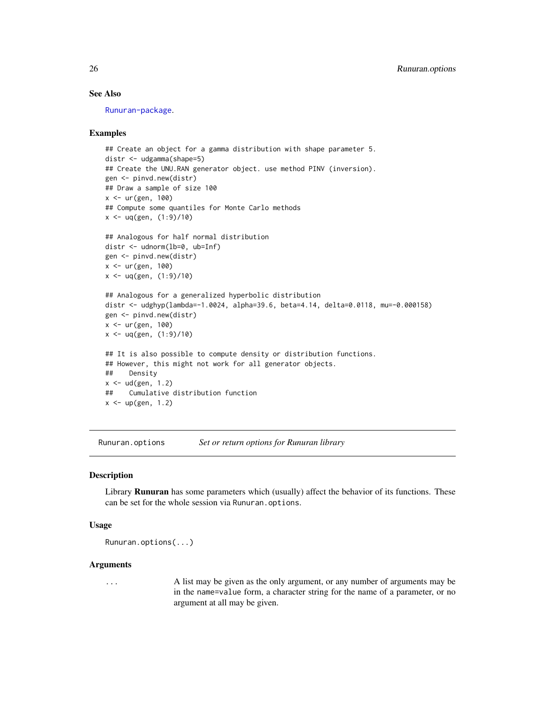# See Also

[Runuran-package](#page-3-1).

### Examples

```
## Create an object for a gamma distribution with shape parameter 5.
distr <- udgamma(shape=5)
## Create the UNU.RAN generator object. use method PINV (inversion).
gen <- pinvd.new(distr)
## Draw a sample of size 100
x \le - ur(gen, 100)
## Compute some quantiles for Monte Carlo methods
x \leq -\text{uq(gen, (1:9)/10)}## Analogous for half normal distribution
distr <- udnorm(lb=0, ub=Inf)
gen <- pinvd.new(distr)
x \le - ur(gen, 100)
x \leq -\text{uq(gen, (1:9)/10)}## Analogous for a generalized hyperbolic distribution
distr <- udghyp(lambda=-1.0024, alpha=39.6, beta=4.14, delta=0.0118, mu=-0.000158)
gen <- pinvd.new(distr)
x <- ur(gen, 100)
x \leq -uq(gen, (1:9)/10)## It is also possible to compute density or distribution functions.
## However, this might not work for all generator objects.
## Density
x \le - ud(gen, 1.2)
## Cumulative distribution function
x < - up(gen, 1.2)
```
Runuran.options *Set or return options for Runuran library*

# Description

Library Runuran has some parameters which (usually) affect the behavior of its functions. These can be set for the whole session via Runuran.options.

#### Usage

```
Runuran.options(...)
```
#### Arguments

... A list may be given as the only argument, or any number of arguments may be in the name=value form, a character string for the name of a parameter, or no argument at all may be given.

<span id="page-25-0"></span>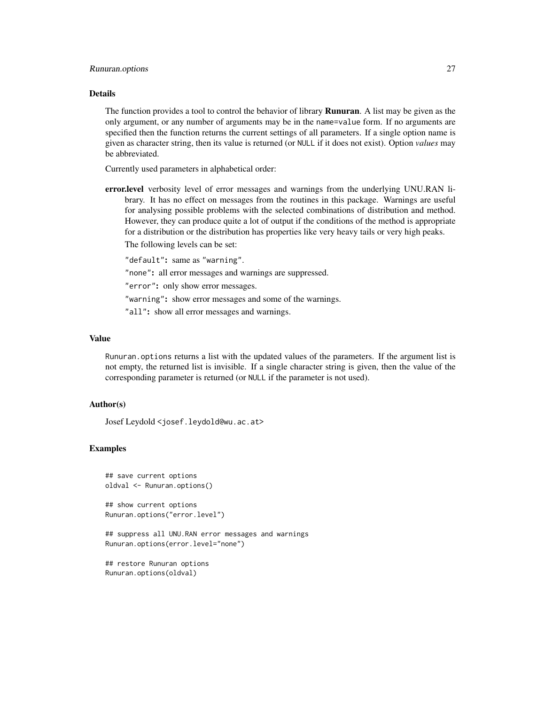#### Runuran.options 27

#### Details

The function provides a tool to control the behavior of library **Runuran**. A list may be given as the only argument, or any number of arguments may be in the name=value form. If no arguments are specified then the function returns the current settings of all parameters. If a single option name is given as character string, then its value is returned (or NULL if it does not exist). Option *values* may be abbreviated.

Currently used parameters in alphabetical order:

error.level verbosity level of error messages and warnings from the underlying UNU.RAN library. It has no effect on messages from the routines in this package. Warnings are useful for analysing possible problems with the selected combinations of distribution and method. However, they can produce quite a lot of output if the conditions of the method is appropriate for a distribution or the distribution has properties like very heavy tails or very high peaks.

The following levels can be set:

"default": same as "warning".

"none": all error messages and warnings are suppressed.

"error": only show error messages.

"warning": show error messages and some of the warnings.

"all": show all error messages and warnings.

#### Value

Runuran.options returns a list with the updated values of the parameters. If the argument list is not empty, the returned list is invisible. If a single character string is given, then the value of the corresponding parameter is returned (or NULL if the parameter is not used).

# Author(s)

Josef Leydold <josef.leydold@wu.ac.at>

#### Examples

```
## save current options
oldval <- Runuran.options()
```
## show current options Runuran.options("error.level")

## suppress all UNU.RAN error messages and warnings Runuran.options(error.level="none")

```
## restore Runuran options
Runuran.options(oldval)
```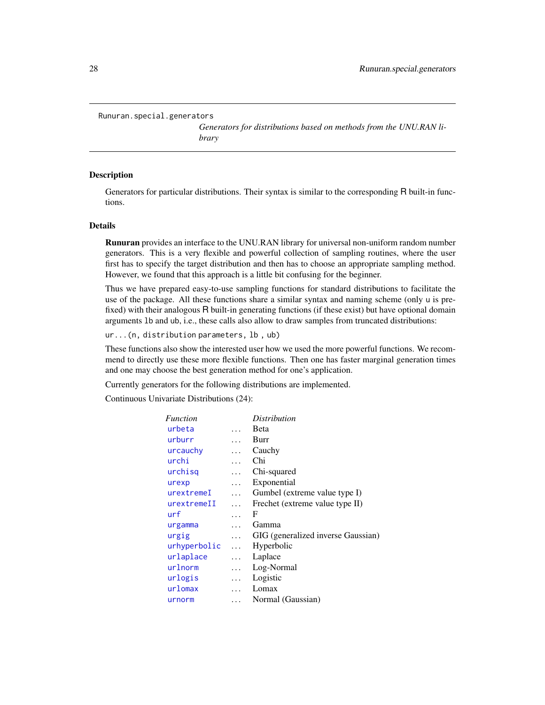```
Runuran.special.generators
```
*Generators for distributions based on methods from the UNU.RAN library*

# Description

Generators for particular distributions. Their syntax is similar to the corresponding R built-in functions.

# Details

Runuran provides an interface to the UNU.RAN library for universal non-uniform random number generators. This is a very flexible and powerful collection of sampling routines, where the user first has to specify the target distribution and then has to choose an appropriate sampling method. However, we found that this approach is a little bit confusing for the beginner.

Thus we have prepared easy-to-use sampling functions for standard distributions to facilitate the use of the package. All these functions share a similar syntax and naming scheme (only u is prefixed) with their analogous R built-in generating functions (if these exist) but have optional domain arguments lb and ub, i.e., these calls also allow to draw samples from truncated distributions:

ur...(n, distribution parameters, lb , ub)

These functions also show the interested user how we used the more powerful functions. We recommend to directly use these more flexible functions. Then one has faster marginal generation times and one may choose the best generation method for one's application.

Currently generators for the following distributions are implemented.

Continuous Univariate Distributions (24):

| <i>Function</i> |           | <i>Distribution</i>                |
|-----------------|-----------|------------------------------------|
| urbeta          |           | <b>B</b> eta                       |
| urburr          | $\ddotsc$ | Burr                               |
| urcauchy        | .         | Cauchy                             |
| urchi           | $\cdots$  | Chi                                |
| urchisq         | $\cdots$  | Chi-squared                        |
| urexp           | $\cdots$  | Exponential                        |
| urextremeI      | $\cdots$  | Gumbel (extreme value type I)      |
| urextremeII     | $\cdots$  | Frechet (extreme value type II)    |
| urf             | $\cdots$  | F                                  |
| urgamma         | $\cdots$  | Gamma                              |
| urgig           | $\cdots$  | GIG (generalized inverse Gaussian) |
| urhyperbolic    | $\ddotsc$ | Hyperbolic                         |
| urlaplace       | $\cdots$  | Laplace                            |
| urlnorm         | $\cdots$  | Log-Normal                         |
| urlogis         | $\cdots$  | Logistic                           |
| urlomax         | $\cdots$  | Lomax                              |
| urnorm          | .         | Normal (Gaussian)                  |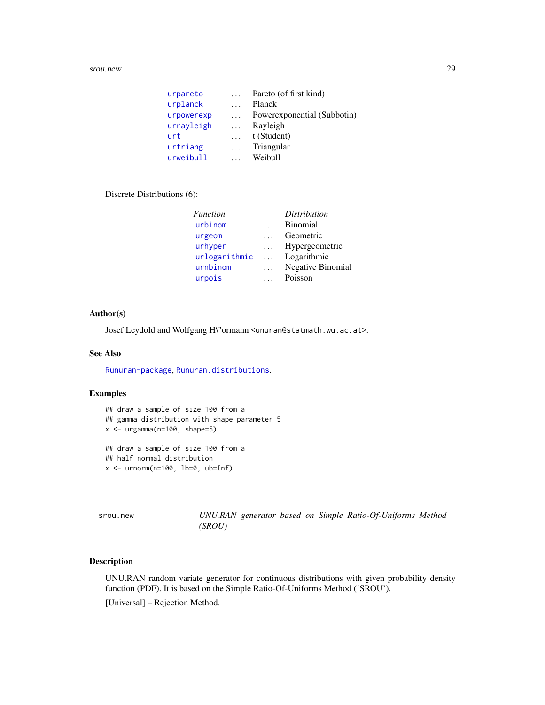#### <span id="page-28-0"></span>srou.new 29

| urpareto   | $\cdots$ | Pareto (of first kind)      |
|------------|----------|-----------------------------|
| urplanck   | $\cdots$ | Planck                      |
| urpowerexp | $\cdots$ | Powerexponential (Subbotin) |
| urrayleigh | $\cdots$ | Rayleigh                    |
| urt        | $\cdots$ | t (Student)                 |
| urtriang   | $\cdots$ | Triangular                  |
| urweibull  |          | Weibull                     |

# Discrete Distributions (6):

| Function      |           | <i>Distribution</i>      |
|---------------|-----------|--------------------------|
| urbinom       |           | <b>Binomial</b>          |
| urgeom        |           | Geometric                |
| urhyper       |           | Hypergeometric           |
| urlogarithmic | $\ddotsc$ | Logarithmic              |
| urnbinom      | $\cdots$  | <b>Negative Binomial</b> |
| urpois        |           | Poisson                  |

# Author(s)

Josef Leydold and Wolfgang H\"ormann <unuran@statmath.wu.ac.at>.

#### See Also

[Runuran-package](#page-3-1), [Runuran.distributions](#page-23-1).

# Examples

```
## draw a sample of size 100 from a
## gamma distribution with shape parameter 5
x \le - \text{urgamma}(n=100, \text{shape}=5)## draw a sample of size 100 from a
## half normal distribution
x \le - urnorm(n=100, lb=0, ub=Inf)
```
<span id="page-28-1"></span>srou.new *UNU.RAN generator based on Simple Ratio-Of-Uniforms Method (SROU)*

# Description

UNU.RAN random variate generator for continuous distributions with given probability density function (PDF). It is based on the Simple Ratio-Of-Uniforms Method ('SROU'). [Universal] – Rejection Method.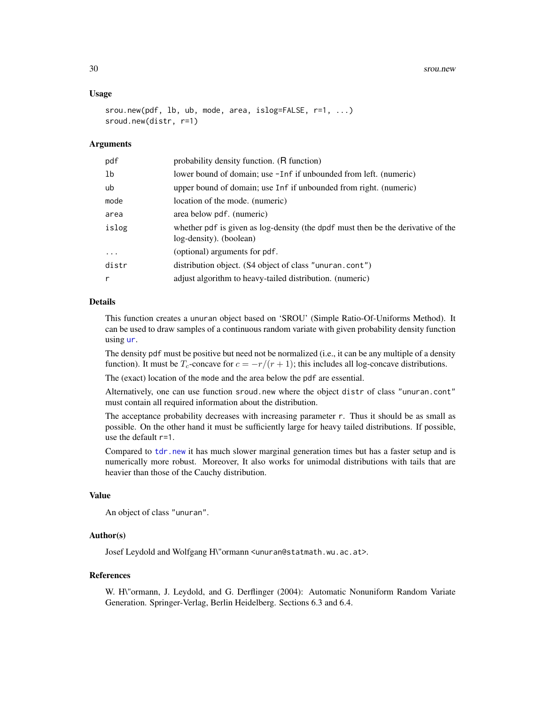30 srou.new strong strong strong strong strong strong strong strong strong strong strong strong strong strong strong strong strong strong strong strong strong strong strong strong strong strong strong strong strong strong

#### Usage

```
srou.new(pdf, lb, ub, mode, area, islog=FALSE, r=1, ...)
sroud.new(distr, r=1)
```
### Arguments

| pdf            | probability density function. (R function)                                                                  |
|----------------|-------------------------------------------------------------------------------------------------------------|
| 1 <sub>b</sub> | lower bound of domain; use -Inf if unbounded from left. (numeric)                                           |
| ub             | upper bound of domain; use Inf if unbounded from right. (numeric)                                           |
| mode           | location of the mode. (numeric)                                                                             |
| area           | area below pdf. (numeric)                                                                                   |
| islog          | whether pdf is given as log-density (the dpdf must then be the derivative of the<br>log-density). (boolean) |
| $\cdots$       | (optional) arguments for pdf.                                                                               |
| distr          | distribution object. (S4 object of class "unuran.cont")                                                     |
| r              | adjust algorithm to heavy-tailed distribution. (numeric)                                                    |
|                |                                                                                                             |

# Details

This function creates a unuran object based on 'SROU' (Simple Ratio-Of-Uniforms Method). It can be used to draw samples of a continuous random variate with given probability density function using [ur](#page-95-1).

The density pdf must be positive but need not be normalized (i.e., it can be any multiple of a density function). It must be  $T_c$ -concave for  $c = -r/(r + 1)$ ; this includes all log-concave distributions.

The (exact) location of the mode and the area below the pdf are essential.

Alternatively, one can use function sroud.new where the object distr of class "unuran.cont" must contain all required information about the distribution.

The acceptance probability decreases with increasing parameter r. Thus it should be as small as possible. On the other hand it must be sufficiently large for heavy tailed distributions. If possible, use the default r=1.

Compared to [tdr.new](#page-32-1) it has much slower marginal generation times but has a faster setup and is numerically more robust. Moreover, It also works for unimodal distributions with tails that are heavier than those of the Cauchy distribution.

#### Value

An object of class "unuran".

#### Author(s)

Josef Leydold and Wolfgang H\"ormann <unuran@statmath.wu.ac.at>.

#### References

W. H\"ormann, J. Leydold, and G. Derflinger (2004): Automatic Nonuniform Random Variate Generation. Springer-Verlag, Berlin Heidelberg. Sections 6.3 and 6.4.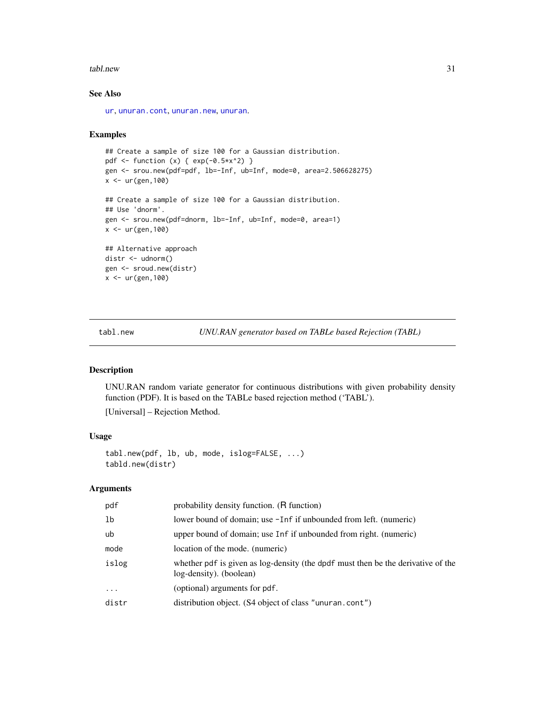#### <span id="page-30-0"></span>tabl.new 31

# See Also

[ur](#page-95-1), [unuran.cont](#page-78-1), [unuran.new](#page-87-1), [unuran](#page-74-1).

#### Examples

```
## Create a sample of size 100 for a Gaussian distribution.
pdf <- function (x) { exp(-0.5*x^2) }
gen <- srou.new(pdf=pdf, lb=-Inf, ub=Inf, mode=0, area=2.506628275)
x < -ur(gen, 100)## Create a sample of size 100 for a Gaussian distribution.
## Use 'dnorm'.
gen <- srou.new(pdf=dnorm, lb=-Inf, ub=Inf, mode=0, area=1)
x <- ur(gen,100)
## Alternative approach
distr <- udnorm()
gen <- sroud.new(distr)
x <- ur(gen,100)
```
<span id="page-30-1"></span>tabl.new *UNU.RAN generator based on TABLe based Rejection (TABL)*

# Description

UNU.RAN random variate generator for continuous distributions with given probability density function (PDF). It is based on the TABLe based rejection method ('TABL').

[Universal] – Rejection Method.

# Usage

```
tabl.new(pdf, lb, ub, mode, islog=FALSE, ...)
tabld.new(distr)
```
#### Arguments

| pdf      | probability density function. (R function)                                                                  |
|----------|-------------------------------------------------------------------------------------------------------------|
| 1b       | lower bound of domain; use -Inf if unbounded from left. (numeric)                                           |
| ub       | upper bound of domain; use Inf if unbounded from right. (numeric)                                           |
| mode     | location of the mode. (numeric)                                                                             |
| islog    | whether pdf is given as log-density (the dpdf must then be the derivative of the<br>log-density). (boolean) |
| $\ddots$ | (optional) arguments for pdf.                                                                               |
| distr    | distribution object. (S4 object of class "unuran.cont")                                                     |
|          |                                                                                                             |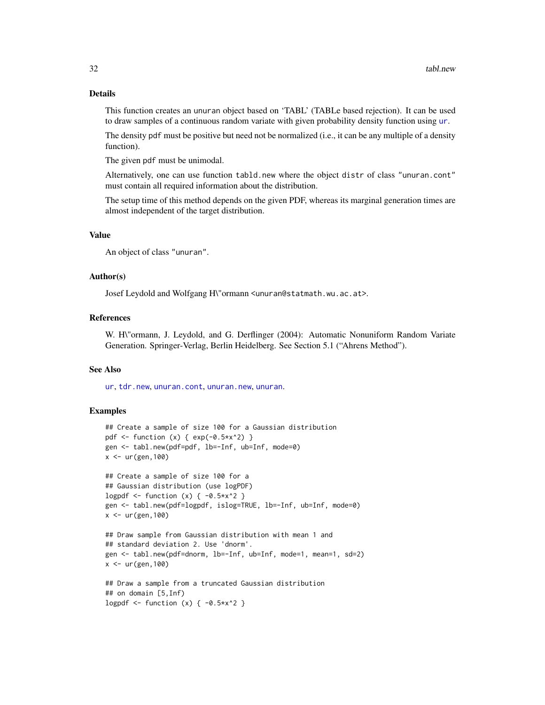#### Details

This function creates an unuran object based on 'TABL' (TABLe based rejection). It can be used to draw samples of a continuous random variate with given probability density function using [ur](#page-95-1).

The density pdf must be positive but need not be normalized (i.e., it can be any multiple of a density function).

The given pdf must be unimodal.

Alternatively, one can use function tabld.new where the object distr of class "unuran.cont" must contain all required information about the distribution.

The setup time of this method depends on the given PDF, whereas its marginal generation times are almost independent of the target distribution.

# Value

An object of class "unuran".

#### Author(s)

Josef Leydold and Wolfgang H\"ormann <unuran@statmath.wu.ac.at>.

# References

W. H\"ormann, J. Leydold, and G. Derflinger (2004): Automatic Nonuniform Random Variate Generation. Springer-Verlag, Berlin Heidelberg. See Section 5.1 ("Ahrens Method").

# See Also

[ur](#page-95-1), [tdr.new](#page-32-1), [unuran.cont](#page-78-1), [unuran.new](#page-87-1), [unuran](#page-74-1).

```
## Create a sample of size 100 for a Gaussian distribution
pdf <- function (x) { exp(-0.5*x^2) }
gen <- tabl.new(pdf=pdf, lb=-Inf, ub=Inf, mode=0)
x < -ur(gen, 100)## Create a sample of size 100 for a
## Gaussian distribution (use logPDF)
logpdf \le function (x) { -0.5*x^2 }
gen <- tabl.new(pdf=logpdf, islog=TRUE, lb=-Inf, ub=Inf, mode=0)
x < - ur (gen, 100)
## Draw sample from Gaussian distribution with mean 1 and
## standard deviation 2. Use 'dnorm'.
gen <- tabl.new(pdf=dnorm, lb=-Inf, ub=Inf, mode=1, mean=1, sd=2)
x < - ur (gen, 100)
## Draw a sample from a truncated Gaussian distribution
```

```
## on domain [5,Inf)
logpdf \le function (x) { -0.5*x^2 }
```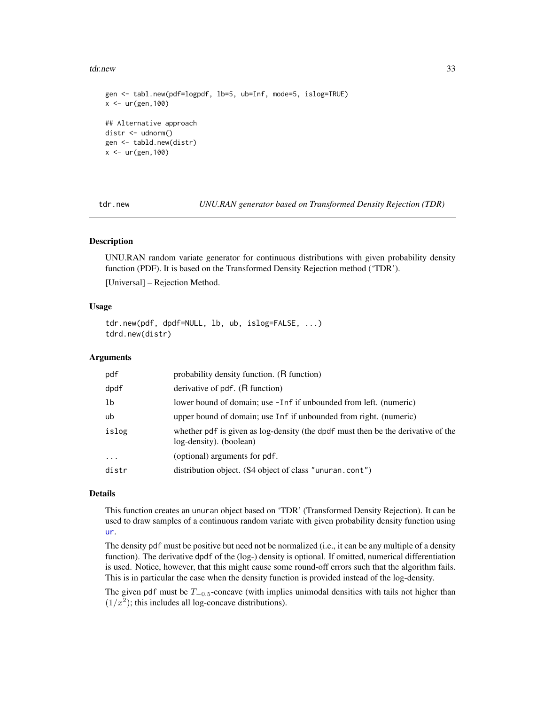#### <span id="page-32-0"></span>tdr.new 33

```
gen <- tabl.new(pdf=logpdf, lb=5, ub=Inf, mode=5, islog=TRUE)
x < - ur (gen, 100)
## Alternative approach
distr <- udnorm()
gen <- tabld.new(distr)
x < -ur(gen, 100)
```
<span id="page-32-1"></span>tdr.new *UNU.RAN generator based on Transformed Density Rejection (TDR)*

# Description

UNU.RAN random variate generator for continuous distributions with given probability density function (PDF). It is based on the Transformed Density Rejection method ('TDR').

[Universal] – Rejection Method.

# Usage

tdr.new(pdf, dpdf=NULL, lb, ub, islog=FALSE, ...) tdrd.new(distr)

# Arguments

| pdf            | probability density function. (R function)                                                                  |
|----------------|-------------------------------------------------------------------------------------------------------------|
| dpdf           | derivative of pdf. (R function)                                                                             |
| 1 <sub>b</sub> | lower bound of domain; use -Inf if unbounded from left. (numeric)                                           |
| ub             | upper bound of domain; use Inf if unbounded from right. (numeric)                                           |
| islog          | whether pdf is given as log-density (the dpdf must then be the derivative of the<br>log-density). (boolean) |
| $\ddots$       | (optional) arguments for pdf.                                                                               |
| distr          | distribution object. (S4 object of class "unuran.cont")                                                     |

# Details

This function creates an unuran object based on 'TDR' (Transformed Density Rejection). It can be used to draw samples of a continuous random variate with given probability density function using [ur](#page-95-1).

The density pdf must be positive but need not be normalized (i.e., it can be any multiple of a density function). The derivative dpdf of the (log-) density is optional. If omitted, numerical differentiation is used. Notice, however, that this might cause some round-off errors such that the algorithm fails. This is in particular the case when the density function is provided instead of the log-density.

The given pdf must be  $T_{-0.5}$ -concave (with implies unimodal densities with tails not higher than  $(1/x<sup>2</sup>)$ ; this includes all log-concave distributions).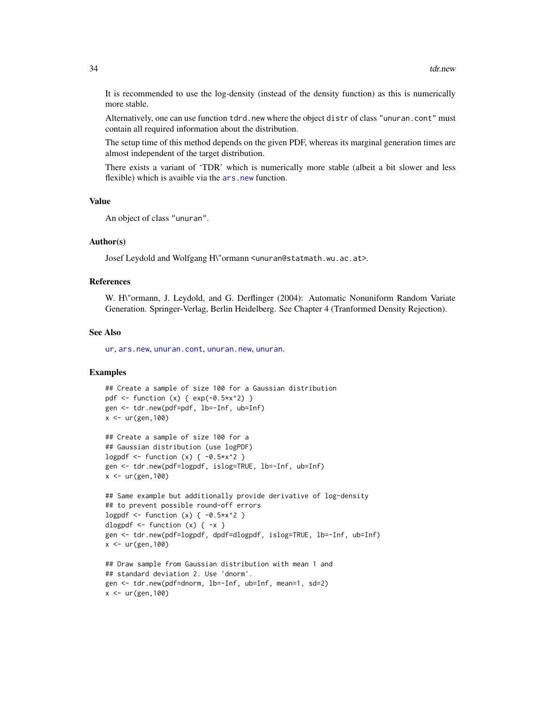It is recommended to use the log-density (instead of the density function) as this is numerically more stable.

Alternatively, one can use function tdrd.new where the object distr of class "unuran.cont" must contain all required information about the distribution.

The setup time of this method depends on the given PDF, whereas its marginal generation times are almost independent of the target distribution.

There exists a variant of 'TDR' which is numerically more stable (albeit a bit slower and less flexible) which is avaible via the [ars.new](#page-9-1) function.

#### Value

```
An object of class "unuran".
```
#### Author(s)

Josef Leydold and Wolfgang H\"ormann <unuran@statmath.wu.ac.at>.

#### References

W. H\"ormann, J. Leydold, and G. Derflinger (2004): Automatic Nonuniform Random Variate Generation. Springer-Verlag, Berlin Heidelberg. See Chapter 4 (Tranformed Density Rejection).

#### See Also

[ur](#page-95-1), [ars.new](#page-9-1), [unuran.cont](#page-78-1), [unuran.new](#page-87-1), [unuran](#page-74-1).

```
## Create a sample of size 100 for a Gaussian distribution
pdf <- function (x) { exp(-0.5*x^2) }
gen <- tdr.new(pdf=pdf, lb=-Inf, ub=Inf)
x < -ur(gen, 100)
```

```
## Create a sample of size 100 for a
## Gaussian distribution (use logPDF)
logpdf \le function (x) { -0.5*x^2 }
gen <- tdr.new(pdf=logpdf, islog=TRUE, lb=-Inf, ub=Inf)
x < -ur(gen, 100)
```

```
## Same example but additionally provide derivative of log-density
## to prevent possible round-off errors
logpdf <- function (x) { -0.5*x^2 }
dlogpdf \leq function (x) { -x }
gen <- tdr.new(pdf=logpdf, dpdf=dlogpdf, islog=TRUE, lb=-Inf, ub=Inf)
x < - ur (gen, 100)
```

```
## Draw sample from Gaussian distribution with mean 1 and
## standard deviation 2. Use 'dnorm'.
gen <- tdr.new(pdf=dnorm, lb=-Inf, ub=Inf, mean=1, sd=2)
x < -ur(gen, 100)
```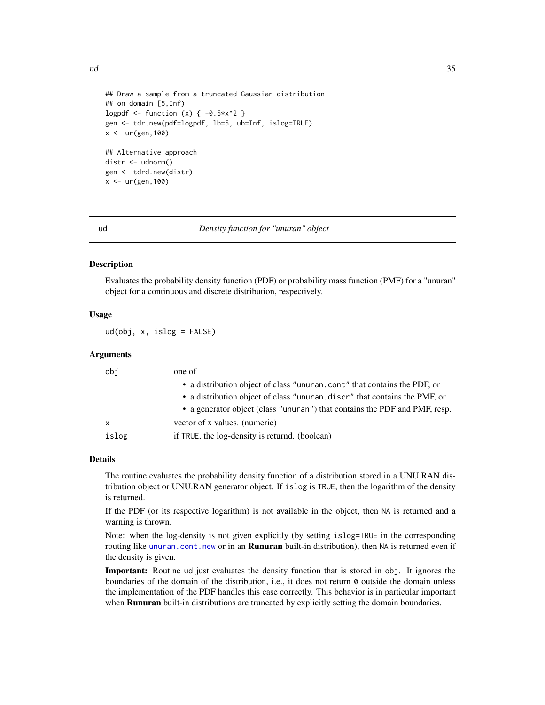<span id="page-34-0"></span> $ud$  35

```
## Draw a sample from a truncated Gaussian distribution
## on domain [5,Inf)
logpdf <- function (x) { -0.5*x^2 }
gen <- tdr.new(pdf=logpdf, lb=5, ub=Inf, islog=TRUE)
x < -ur(gen, 100)## Alternative approach
distr <- udnorm()
gen <- tdrd.new(distr)
x < -ur(gen, 100)
```
<span id="page-34-1"></span>

#### ud *Density function for "unuran" object*

#### **Description**

Evaluates the probability density function (PDF) or probability mass function (PMF) for a "unuran" object for a continuous and discrete distribution, respectively.

# Usage

ud(obj, x, islog = FALSE)

#### Arguments

| obj   | one of                                                                     |
|-------|----------------------------------------------------------------------------|
|       | • a distribution object of class "unuran.cont" that contains the PDF, or   |
|       | • a distribution object of class "unuran. discr" that contains the PMF, or |
|       | • a generator object (class "unuran") that contains the PDF and PMF, resp. |
| x     | vector of x values. (numeric)                                              |
| islog | if TRUE, the log-density is returnd. (boolean)                             |

# Details

The routine evaluates the probability density function of a distribution stored in a UNU.RAN distribution object or UNU.RAN generator object. If islog is TRUE, then the logarithm of the density is returned.

If the PDF (or its respective logarithm) is not available in the object, then NA is returned and a warning is thrown.

Note: when the log-density is not given explicitly (by setting islog=TRUE in the corresponding routing like [unuran.cont.new](#page-79-1) or in an **Runuran** built-in distribution), then NA is returned even if the density is given.

Important: Routine ud just evaluates the density function that is stored in obj. It ignores the boundaries of the domain of the distribution, i.e., it does not return 0 outside the domain unless the implementation of the PDF handles this case correctly. This behavior is in particular important when **Runuran** built-in distributions are truncated by explicitly setting the domain boundaries.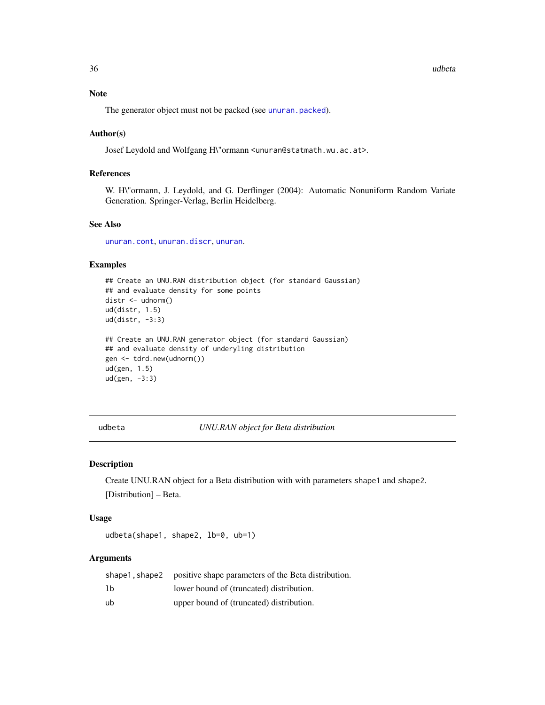#### 36 udbeta udbeta udbeta udbeta udbeta udbeta udbeta udbeta udbeta udbeta udbeta udbeta udbeta udbeta udbeta u

#### Note

The generator object must not be packed (see [unuran.packed](#page-88-1)).

#### Author(s)

Josef Leydold and Wolfgang H\"ormann <unuran@statmath.wu.ac.at>.

# References

W. H\"ormann, J. Leydold, and G. Derflinger (2004): Automatic Nonuniform Random Variate Generation. Springer-Verlag, Berlin Heidelberg.

# See Also

[unuran.cont](#page-78-1), [unuran.discr](#page-82-1), [unuran](#page-74-1).

# Examples

```
## Create an UNU.RAN distribution object (for standard Gaussian)
## and evaluate density for some points
distr <- udnorm()
ud(distr, 1.5)
ud(distr, -3:3)
## Create an UNU.RAN generator object (for standard Gaussian)
## and evaluate density of underyling distribution
gen <- tdrd.new(udnorm())
ud(gen, 1.5)
ud(gen, -3:3)
```
<span id="page-35-1"></span>udbeta *UNU.RAN object for Beta distribution*

#### Description

Create UNU.RAN object for a Beta distribution with with parameters shape1 and shape2. [Distribution] – Beta.

#### Usage

```
udbeta(shape1, shape2, lb=0, ub=1)
```
# Arguments

|    | shape1, shape2 positive shape parameters of the Beta distribution. |
|----|--------------------------------------------------------------------|
| lb | lower bound of (truncated) distribution.                           |
| ub | upper bound of (truncated) distribution.                           |

<span id="page-35-0"></span>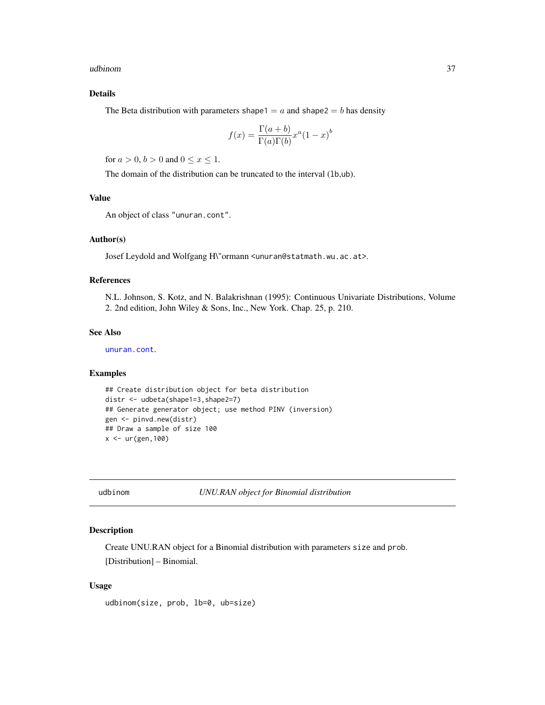udbinom 37

## Details

The Beta distribution with parameters shape1 =  $a$  and shape2 =  $b$  has density

$$
f(x) = \frac{\Gamma(a+b)}{\Gamma(a)\Gamma(b)} x^a (1-x)^b
$$

for  $a > 0$ ,  $b > 0$  and  $0 \le x \le 1$ .

The domain of the distribution can be truncated to the interval (1b,ub).

# Value

An object of class "unuran.cont".

## Author(s)

Josef Leydold and Wolfgang H\"ormann <unuran@statmath.wu.ac.at>.

## References

N.L. Johnson, S. Kotz, and N. Balakrishnan (1995): Continuous Univariate Distributions, Volume 2. 2nd edition, John Wiley & Sons, Inc., New York. Chap. 25, p. 210.

# See Also

[unuran.cont](#page-78-0).

## Examples

```
## Create distribution object for beta distribution
distr <- udbeta(shape1=3,shape2=7)
## Generate generator object; use method PINV (inversion)
gen <- pinvd.new(distr)
## Draw a sample of size 100
x < - ur (gen, 100)
```
udbinom *UNU.RAN object for Binomial distribution*

#### Description

Create UNU.RAN object for a Binomial distribution with parameters size and prob. [Distribution] – Binomial.

## Usage

udbinom(size, prob, lb=0, ub=size)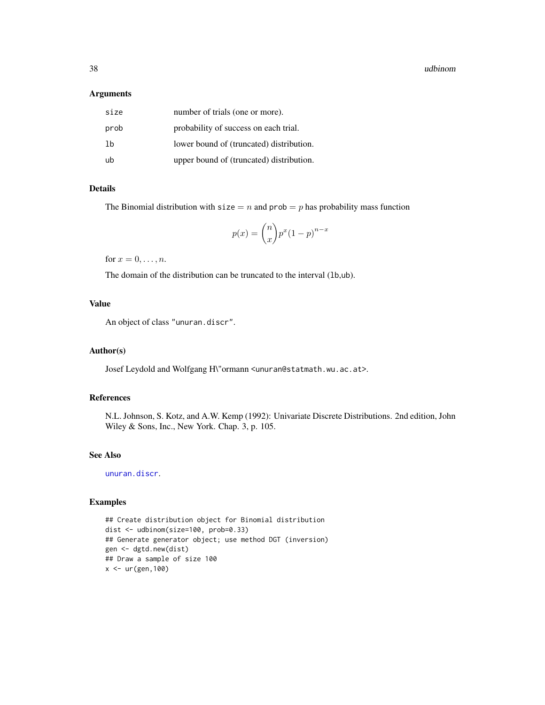38 udbinom

#### Arguments

| size | number of trials (one or more).          |
|------|------------------------------------------|
| prob | probability of success on each trial.    |
| 1b   | lower bound of (truncated) distribution. |
| ub   | upper bound of (truncated) distribution. |

## Details

The Binomial distribution with size  $= n$  and prob  $= p$  has probability mass function

$$
p(x) = \binom{n}{x} p^x (1-p)^{n-x}
$$

for  $x = 0, \ldots, n$ .

The domain of the distribution can be truncated to the interval (1b,ub).

# Value

An object of class "unuran.discr".

#### Author(s)

Josef Leydold and Wolfgang H\"ormann <unuran@statmath.wu.ac.at>.

## References

N.L. Johnson, S. Kotz, and A.W. Kemp (1992): Univariate Discrete Distributions. 2nd edition, John Wiley & Sons, Inc., New York. Chap. 3, p. 105.

# See Also

[unuran.discr](#page-82-0).

# Examples

```
## Create distribution object for Binomial distribution
dist <- udbinom(size=100, prob=0.33)
## Generate generator object; use method DGT (inversion)
gen <- dgtd.new(dist)
## Draw a sample of size 100
x <- ur(gen,100)
```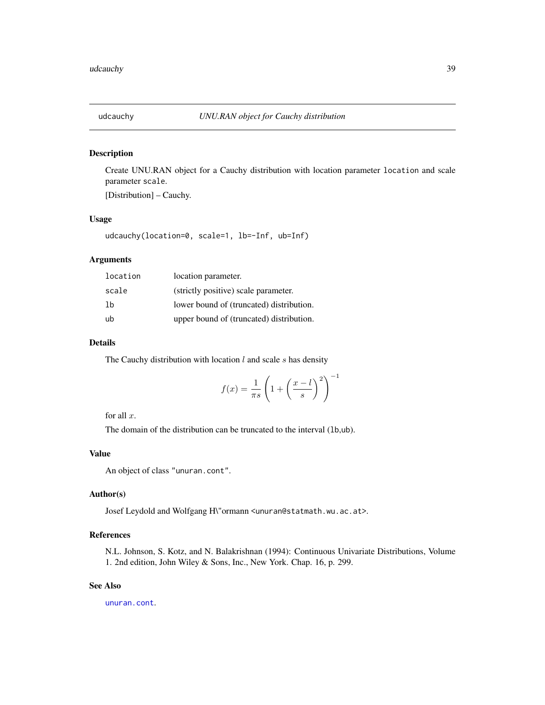# Description

Create UNU.RAN object for a Cauchy distribution with location parameter location and scale parameter scale.

[Distribution] – Cauchy.

## Usage

udcauchy(location=0, scale=1, lb=-Inf, ub=Inf)

# Arguments

| location | location parameter.                      |
|----------|------------------------------------------|
| scale    | (strictly positive) scale parameter.     |
| 1b       | lower bound of (truncated) distribution. |
| ub       | upper bound of (truncated) distribution. |

# Details

The Cauchy distribution with location  $l$  and scale  $s$  has density

$$
f(x) = \frac{1}{\pi s} \left( 1 + \left(\frac{x - l}{s}\right)^2 \right)^{-1}
$$

for all  $x$ .

The domain of the distribution can be truncated to the interval (1b,ub).

## Value

An object of class "unuran.cont".

# Author(s)

Josef Leydold and Wolfgang H\"ormann <unuran@statmath.wu.ac.at>.

# References

N.L. Johnson, S. Kotz, and N. Balakrishnan (1994): Continuous Univariate Distributions, Volume 1. 2nd edition, John Wiley & Sons, Inc., New York. Chap. 16, p. 299.

# See Also

[unuran.cont](#page-78-0).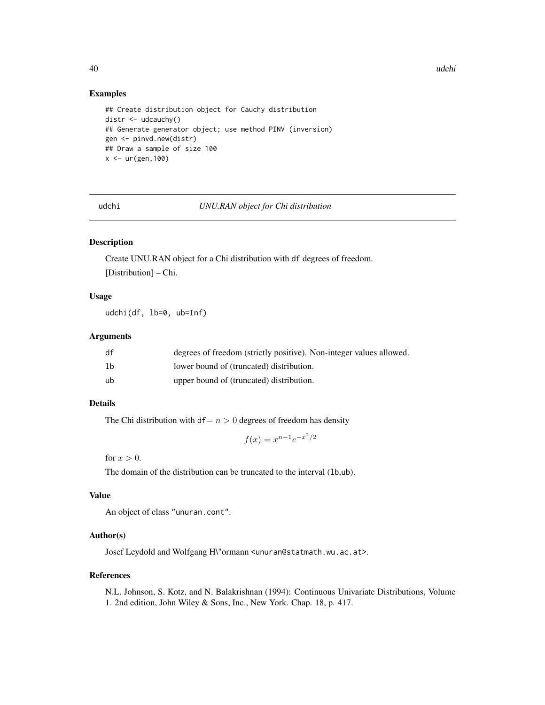40 udchi udchi udchi udchi udchi udchi udchi udchi udchi udchi udchi udchi udchi udchi udchi udchi u

#### Examples

```
## Create distribution object for Cauchy distribution
distr <- udcauchy()
## Generate generator object; use method PINV (inversion)
gen <- pinvd.new(distr)
## Draw a sample of size 100
x < -ur(gen, 100)
```
udchi *UNU.RAN object for Chi distribution*

# Description

Create UNU.RAN object for a Chi distribution with df degrees of freedom. [Distribution] – Chi.

## Usage

udchi(df, lb=0, ub=Inf)

## Arguments

| df             | degrees of freedom (strictly positive). Non-integer values allowed. |
|----------------|---------------------------------------------------------------------|
| 1 <sub>b</sub> | lower bound of (truncated) distribution.                            |
| ub             | upper bound of (truncated) distribution.                            |

# Details

The Chi distribution with df=  $n > 0$  degrees of freedom has density

$$
f(x) = x^{n-1}e^{-x^2/2}
$$

for  $x > 0$ .

The domain of the distribution can be truncated to the interval (1b,ub).

## Value

An object of class "unuran.cont".

#### Author(s)

Josef Leydold and Wolfgang H\"ormann <unuran@statmath.wu.ac.at>.

#### References

N.L. Johnson, S. Kotz, and N. Balakrishnan (1994): Continuous Univariate Distributions, Volume 1. 2nd edition, John Wiley & Sons, Inc., New York. Chap. 18, p. 417.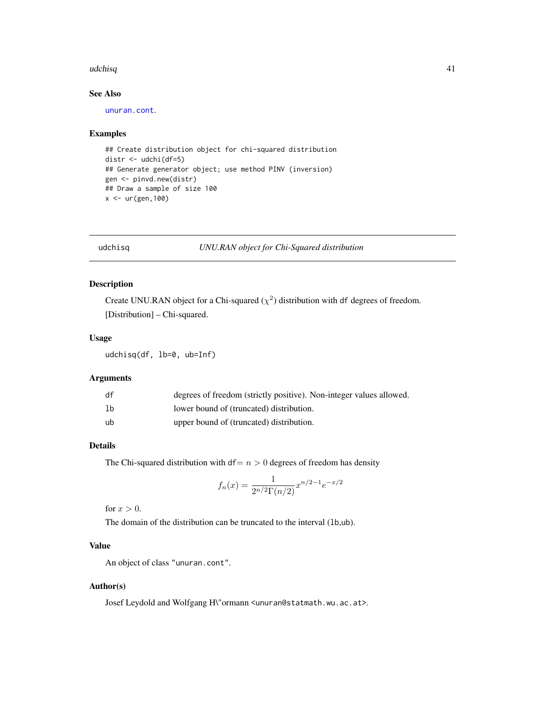#### $\mu$ udchisq  $\mu$  41

# See Also

[unuran.cont](#page-78-0).

#### Examples

```
## Create distribution object for chi-squared distribution
distr <- udchi(df=5)
## Generate generator object; use method PINV (inversion)
gen <- pinvd.new(distr)
## Draw a sample of size 100
x < -ur(gen, 100)
```
# udchisq *UNU.RAN object for Chi-Squared distribution*

# Description

Create UNU.RAN object for a Chi-squared  $(\chi^2)$  distribution with df degrees of freedom. [Distribution] – Chi-squared.

## Usage

udchisq(df, lb=0, ub=Inf)

## Arguments

| df | degrees of freedom (strictly positive). Non-integer values allowed. |
|----|---------------------------------------------------------------------|
| 1b | lower bound of (truncated) distribution.                            |
| ub | upper bound of (truncated) distribution.                            |

# Details

The Chi-squared distribution with  $df = n > 0$  degrees of freedom has density

$$
f_n(x) = \frac{1}{2^{n/2} \Gamma(n/2)} x^{n/2 - 1} e^{-x/2}
$$

for  $x > 0$ .

The domain of the distribution can be truncated to the interval (1b,ub).

# Value

An object of class "unuran.cont".

#### Author(s)

Josef Leydold and Wolfgang H\"ormann <unuran@statmath.wu.ac.at>.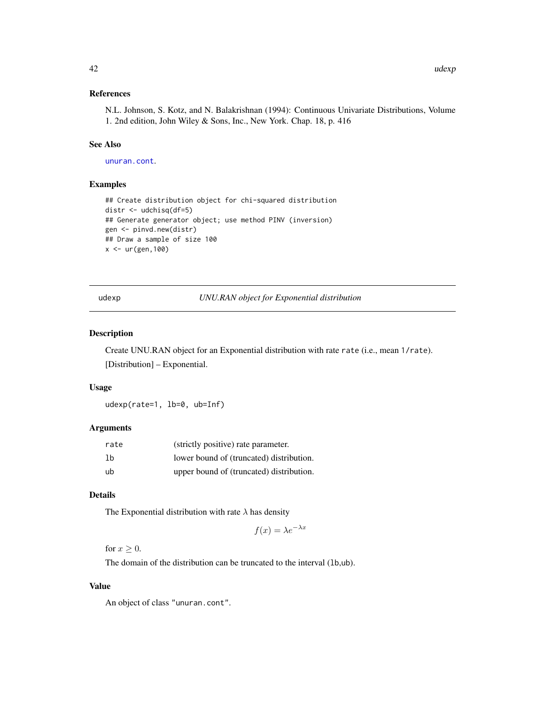## References

N.L. Johnson, S. Kotz, and N. Balakrishnan (1994): Continuous Univariate Distributions, Volume 1. 2nd edition, John Wiley & Sons, Inc., New York. Chap. 18, p. 416

# See Also

[unuran.cont](#page-78-0).

## Examples

```
## Create distribution object for chi-squared distribution
distr <- udchisq(df=5)
## Generate generator object; use method PINV (inversion)
gen <- pinvd.new(distr)
## Draw a sample of size 100
x < -ur(gen, 100)
```
udexp *UNU.RAN object for Exponential distribution*

## Description

Create UNU.RAN object for an Exponential distribution with rate rate (i.e., mean 1/rate). [Distribution] – Exponential.

#### Usage

udexp(rate=1, lb=0, ub=Inf)

#### Arguments

| rate | (strictly positive) rate parameter.      |
|------|------------------------------------------|
| 1b   | lower bound of (truncated) distribution. |
| ub   | upper bound of (truncated) distribution. |

# Details

The Exponential distribution with rate  $\lambda$  has density

$$
f(x) = \lambda e^{-\lambda x}
$$

for  $x \geq 0$ .

The domain of the distribution can be truncated to the interval (lb,ub).

## Value

An object of class "unuran.cont".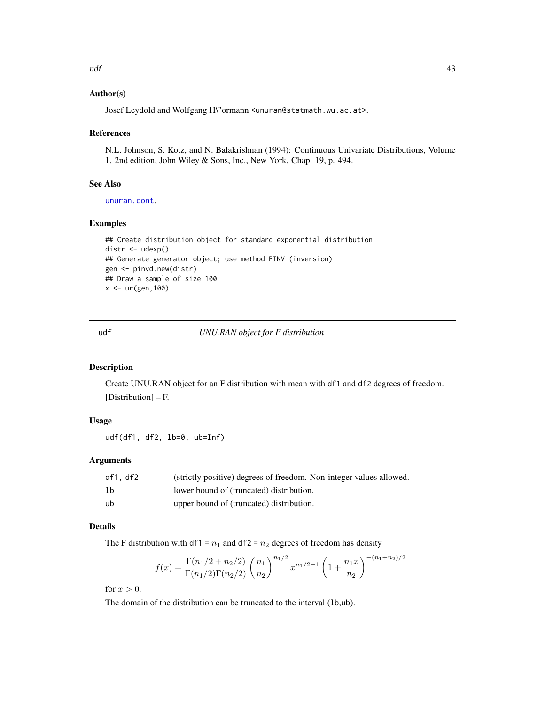## Author(s)

Josef Leydold and Wolfgang H\"ormann <unuran@statmath.wu.ac.at>.

#### References

N.L. Johnson, S. Kotz, and N. Balakrishnan (1994): Continuous Univariate Distributions, Volume 1. 2nd edition, John Wiley & Sons, Inc., New York. Chap. 19, p. 494.

### See Also

[unuran.cont](#page-78-0).

## Examples

```
## Create distribution object for standard exponential distribution
distr <- udexp()
## Generate generator object; use method PINV (inversion)
gen <- pinvd.new(distr)
## Draw a sample of size 100
x <- ur(gen,100)
```
udf *UNU.RAN object for F distribution*

# Description

Create UNU.RAN object for an F distribution with mean with df1 and df2 degrees of freedom. [Distribution] – F.

# Usage

udf(df1, df2, lb=0, ub=Inf)

## Arguments

| df1, df2       | (strictly positive) degrees of freedom. Non-integer values allowed. |
|----------------|---------------------------------------------------------------------|
| 1 <sub>b</sub> | lower bound of (truncated) distribution.                            |
| ub             | upper bound of (truncated) distribution.                            |

#### Details

The F distribution with df1 =  $n_1$  and df2 =  $n_2$  degrees of freedom has density

$$
f(x) = \frac{\Gamma(n_1/2 + n_2/2)}{\Gamma(n_1/2)\Gamma(n_2/2)} \left(\frac{n_1}{n_2}\right)^{n_1/2} x^{n_1/2 - 1} \left(1 + \frac{n_1 x}{n_2}\right)^{-(n_1 + n_2)/2}
$$

for  $x > 0$ .

The domain of the distribution can be truncated to the interval (lb,ub).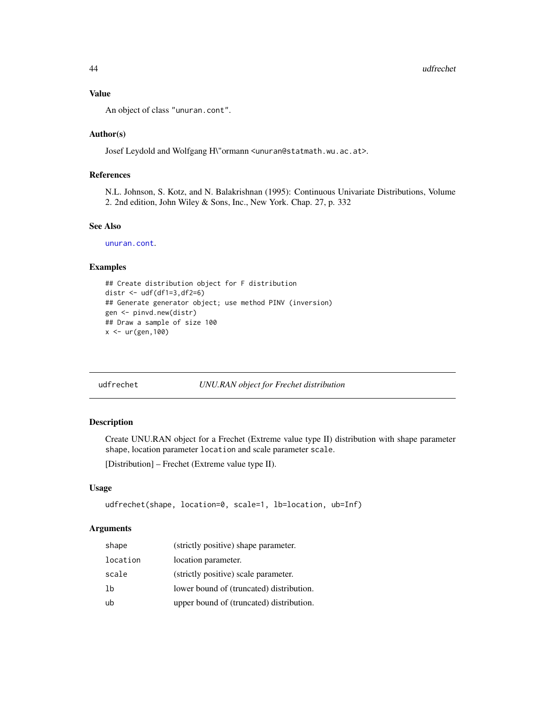## Value

An object of class "unuran.cont".

## Author(s)

Josef Leydold and Wolfgang H\"ormann <unuran@statmath.wu.ac.at>.

## References

N.L. Johnson, S. Kotz, and N. Balakrishnan (1995): Continuous Univariate Distributions, Volume 2. 2nd edition, John Wiley & Sons, Inc., New York. Chap. 27, p. 332

# See Also

[unuran.cont](#page-78-0).

#### Examples

```
## Create distribution object for F distribution
distr <- udf(df1=3,df2=6)
## Generate generator object; use method PINV (inversion)
gen <- pinvd.new(distr)
## Draw a sample of size 100
x <- ur(gen,100)
```
udfrechet *UNU.RAN object for Frechet distribution*

## Description

Create UNU.RAN object for a Frechet (Extreme value type II) distribution with shape parameter shape, location parameter location and scale parameter scale.

[Distribution] – Frechet (Extreme value type II).

## Usage

```
udfrechet(shape, location=0, scale=1, lb=location, ub=Inf)
```
# Arguments

| shape    | (strictly positive) shape parameter.     |
|----------|------------------------------------------|
| location | location parameter.                      |
| scale    | (strictly positive) scale parameter.     |
| 1b       | lower bound of (truncated) distribution. |
| ub       | upper bound of (truncated) distribution. |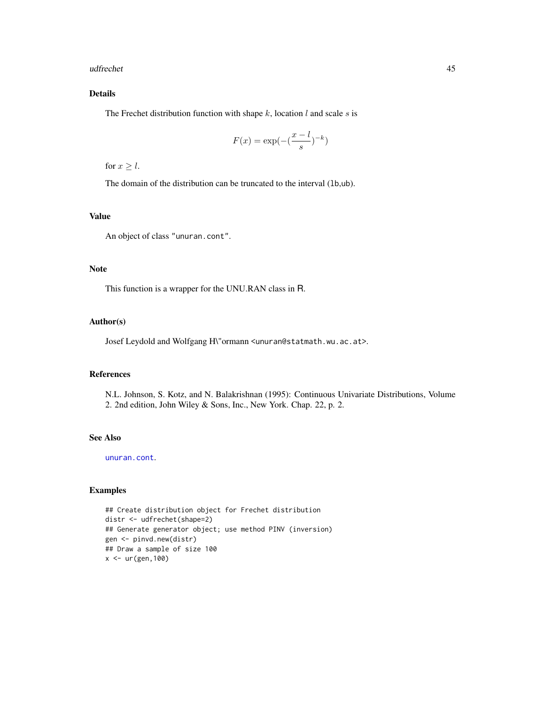#### udfrechet **45**

# Details

The Frechet distribution function with shape  $k$ , location  $l$  and scale  $s$  is

$$
F(x) = \exp(-\left(\frac{x-l}{s}\right)^{-k})
$$

for  $x \geq l$ .

The domain of the distribution can be truncated to the interval (1b,ub).

# Value

An object of class "unuran.cont".

# Note

This function is a wrapper for the UNU.RAN class in R.

#### Author(s)

Josef Leydold and Wolfgang H\"ormann <unuran@statmath.wu.ac.at>.

# References

N.L. Johnson, S. Kotz, and N. Balakrishnan (1995): Continuous Univariate Distributions, Volume 2. 2nd edition, John Wiley & Sons, Inc., New York. Chap. 22, p. 2.

# See Also

[unuran.cont](#page-78-0).

## Examples

```
## Create distribution object for Frechet distribution
distr <- udfrechet(shape=2)
## Generate generator object; use method PINV (inversion)
gen <- pinvd.new(distr)
## Draw a sample of size 100
x <- ur(gen,100)
```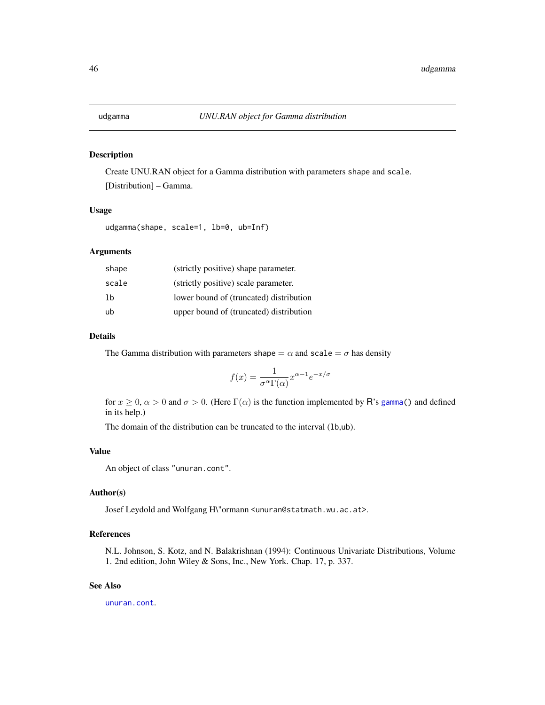## Description

Create UNU.RAN object for a Gamma distribution with parameters shape and scale. [Distribution] – Gamma.

# Usage

udgamma(shape, scale=1, lb=0, ub=Inf)

## Arguments

| shape | (strictly positive) shape parameter.    |
|-------|-----------------------------------------|
| scale | (strictly positive) scale parameter.    |
| 1b    | lower bound of (truncated) distribution |
| ub    | upper bound of (truncated) distribution |

#### Details

The Gamma distribution with parameters shape  $= \alpha$  and scale  $= \sigma$  has density

$$
f(x) = \frac{1}{\sigma^{\alpha} \Gamma(\alpha)} x^{\alpha - 1} e^{-x/\sigma}
$$

for  $x \ge 0$ ,  $\alpha > 0$  and  $\sigma > 0$ . (Here  $\Gamma(\alpha)$  is the function implemented by R's [gamma\(](#page-0-0)) and defined in its help.)

The domain of the distribution can be truncated to the interval (1b,ub).

## Value

An object of class "unuran.cont".

## Author(s)

Josef Leydold and Wolfgang H\"ormann <unuran@statmath.wu.ac.at>.

# References

N.L. Johnson, S. Kotz, and N. Balakrishnan (1994): Continuous Univariate Distributions, Volume 1. 2nd edition, John Wiley & Sons, Inc., New York. Chap. 17, p. 337.

# See Also

[unuran.cont](#page-78-0).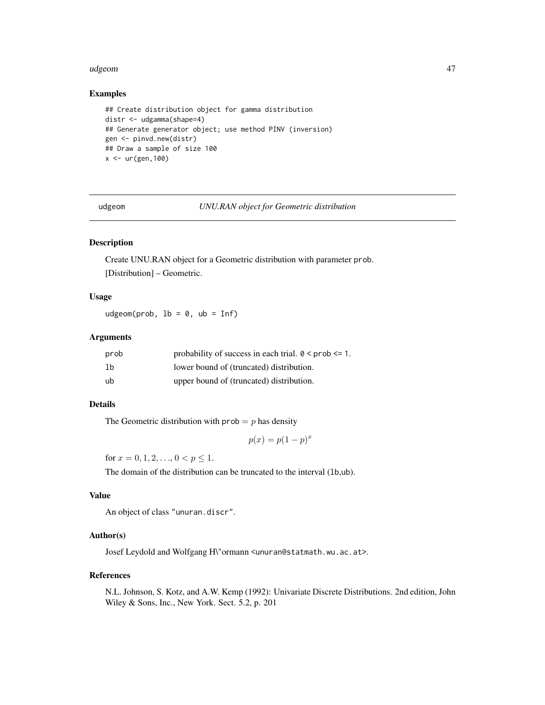#### udgeom 47

# Examples

```
## Create distribution object for gamma distribution
distr <- udgamma(shape=4)
## Generate generator object; use method PINV (inversion)
gen <- pinvd.new(distr)
## Draw a sample of size 100
x < -ur(gen, 100)
```
udgeom *UNU.RAN object for Geometric distribution*

# Description

Create UNU.RAN object for a Geometric distribution with parameter prob. [Distribution] – Geometric.

# Usage

udgeom(prob,  $lb = 0$ ,  $ub = Inf$ )

# Arguments

| prob | probability of success in each trial. $0 \leq prob \leq 1$ . |
|------|--------------------------------------------------------------|
| 1b   | lower bound of (truncated) distribution.                     |
| ub   | upper bound of (truncated) distribution.                     |

## Details

The Geometric distribution with  $prob = p$  has density

 $p(x) = p(1-p)^x$ 

for  $x = 0, 1, 2, \ldots, 0 < p \le 1$ .

The domain of the distribution can be truncated to the interval (lb,ub).

## Value

An object of class "unuran.discr".

#### Author(s)

Josef Leydold and Wolfgang H\"ormann <unuran@statmath.wu.ac.at>.

#### References

N.L. Johnson, S. Kotz, and A.W. Kemp (1992): Univariate Discrete Distributions. 2nd edition, John Wiley & Sons, Inc., New York. Sect. 5.2, p. 201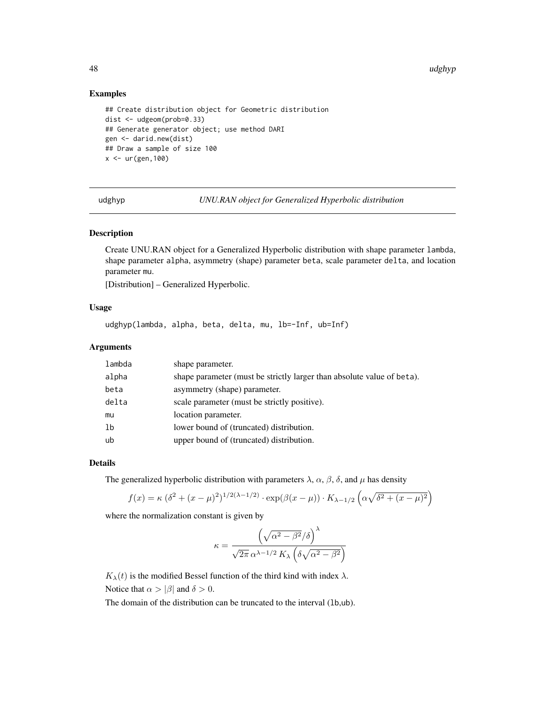48 udghyp

### Examples

```
## Create distribution object for Geometric distribution
dist <- udgeom(prob=0.33)
## Generate generator object; use method DARI
gen <- darid.new(dist)
## Draw a sample of size 100
x < -ur(gen, 100)
```
udghyp *UNU.RAN object for Generalized Hyperbolic distribution*

## Description

Create UNU.RAN object for a Generalized Hyperbolic distribution with shape parameter lambda, shape parameter alpha, asymmetry (shape) parameter beta, scale parameter delta, and location parameter mu.

[Distribution] – Generalized Hyperbolic.

# Usage

udghyp(lambda, alpha, beta, delta, mu, lb=-Inf, ub=Inf)

## Arguments

| lambda | shape parameter.                                                       |
|--------|------------------------------------------------------------------------|
| alpha  | shape parameter (must be strictly larger than absolute value of beta). |
| beta   | asymmetry (shape) parameter.                                           |
| delta  | scale parameter (must be strictly positive).                           |
| mu     | location parameter.                                                    |
| 1b     | lower bound of (truncated) distribution.                               |
| ub     | upper bound of (truncated) distribution.                               |

#### Details

The generalized hyperbolic distribution with parameters  $\lambda$ ,  $\alpha$ ,  $\beta$ ,  $\delta$ , and  $\mu$  has density

$$
f(x) = \kappa (\delta^{2} + (x - \mu)^{2})^{1/2(\lambda - 1/2)} \cdot \exp(\beta(x - \mu)) \cdot K_{\lambda - 1/2} \left( \alpha \sqrt{\delta^{2} + (x - \mu)^{2}} \right)
$$

where the normalization constant is given by

$$
\kappa = \frac{\left(\sqrt{\alpha^2 - \beta^2}/\delta\right)^{\lambda}}{\sqrt{2\pi} \,\alpha^{\lambda - 1/2} \, K_{\lambda} \left(\delta\sqrt{\alpha^2 - \beta^2}\right)}
$$

 $K_{\lambda}(t)$  is the modified Bessel function of the third kind with index  $\lambda$ . Notice that  $\alpha > |\beta|$  and  $\delta > 0$ .

The domain of the distribution can be truncated to the interval (lb,ub).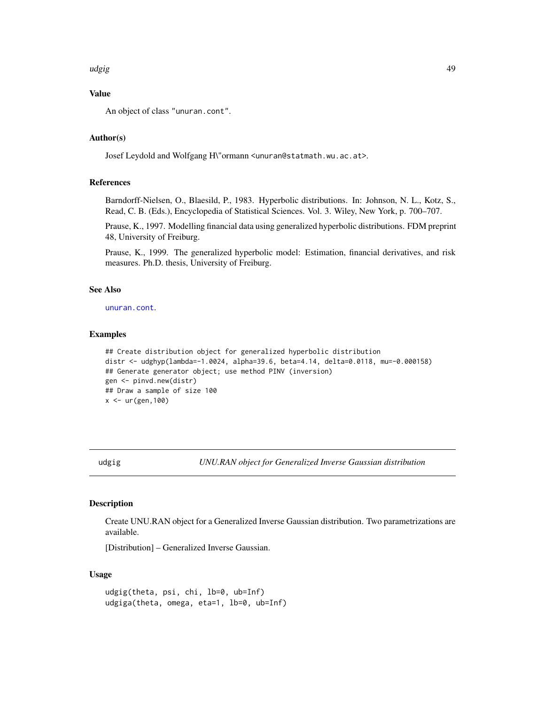#### udgig 49

# Value

An object of class "unuran.cont".

## Author(s)

Josef Leydold and Wolfgang H\"ormann <unuran@statmath.wu.ac.at>.

## References

Barndorff-Nielsen, O., Blaesild, P., 1983. Hyperbolic distributions. In: Johnson, N. L., Kotz, S., Read, C. B. (Eds.), Encyclopedia of Statistical Sciences. Vol. 3. Wiley, New York, p. 700–707.

Prause, K., 1997. Modelling financial data using generalized hyperbolic distributions. FDM preprint 48, University of Freiburg.

Prause, K., 1999. The generalized hyperbolic model: Estimation, financial derivatives, and risk measures. Ph.D. thesis, University of Freiburg.

# See Also

[unuran.cont](#page-78-0).

## Examples

```
## Create distribution object for generalized hyperbolic distribution
distr <- udghyp(lambda=-1.0024, alpha=39.6, beta=4.14, delta=0.0118, mu=-0.000158)
## Generate generator object; use method PINV (inversion)
gen <- pinvd.new(distr)
## Draw a sample of size 100
x <- ur(gen,100)
```
udgig *UNU.RAN object for Generalized Inverse Gaussian distribution*

## Description

Create UNU.RAN object for a Generalized Inverse Gaussian distribution. Two parametrizations are available.

[Distribution] – Generalized Inverse Gaussian.

#### Usage

```
udgig(theta, psi, chi, lb=0, ub=Inf)
udgiga(theta, omega, eta=1, lb=0, ub=Inf)
```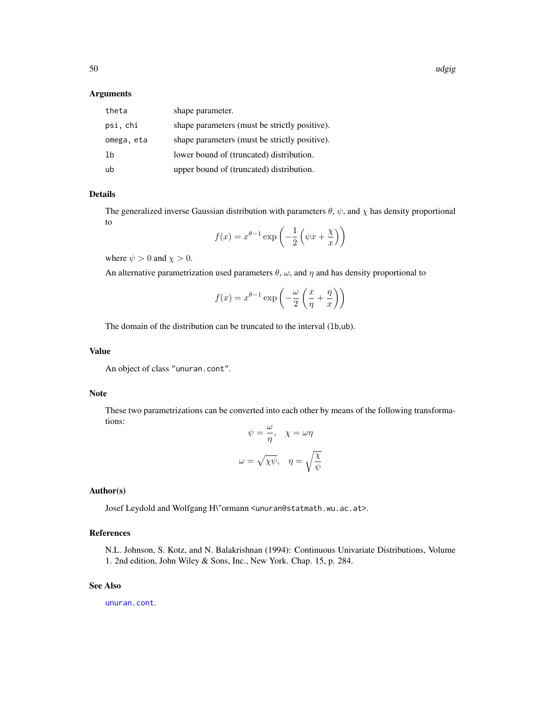#### Arguments

| theta      | shape parameter.                              |
|------------|-----------------------------------------------|
| psi, chi   | shape parameters (must be strictly positive). |
| omega, eta | shape parameters (must be strictly positive). |
| lb         | lower bound of (truncated) distribution.      |
| ub         | upper bound of (truncated) distribution.      |

# Details

The generalized inverse Gaussian distribution with parameters  $\theta$ ,  $\psi$ , and  $\chi$  has density proportional to

$$
f(x) = x^{\theta - 1} \exp\left(-\frac{1}{2} \left(\psi x + \frac{\chi}{x}\right)\right)
$$

where  $\psi > 0$  and  $\chi > 0$ .

An alternative parametrization used parameters  $\theta$ ,  $\omega$ , and  $\eta$  and has density proportional to

$$
f(x) = x^{\theta - 1} \exp\left(-\frac{\omega}{2} \left(\frac{x}{\eta} + \frac{\eta}{x}\right)\right)
$$

The domain of the distribution can be truncated to the interval (1b,ub).

## Value

An object of class "unuran.cont".

## Note

These two parametrizations can be converted into each other by means of the following transformations: ω

$$
\psi = \frac{\omega}{\eta}, \quad \chi = \omega \eta
$$

$$
\omega = \sqrt{\chi \psi}, \quad \eta = \sqrt{\frac{\chi}{\psi}}
$$

#### Author(s)

Josef Leydold and Wolfgang H\"ormann <unuran@statmath.wu.ac.at>.

# References

N.L. Johnson, S. Kotz, and N. Balakrishnan (1994): Continuous Univariate Distributions, Volume 1. 2nd edition, John Wiley & Sons, Inc., New York. Chap. 15, p. 284.

# See Also

[unuran.cont](#page-78-0).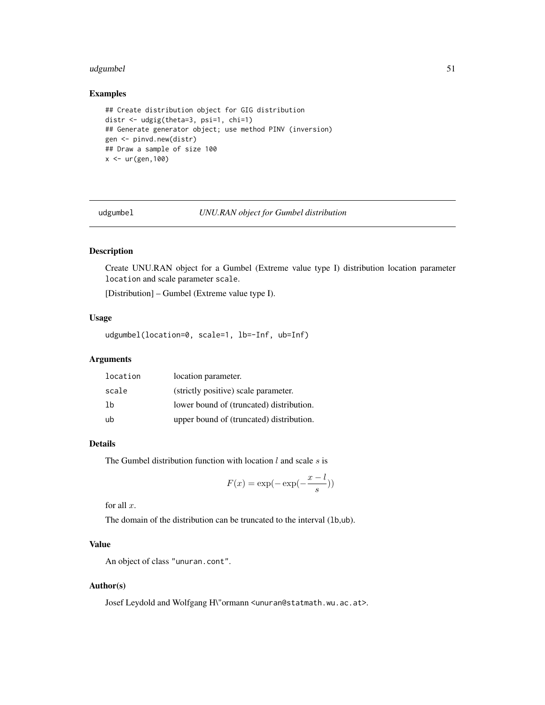#### udgumbel 51

# Examples

```
## Create distribution object for GIG distribution
distr <- udgig(theta=3, psi=1, chi=1)
## Generate generator object; use method PINV (inversion)
gen <- pinvd.new(distr)
## Draw a sample of size 100
x < - ur (gen, 100)
```
udgumbel *UNU.RAN object for Gumbel distribution*

## Description

Create UNU.RAN object for a Gumbel (Extreme value type I) distribution location parameter location and scale parameter scale.

[Distribution] – Gumbel (Extreme value type I).

# Usage

```
udgumbel(location=0, scale=1, lb=-Inf, ub=Inf)
```
## Arguments

| location | location parameter.                      |
|----------|------------------------------------------|
| scale    | (strictly positive) scale parameter.     |
| 1b       | lower bound of (truncated) distribution. |
| ub       | upper bound of (truncated) distribution. |

#### Details

The Gumbel distribution function with location  $l$  and scale  $s$  is

$$
F(x) = \exp(-\exp(-\frac{x-l}{s}))
$$

for all  $x$ .

The domain of the distribution can be truncated to the interval (lb,ub).

# Value

An object of class "unuran.cont".

#### Author(s)

Josef Leydold and Wolfgang H\"ormann <unuran@statmath.wu.ac.at>.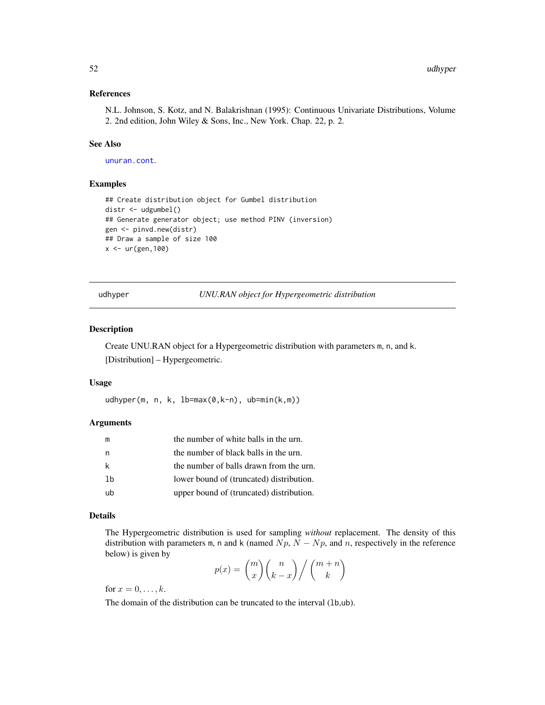### References

N.L. Johnson, S. Kotz, and N. Balakrishnan (1995): Continuous Univariate Distributions, Volume 2. 2nd edition, John Wiley & Sons, Inc., New York. Chap. 22, p. 2.

# See Also

[unuran.cont](#page-78-0).

## Examples

```
## Create distribution object for Gumbel distribution
distr <- udgumbel()
## Generate generator object; use method PINV (inversion)
gen <- pinvd.new(distr)
## Draw a sample of size 100
x < -ur(gen, 100)
```
udhyper *UNU.RAN object for Hypergeometric distribution*

## Description

Create UNU.RAN object for a Hypergeometric distribution with parameters m, n, and k. [Distribution] – Hypergeometric.

#### Usage

udhyper(m, n, k, lb=max(0,k-n), ub=min(k,m))

## Arguments

| m  | the number of white balls in the urn.    |
|----|------------------------------------------|
| n  | the number of black balls in the urn.    |
| k  | the number of balls drawn from the urn.  |
| 1b | lower bound of (truncated) distribution. |
| ub | upper bound of (truncated) distribution. |

## Details

The Hypergeometric distribution is used for sampling *without* replacement. The density of this distribution with parameters m, n and k (named  $Np$ ,  $N - Np$ , and n, respectively in the reference below) is given by

$$
p(x) = {m \choose x} {n \choose k-x} / {m+n \choose k}
$$

for  $x = 0, \ldots, k$ .

The domain of the distribution can be truncated to the interval (lb,ub).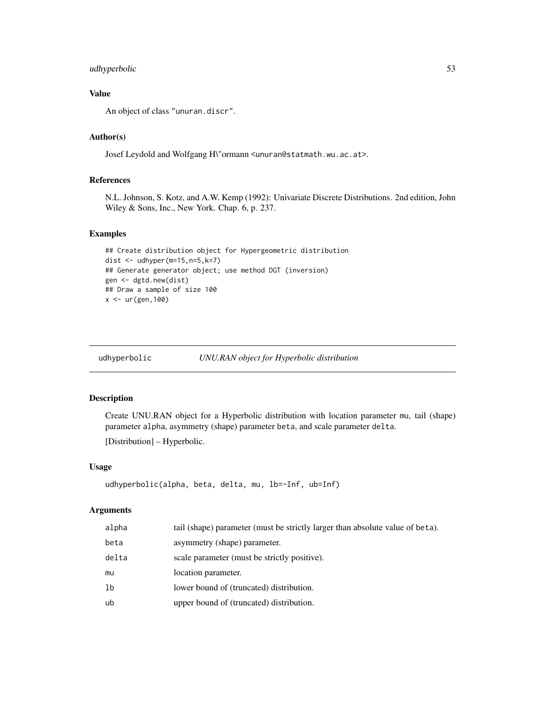# udhyperbolic 53

# Value

An object of class "unuran.discr".

# Author(s)

Josef Leydold and Wolfgang H\"ormann <unuran@statmath.wu.ac.at>.

# References

N.L. Johnson, S. Kotz, and A.W. Kemp (1992): Univariate Discrete Distributions. 2nd edition, John Wiley & Sons, Inc., New York. Chap. 6, p. 237.

# Examples

```
## Create distribution object for Hypergeometric distribution
dist \leq udhyper(m=15,n=5,k=7)
## Generate generator object; use method DGT (inversion)
gen <- dgtd.new(dist)
## Draw a sample of size 100
x < -ur(gen, 100)
```
udhyperbolic *UNU.RAN object for Hyperbolic distribution*

# Description

Create UNU.RAN object for a Hyperbolic distribution with location parameter mu, tail (shape) parameter alpha, asymmetry (shape) parameter beta, and scale parameter delta. [Distribution] – Hyperbolic.

#### Usage

```
udhyperbolic(alpha, beta, delta, mu, lb=-Inf, ub=Inf)
```
## Arguments

| alpha | tail (shape) parameter (must be strictly larger than absolute value of beta). |
|-------|-------------------------------------------------------------------------------|
| beta  | asymmetry (shape) parameter.                                                  |
| delta | scale parameter (must be strictly positive).                                  |
| mu    | location parameter.                                                           |
| 1b    | lower bound of (truncated) distribution.                                      |
| ub    | upper bound of (truncated) distribution.                                      |
|       |                                                                               |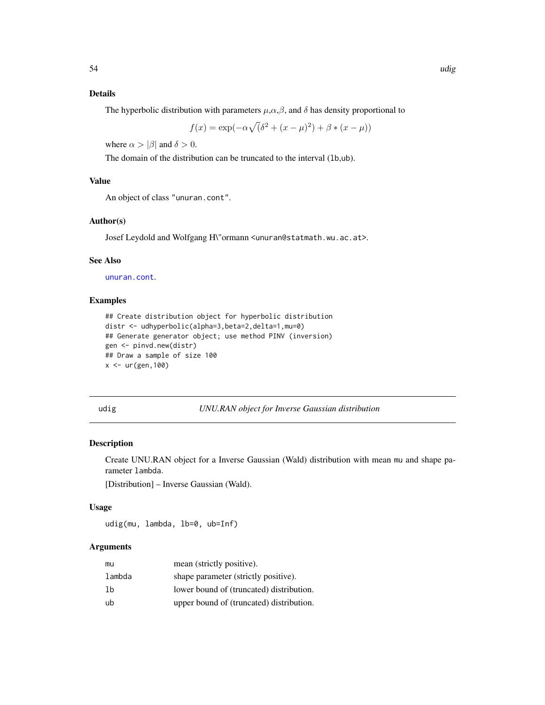# Details

The hyperbolic distribution with parameters  $\mu, \alpha, \beta$ , and  $\delta$  has density proportional to

$$
f(x) = \exp(-\alpha \sqrt{(\delta^2 + (x - \mu)^2)} + \beta * (x - \mu))
$$

where  $\alpha > |\beta|$  and  $\delta > 0$ .

The domain of the distribution can be truncated to the interval (lb,ub).

# Value

An object of class "unuran.cont".

#### Author(s)

Josef Leydold and Wolfgang H\"ormann <unuran@statmath.wu.ac.at>.

## See Also

[unuran.cont](#page-78-0).

## Examples

```
## Create distribution object for hyperbolic distribution
distr <- udhyperbolic(alpha=3,beta=2,delta=1,mu=0)
## Generate generator object; use method PINV (inversion)
gen <- pinvd.new(distr)
## Draw a sample of size 100
x < -ur(gen, 100)
```
udig *UNU.RAN object for Inverse Gaussian distribution*

## Description

Create UNU.RAN object for a Inverse Gaussian (Wald) distribution with mean mu and shape parameter lambda.

[Distribution] – Inverse Gaussian (Wald).

#### Usage

udig(mu, lambda, lb=0, ub=Inf)

#### Arguments

| mu     | mean (strictly positive).                |
|--------|------------------------------------------|
| lambda | shape parameter (strictly positive).     |
| 1b     | lower bound of (truncated) distribution. |
| ub     | upper bound of (truncated) distribution. |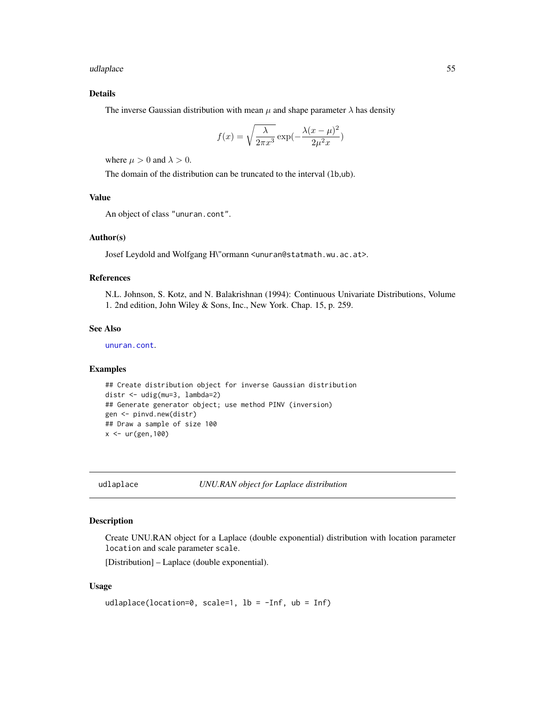udlaplace 55

# Details

The inverse Gaussian distribution with mean  $\mu$  and shape parameter  $\lambda$  has density

$$
f(x) = \sqrt{\frac{\lambda}{2\pi x^3}} \exp(-\frac{\lambda(x-\mu)^2}{2\mu^2 x})
$$

where  $\mu > 0$  and  $\lambda > 0$ .

The domain of the distribution can be truncated to the interval (lb,ub).

## Value

An object of class "unuran.cont".

## Author(s)

Josef Leydold and Wolfgang H\"ormann <unuran@statmath.wu.ac.at>.

## References

N.L. Johnson, S. Kotz, and N. Balakrishnan (1994): Continuous Univariate Distributions, Volume 1. 2nd edition, John Wiley & Sons, Inc., New York. Chap. 15, p. 259.

#### See Also

[unuran.cont](#page-78-0).

#### Examples

```
## Create distribution object for inverse Gaussian distribution
distr <- udig(mu=3, lambda=2)
## Generate generator object; use method PINV (inversion)
gen <- pinvd.new(distr)
## Draw a sample of size 100
x < - ur (gen, 100)
```
udlaplace *UNU.RAN object for Laplace distribution*

#### Description

Create UNU.RAN object for a Laplace (double exponential) distribution with location parameter location and scale parameter scale.

[Distribution] – Laplace (double exponential).

#### Usage

```
udlaplace(location=0, scale=1, lb = -Inf, ub = Inf)
```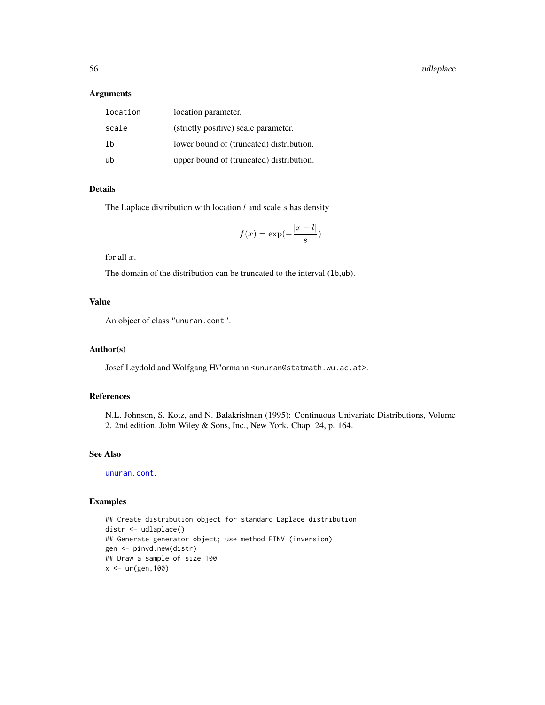#### Arguments

| location | location parameter.                      |
|----------|------------------------------------------|
| scale    | (strictly positive) scale parameter.     |
| 1b       | lower bound of (truncated) distribution. |
| ub       | upper bound of (truncated) distribution. |

## Details

The Laplace distribution with location  $l$  and scale  $s$  has density

$$
f(x) = \exp(-\frac{|x - l|}{s})
$$

for all  $x$ .

The domain of the distribution can be truncated to the interval (lb,ub).

# Value

An object of class "unuran.cont".

## Author(s)

Josef Leydold and Wolfgang H\"ormann <unuran@statmath.wu.ac.at>.

# References

N.L. Johnson, S. Kotz, and N. Balakrishnan (1995): Continuous Univariate Distributions, Volume 2. 2nd edition, John Wiley & Sons, Inc., New York. Chap. 24, p. 164.

## See Also

[unuran.cont](#page-78-0).

## Examples

```
## Create distribution object for standard Laplace distribution
distr <- udlaplace()
## Generate generator object; use method PINV (inversion)
gen <- pinvd.new(distr)
## Draw a sample of size 100
x <- ur(gen,100)
```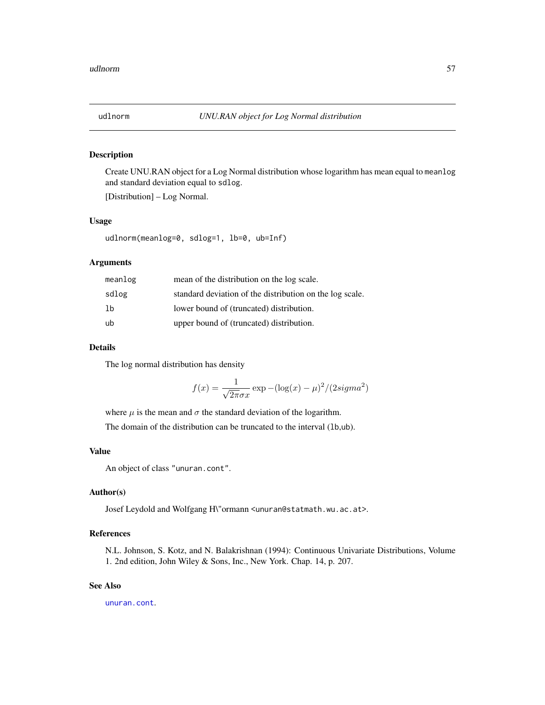## Description

Create UNU.RAN object for a Log Normal distribution whose logarithm has mean equal to meanlog and standard deviation equal to sdlog.

[Distribution] – Log Normal.

#### Usage

udlnorm(meanlog=0, sdlog=1, lb=0, ub=Inf)

#### Arguments

| meanlog | mean of the distribution on the log scale.               |
|---------|----------------------------------------------------------|
| sdlog   | standard deviation of the distribution on the log scale. |
| -1b     | lower bound of (truncated) distribution.                 |
| ub      | upper bound of (truncated) distribution.                 |

## Details

The log normal distribution has density

$$
f(x) = \frac{1}{\sqrt{2\pi}\sigma x} \exp(-(\log(x) - \mu)^2 / (2\sigma^2)
$$

where  $\mu$  is the mean and  $\sigma$  the standard deviation of the logarithm.

The domain of the distribution can be truncated to the interval (1b,ub).

## Value

An object of class "unuran.cont".

#### Author(s)

Josef Leydold and Wolfgang H\"ormann <unuran@statmath.wu.ac.at>.

# References

N.L. Johnson, S. Kotz, and N. Balakrishnan (1994): Continuous Univariate Distributions, Volume 1. 2nd edition, John Wiley & Sons, Inc., New York. Chap. 14, p. 207.

# See Also

[unuran.cont](#page-78-0).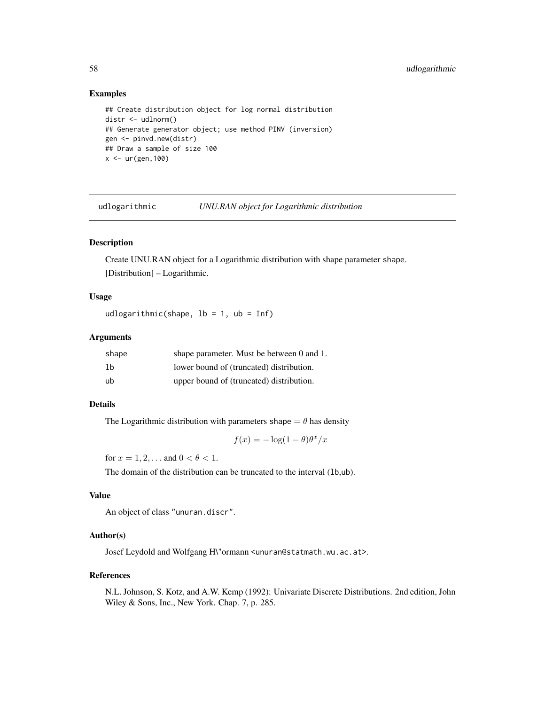## Examples

```
## Create distribution object for log normal distribution
distr <- udlnorm()
## Generate generator object; use method PINV (inversion)
gen <- pinvd.new(distr)
## Draw a sample of size 100
x < -ur(gen, 100)
```
udlogarithmic *UNU.RAN object for Logarithmic distribution*

# Description

Create UNU.RAN object for a Logarithmic distribution with shape parameter shape. [Distribution] – Logarithmic.

# Usage

udlogarithmic(shape,  $lb = 1$ ,  $ub = Inf$ )

# Arguments

| shape | shape parameter. Must be between 0 and 1. |
|-------|-------------------------------------------|
| 1b    | lower bound of (truncated) distribution.  |
| ub    | upper bound of (truncated) distribution.  |

## Details

The Logarithmic distribution with parameters shape  $= \theta$  has density

 $f(x) = -\log(1-\theta)\theta^x/x$ 

for  $x = 1, 2, ...$  and  $0 < \theta < 1$ .

The domain of the distribution can be truncated to the interval (1b,ub).

# Value

An object of class "unuran.discr".

#### Author(s)

Josef Leydold and Wolfgang H\"ormann <unuran@statmath.wu.ac.at>.

#### References

N.L. Johnson, S. Kotz, and A.W. Kemp (1992): Univariate Discrete Distributions. 2nd edition, John Wiley & Sons, Inc., New York. Chap. 7, p. 285.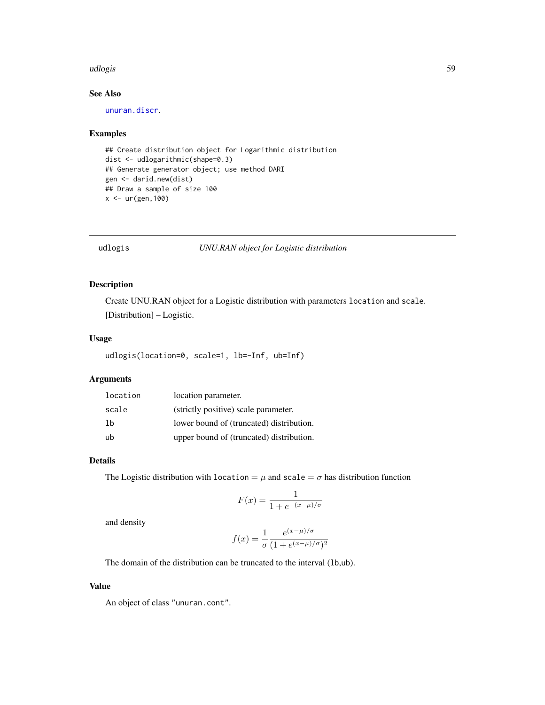#### udlogis 59

# See Also

[unuran.discr](#page-82-0).

#### Examples

```
## Create distribution object for Logarithmic distribution
dist <- udlogarithmic(shape=0.3)
## Generate generator object; use method DARI
gen <- darid.new(dist)
## Draw a sample of size 100
x <- ur(gen,100)
```
#### udlogis *UNU.RAN object for Logistic distribution*

# Description

Create UNU.RAN object for a Logistic distribution with parameters location and scale.

[Distribution] – Logistic.

# Usage

udlogis(location=0, scale=1, lb=-Inf, ub=Inf)

# Arguments

| location | location parameter.                      |
|----------|------------------------------------------|
| scale    | (strictly positive) scale parameter.     |
| 1b       | lower bound of (truncated) distribution. |
| ub       | upper bound of (truncated) distribution. |

# Details

The Logistic distribution with location =  $\mu$  and scale =  $\sigma$  has distribution function

$$
F(x) = \frac{1}{1 + e^{-(x - \mu)/\sigma}}
$$

and density

$$
f(x) = \frac{1}{\sigma} \frac{e^{(x-\mu)/\sigma}}{(1 + e^{(x-\mu)/\sigma})^2}
$$

The domain of the distribution can be truncated to the interval (lb,ub).

## Value

An object of class "unuran.cont".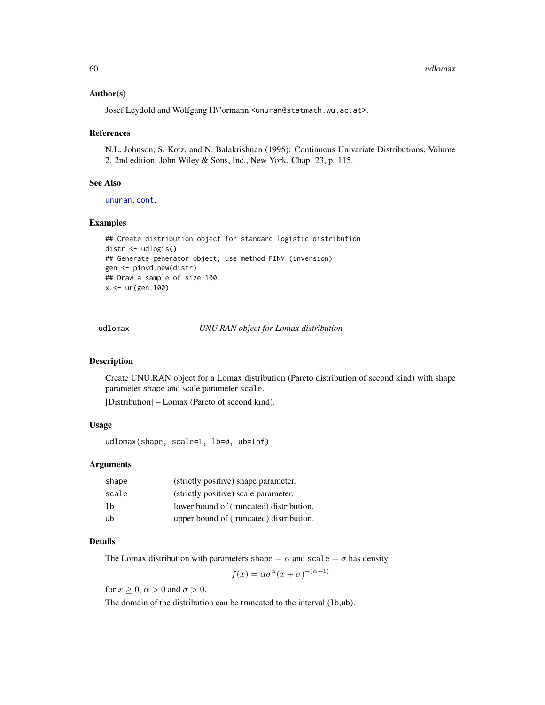### Author(s)

Josef Leydold and Wolfgang H\"ormann <unuran@statmath.wu.ac.at>.

#### References

N.L. Johnson, S. Kotz, and N. Balakrishnan (1995): Continuous Univariate Distributions, Volume 2. 2nd edition, John Wiley & Sons, Inc., New York. Chap. 23, p. 115.

#### See Also

[unuran.cont](#page-78-0).

## Examples

```
## Create distribution object for standard logistic distribution
distr <- udlogis()
## Generate generator object; use method PINV (inversion)
gen <- pinvd.new(distr)
## Draw a sample of size 100
x <- ur(gen,100)
```
udlomax *UNU.RAN object for Lomax distribution*

## Description

Create UNU.RAN object for a Lomax distribution (Pareto distribution of second kind) with shape parameter shape and scale parameter scale.

[Distribution] – Lomax (Pareto of second kind).

## Usage

udlomax(shape, scale=1, lb=0, ub=Inf)

#### Arguments

| shape | (strictly positive) shape parameter.     |
|-------|------------------------------------------|
| scale | (strictly positive) scale parameter.     |
| 1b    | lower bound of (truncated) distribution. |
| ub    | upper bound of (truncated) distribution. |

#### Details

The Lomax distribution with parameters shape  $= \alpha$  and scale  $= \sigma$  has density

 $f(x) = \alpha \sigma^{\alpha} (x + \sigma)^{-(\alpha+1)}$ 

for  $x \geq 0$ ,  $\alpha > 0$  and  $\sigma > 0$ .

The domain of the distribution can be truncated to the interval (lb,ub).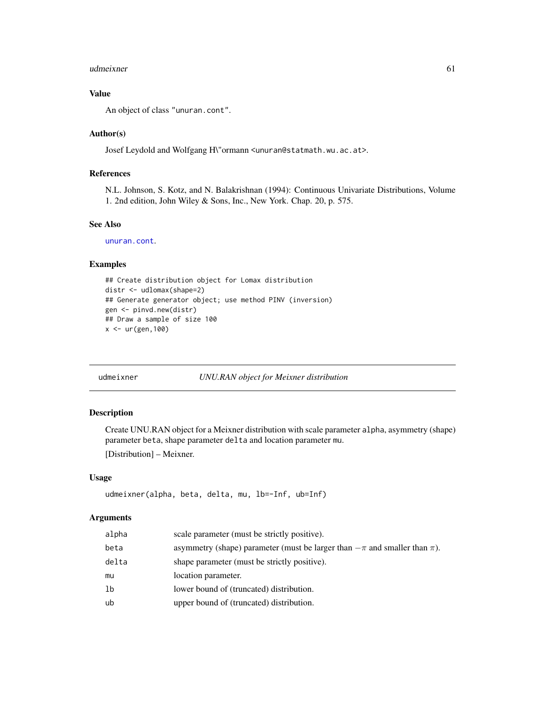#### udmeixner 61

## Value

An object of class "unuran.cont".

#### Author(s)

Josef Leydold and Wolfgang H\"ormann <unuran@statmath.wu.ac.at>.

## References

N.L. Johnson, S. Kotz, and N. Balakrishnan (1994): Continuous Univariate Distributions, Volume 1. 2nd edition, John Wiley & Sons, Inc., New York. Chap. 20, p. 575.

#### See Also

[unuran.cont](#page-78-0).

# Examples

```
## Create distribution object for Lomax distribution
distr <- udlomax(shape=2)
## Generate generator object; use method PINV (inversion)
gen <- pinvd.new(distr)
## Draw a sample of size 100
x < -ur(gen, 100)
```
# udmeixner *UNU.RAN object for Meixner distribution*

#### Description

Create UNU.RAN object for a Meixner distribution with scale parameter alpha, asymmetry (shape) parameter beta, shape parameter delta and location parameter mu.

[Distribution] – Meixner.

## Usage

```
udmeixner(alpha, beta, delta, mu, lb=-Inf, ub=Inf)
```
#### Arguments

| alpha | scale parameter (must be strictly positive).                                      |
|-------|-----------------------------------------------------------------------------------|
| beta  | asymmetry (shape) parameter (must be larger than $-\pi$ and smaller than $\pi$ ). |
| delta | shape parameter (must be strictly positive).                                      |
| mu    | location parameter.                                                               |
| lb    | lower bound of (truncated) distribution.                                          |
| ub    | upper bound of (truncated) distribution.                                          |
|       |                                                                                   |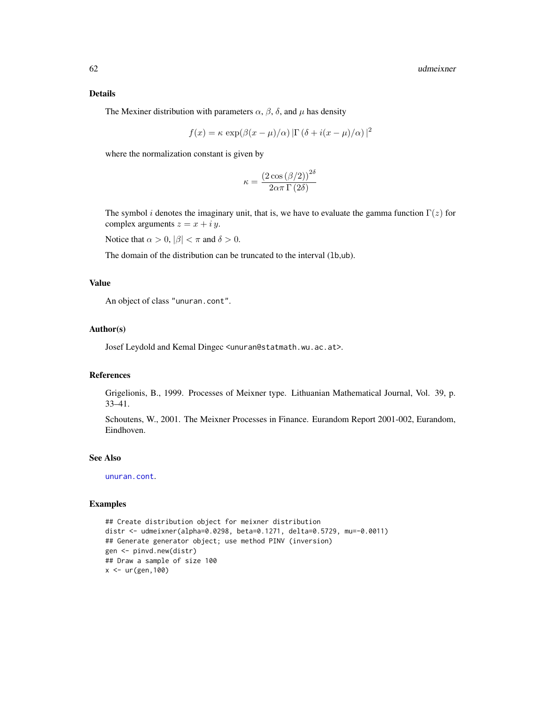## Details

The Mexiner distribution with parameters  $\alpha$ ,  $\beta$ ,  $\delta$ , and  $\mu$  has density

$$
f(x) = \kappa \exp(\beta(x - \mu)/\alpha) \left[ \Gamma(\delta + i(x - \mu)/\alpha) \right]^2
$$

where the normalization constant is given by

$$
\kappa = \frac{\left(2 \cos \left(\beta / 2\right)\right)^{2 \delta}}{2 \alpha \pi \Gamma \left(2 \delta\right)}
$$

The symbol i denotes the imaginary unit, that is, we have to evaluate the gamma function  $\Gamma(z)$  for complex arguments  $z = x + iy$ .

Notice that  $\alpha > 0$ ,  $|\beta| < \pi$  and  $\delta > 0$ .

The domain of the distribution can be truncated to the interval (lb,ub).

## Value

An object of class "unuran.cont".

#### Author(s)

Josef Leydold and Kemal Dingec <unuran@statmath.wu.ac.at>.

#### References

Grigelionis, B., 1999. Processes of Meixner type. Lithuanian Mathematical Journal, Vol. 39, p. 33–41.

Schoutens, W., 2001. The Meixner Processes in Finance. Eurandom Report 2001-002, Eurandom, Eindhoven.

#### See Also

[unuran.cont](#page-78-0).

## Examples

```
## Create distribution object for meixner distribution
distr <- udmeixner(alpha=0.0298, beta=0.1271, delta=0.5729, mu=-0.0011)
## Generate generator object; use method PINV (inversion)
gen <- pinvd.new(distr)
## Draw a sample of size 100
x < - ur (gen, 100)
```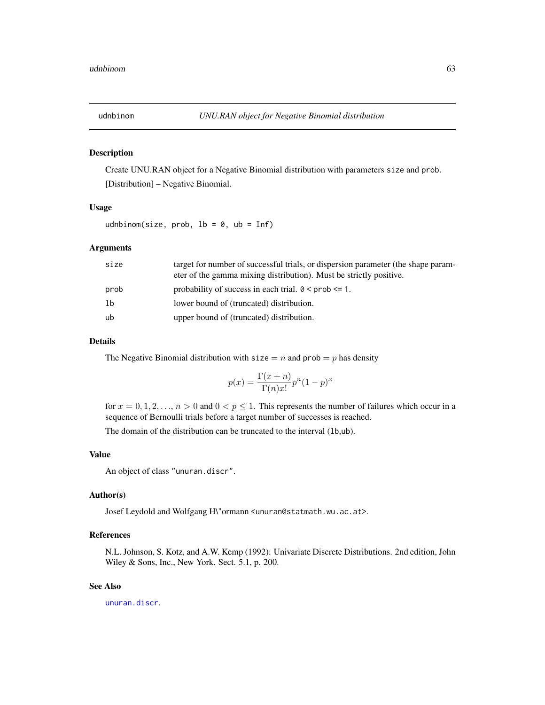#### Description

Create UNU.RAN object for a Negative Binomial distribution with parameters size and prob. [Distribution] – Negative Binomial.

#### Usage

udnbinom(size, prob,  $lb = 0$ ,  $ub = Inf$ )

## Arguments

| size | target for number of successful trials, or dispersion parameter (the shape param-<br>eter of the gamma mixing distribution). Must be strictly positive. |
|------|---------------------------------------------------------------------------------------------------------------------------------------------------------|
| prob | probability of success in each trial. $0 \leq prob \leq 1$ .                                                                                            |
| lb   | lower bound of (truncated) distribution.                                                                                                                |
| ub   | upper bound of (truncated) distribution.                                                                                                                |

#### Details

The Negative Binomial distribution with  $size = n$  and  $prob = p$  has density

$$
p(x) = \frac{\Gamma(x+n)}{\Gamma(n)x!} p^{n} (1-p)^{x}
$$

for  $x = 0, 1, 2, \ldots, n > 0$  and  $0 < p \le 1$ . This represents the number of failures which occur in a sequence of Bernoulli trials before a target number of successes is reached.

The domain of the distribution can be truncated to the interval (lb,ub).

# Value

An object of class "unuran.discr".

#### Author(s)

Josef Leydold and Wolfgang H\"ormann <unuran@statmath.wu.ac.at>.

## References

N.L. Johnson, S. Kotz, and A.W. Kemp (1992): Univariate Discrete Distributions. 2nd edition, John Wiley & Sons, Inc., New York. Sect. 5.1, p. 200.

# See Also

[unuran.discr](#page-82-0).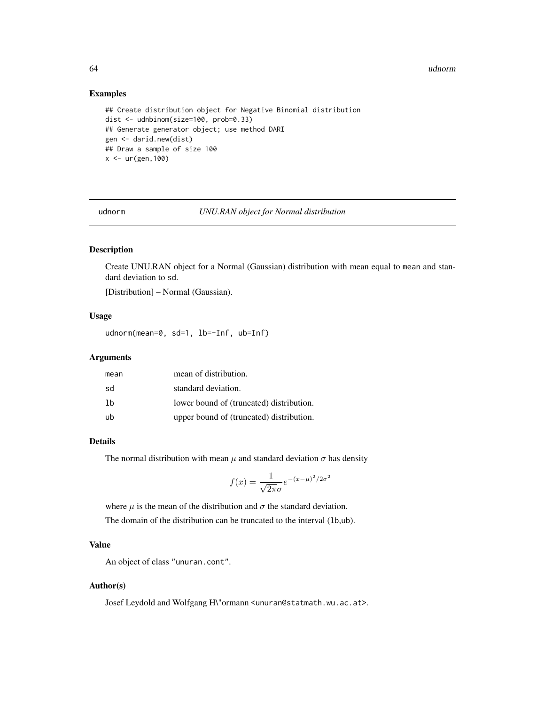#### 64 udnorm

## Examples

```
## Create distribution object for Negative Binomial distribution
dist <- udnbinom(size=100, prob=0.33)
## Generate generator object; use method DARI
gen <- darid.new(dist)
## Draw a sample of size 100
x < -ur(gen, 100)
```
udnorm *UNU.RAN object for Normal distribution*

# Description

Create UNU.RAN object for a Normal (Gaussian) distribution with mean equal to mean and standard deviation to sd.

[Distribution] – Normal (Gaussian).

#### Usage

udnorm(mean=0, sd=1, lb=-Inf, ub=Inf)

# Arguments

| mean | mean of distribution.                    |
|------|------------------------------------------|
| sd   | standard deviation.                      |
| 1b   | lower bound of (truncated) distribution. |
| ub   | upper bound of (truncated) distribution. |

#### Details

The normal distribution with mean  $\mu$  and standard deviation  $\sigma$  has density

$$
f(x) = \frac{1}{\sqrt{2\pi}\sigma}e^{-(x-\mu)^2/2\sigma^2}
$$

where  $\mu$  is the mean of the distribution and  $\sigma$  the standard deviation.

The domain of the distribution can be truncated to the interval (lb,ub).

# Value

An object of class "unuran.cont".

#### Author(s)

Josef Leydold and Wolfgang H\"ormann <unuran@statmath.wu.ac.at>.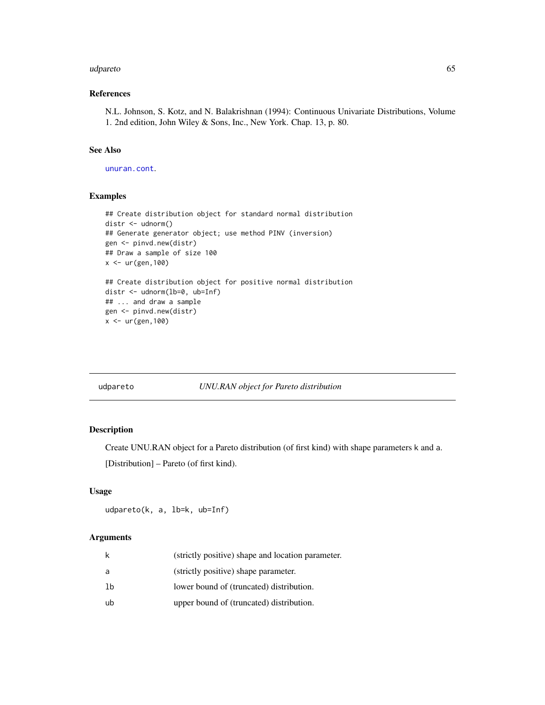#### udpareto 65 °C. In the contract of the contract of the contract of the contract of the contract of the contract of the contract of the contract of the contract of the contract of the contract of the contract of the contrac

# References

N.L. Johnson, S. Kotz, and N. Balakrishnan (1994): Continuous Univariate Distributions, Volume 1. 2nd edition, John Wiley & Sons, Inc., New York. Chap. 13, p. 80.

#### See Also

[unuran.cont](#page-78-0).

# Examples

```
## Create distribution object for standard normal distribution
distr <- udnorm()
## Generate generator object; use method PINV (inversion)
gen <- pinvd.new(distr)
## Draw a sample of size 100
x < - ur (gen, 100)
## Create distribution object for positive normal distribution
distr <- udnorm(lb=0, ub=Inf)
## ... and draw a sample
gen <- pinvd.new(distr)
x < -ur(gen, 100)
```
# udpareto *UNU.RAN object for Pareto distribution*

#### Description

Create UNU.RAN object for a Pareto distribution (of first kind) with shape parameters k and a. [Distribution] – Pareto (of first kind).

## Usage

udpareto(k, a, lb=k, ub=Inf)

#### Arguments

| k  | (strictly positive) shape and location parameter. |
|----|---------------------------------------------------|
| a  | (strictly positive) shape parameter.              |
| 1b | lower bound of (truncated) distribution.          |
| ub | upper bound of (truncated) distribution.          |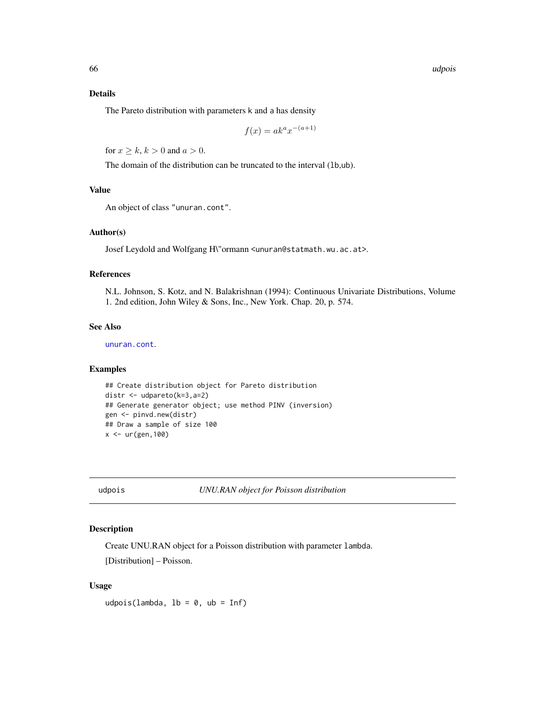66 udpois

## Details

The Pareto distribution with parameters k and a has density

$$
f(x) = a k^a x^{-(a+1)}
$$

for  $x \ge k$ ,  $k > 0$  and  $a > 0$ .

The domain of the distribution can be truncated to the interval (1b,ub).

#### Value

An object of class "unuran.cont".

## Author(s)

Josef Leydold and Wolfgang H\"ormann <unuran@statmath.wu.ac.at>.

## References

N.L. Johnson, S. Kotz, and N. Balakrishnan (1994): Continuous Univariate Distributions, Volume 1. 2nd edition, John Wiley & Sons, Inc., New York. Chap. 20, p. 574.

#### See Also

[unuran.cont](#page-78-0).

#### Examples

```
## Create distribution object for Pareto distribution
distr <- udpareto(k=3,a=2)
## Generate generator object; use method PINV (inversion)
gen <- pinvd.new(distr)
## Draw a sample of size 100
x < -ur(gen, 100)
```
udpois *UNU.RAN object for Poisson distribution*

## Description

Create UNU.RAN object for a Poisson distribution with parameter lambda.

[Distribution] – Poisson.

## Usage

udpois(lambda,  $lb = 0$ ,  $ub = Inf$ )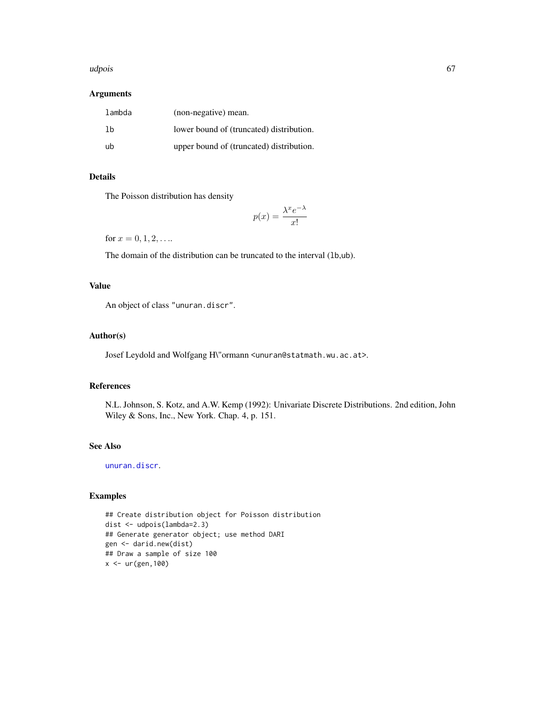#### udpois 67 and 56 and 56 and 56 and 56 and 56 and 56 and 56 and 56 and 56 and 56 and 56 and 56 and 56 and 56 and

## Arguments

| lambda | (non-negative) mean.                     |
|--------|------------------------------------------|
| -1b    | lower bound of (truncated) distribution. |
| -ub    | upper bound of (truncated) distribution. |

# Details

The Poisson distribution has density

$$
p(x) = \frac{\lambda^x e^{-\lambda}}{x!}
$$

for  $x = 0, 1, 2, ...$ 

The domain of the distribution can be truncated to the interval (lb,ub).

## Value

An object of class "unuran.discr".

## Author(s)

Josef Leydold and Wolfgang H\"ormann <unuran@statmath.wu.ac.at>.

#### References

N.L. Johnson, S. Kotz, and A.W. Kemp (1992): Univariate Discrete Distributions. 2nd edition, John Wiley & Sons, Inc., New York. Chap. 4, p. 151.

## See Also

[unuran.discr](#page-82-0).

# Examples

## Create distribution object for Poisson distribution dist <- udpois(lambda=2.3) ## Generate generator object; use method DARI gen <- darid.new(dist) ## Draw a sample of size 100  $x < -ur(gen, 100)$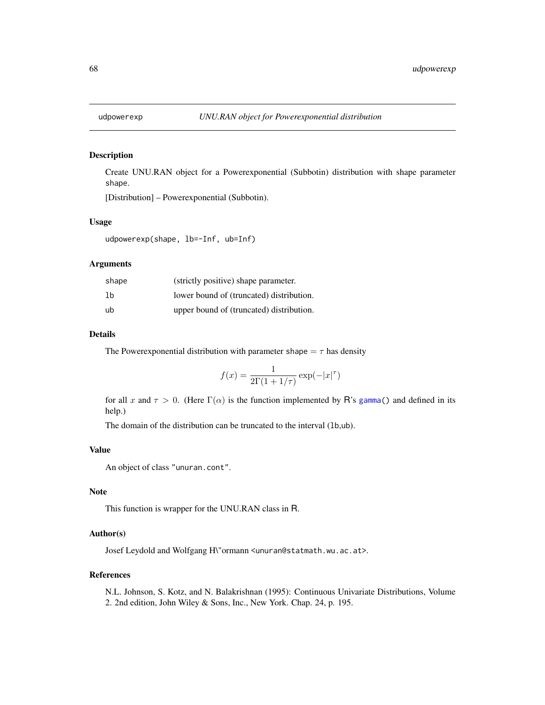## Description

Create UNU.RAN object for a Powerexponential (Subbotin) distribution with shape parameter shape.

[Distribution] – Powerexponential (Subbotin).

#### Usage

udpowerexp(shape, lb=-Inf, ub=Inf)

## Arguments

| shape | (strictly positive) shape parameter.     |
|-------|------------------------------------------|
| 1b    | lower bound of (truncated) distribution. |
| ub    | upper bound of (truncated) distribution. |

## Details

The Powerexponential distribution with parameter shape  $=\tau$  has density

$$
f(x) = \frac{1}{2\Gamma(1+1/\tau)} \exp(-|x|^{\tau})
$$

for all x and  $\tau > 0$ . (Here  $\Gamma(\alpha)$  is the function implemented by R's [gamma\(](#page-0-0)) and defined in its help.)

The domain of the distribution can be truncated to the interval (lb,ub).

## Value

An object of class "unuran.cont".

## Note

This function is wrapper for the UNU.RAN class in R.

# Author(s)

Josef Leydold and Wolfgang H\"ormann <unuran@statmath.wu.ac.at>.

#### References

N.L. Johnson, S. Kotz, and N. Balakrishnan (1995): Continuous Univariate Distributions, Volume 2. 2nd edition, John Wiley & Sons, Inc., New York. Chap. 24, p. 195.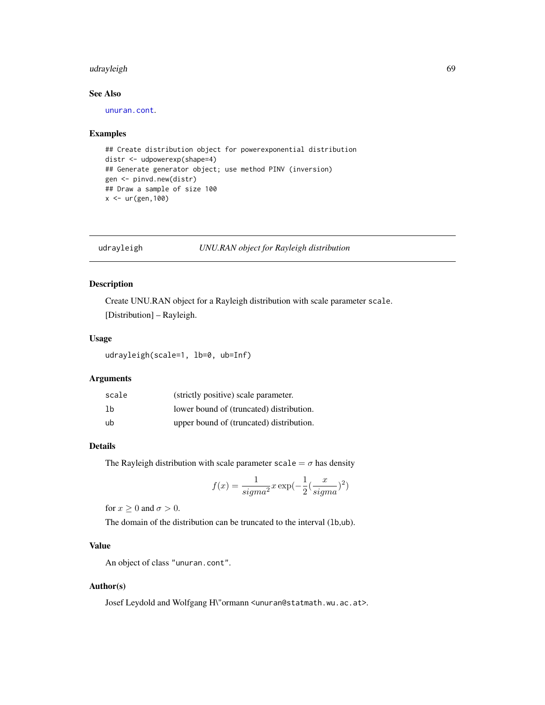# udrayleigh 69

## See Also

[unuran.cont](#page-78-0).

#### Examples

```
## Create distribution object for powerexponential distribution
distr <- udpowerexp(shape=4)
## Generate generator object; use method PINV (inversion)
gen <- pinvd.new(distr)
## Draw a sample of size 100
x <- ur(gen,100)
```
## udrayleigh *UNU.RAN object for Rayleigh distribution*

# Description

Create UNU.RAN object for a Rayleigh distribution with scale parameter scale. [Distribution] – Rayleigh.

## Usage

udrayleigh(scale=1, lb=0, ub=Inf)

## Arguments

| scale | (strictly positive) scale parameter.     |
|-------|------------------------------------------|
| 1b    | lower bound of (truncated) distribution. |
| ub    | upper bound of (truncated) distribution. |

# Details

The Rayleigh distribution with scale parameter scale =  $\sigma$  has density

$$
f(x) = \frac{1}{sigma^2} x \exp(-\frac{1}{2}(\frac{x}{sigma^2})^2)
$$

for  $x \geq 0$  and  $\sigma > 0$ .

The domain of the distribution can be truncated to the interval (1b,ub).

# Value

An object of class "unuran.cont".

#### Author(s)

Josef Leydold and Wolfgang H\"ormann <unuran@statmath.wu.ac.at>.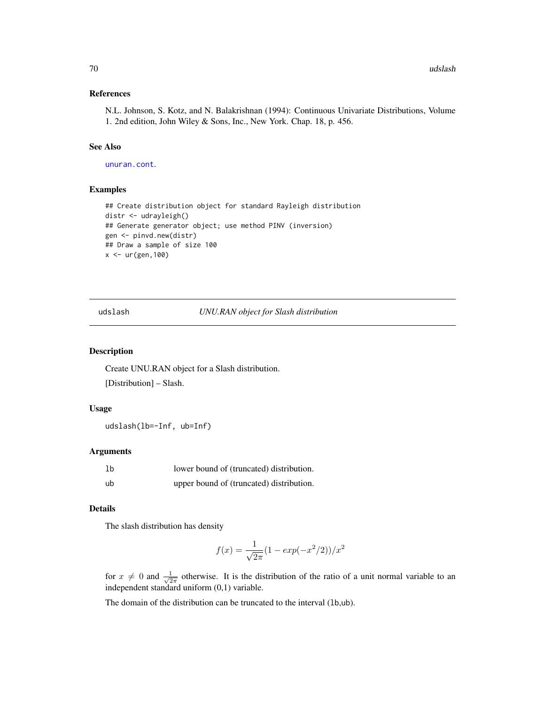#### References

N.L. Johnson, S. Kotz, and N. Balakrishnan (1994): Continuous Univariate Distributions, Volume 1. 2nd edition, John Wiley & Sons, Inc., New York. Chap. 18, p. 456.

## See Also

[unuran.cont](#page-78-0).

#### Examples

```
## Create distribution object for standard Rayleigh distribution
distr <- udrayleigh()
## Generate generator object; use method PINV (inversion)
gen <- pinvd.new(distr)
## Draw a sample of size 100
x <- ur(gen,100)
```
udslash *UNU.RAN object for Slash distribution*

## Description

Create UNU.RAN object for a Slash distribution.

[Distribution] – Slash.

#### Usage

udslash(lb=-Inf, ub=Inf)

#### Arguments

| 1 <sub>b</sub> | lower bound of (truncated) distribution. |  |
|----------------|------------------------------------------|--|
| ub             | upper bound of (truncated) distribution. |  |

#### Details

The slash distribution has density

$$
f(x) = \frac{1}{\sqrt{2\pi}}(1 - exp(-x^2/2))/x^2
$$

for  $x \neq 0$  and  $\frac{1}{\sqrt{2}}$  $\frac{1}{2\pi}$  otherwise. It is the distribution of the ratio of a unit normal variable to an independent standard uniform (0,1) variable.

The domain of the distribution can be truncated to the interval (lb,ub).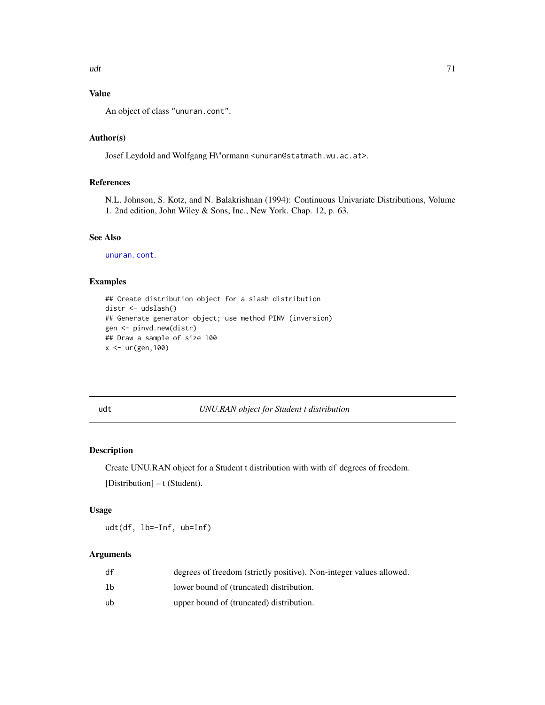# Value

An object of class "unuran.cont".

## Author(s)

Josef Leydold and Wolfgang H\"ormann <unuran@statmath.wu.ac.at>.

# References

N.L. Johnson, S. Kotz, and N. Balakrishnan (1994): Continuous Univariate Distributions, Volume 1. 2nd edition, John Wiley & Sons, Inc., New York. Chap. 12, p. 63.

#### See Also

[unuran.cont](#page-78-0).

## Examples

```
## Create distribution object for a slash distribution
distr <- udslash()
## Generate generator object; use method PINV (inversion)
gen <- pinvd.new(distr)
## Draw a sample of size 100
x <- ur(gen,100)
```
## udt *UNU.RAN object for Student t distribution*

# Description

Create UNU.RAN object for a Student t distribution with with df degrees of freedom. [Distribution] – t (Student).

## Usage

udt(df, lb=-Inf, ub=Inf)

## Arguments

| df | degrees of freedom (strictly positive). Non-integer values allowed. |
|----|---------------------------------------------------------------------|
| lb | lower bound of (truncated) distribution.                            |
| ub | upper bound of (truncated) distribution.                            |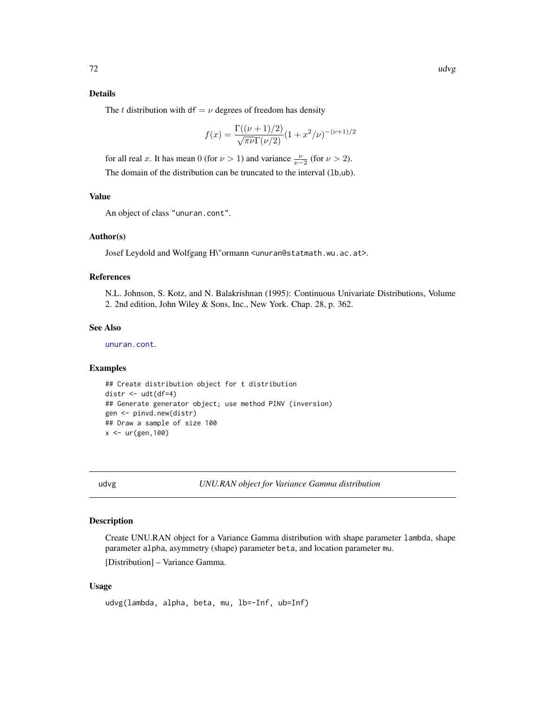## Details

The t distribution with df =  $\nu$  degrees of freedom has density

$$
f(x) = \frac{\Gamma((\nu + 1)/2)}{\sqrt{\pi \nu} \Gamma(\nu/2)} (1 + x^2/\nu)^{-(\nu + 1)/2}
$$

for all real x. It has mean 0 (for  $\nu > 1$ ) and variance  $\frac{\nu}{\nu-2}$  (for  $\nu > 2$ ). The domain of the distribution can be truncated to the interval (lb,ub).

## Value

An object of class "unuran.cont".

#### Author(s)

Josef Leydold and Wolfgang H\"ormann <unuran@statmath.wu.ac.at>.

#### References

N.L. Johnson, S. Kotz, and N. Balakrishnan (1995): Continuous Univariate Distributions, Volume 2. 2nd edition, John Wiley & Sons, Inc., New York. Chap. 28, p. 362.

## See Also

[unuran.cont](#page-78-0).

## Examples

```
## Create distribution object for t distribution
distr \leq udt(df=4)
## Generate generator object; use method PINV (inversion)
gen <- pinvd.new(distr)
## Draw a sample of size 100
x < -ur(gen, 100)
```
udvg *UNU.RAN object for Variance Gamma distribution*

## Description

Create UNU.RAN object for a Variance Gamma distribution with shape parameter lambda, shape parameter alpha, asymmetry (shape) parameter beta, and location parameter mu.

[Distribution] – Variance Gamma.

## Usage

```
udvg(lambda, alpha, beta, mu, lb=-Inf, ub=Inf)
```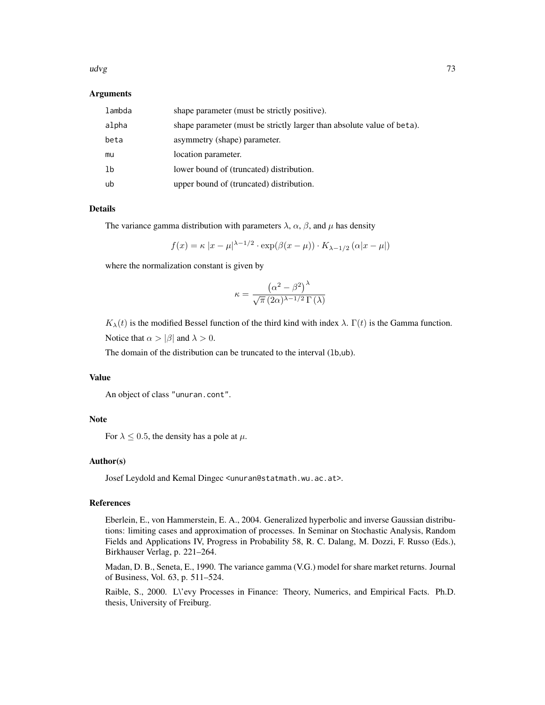### udvg to the contract of the contract of the contract of the contract of the contract of the contract of the contract of the contract of the contract of the contract of the contract of the contract of the contract of the co

### Arguments

| lambda         | shape parameter (must be strictly positive).                           |
|----------------|------------------------------------------------------------------------|
| alpha          | shape parameter (must be strictly larger than absolute value of beta). |
| beta           | asymmetry (shape) parameter.                                           |
| mu             | location parameter.                                                    |
| 1 <sub>b</sub> | lower bound of (truncated) distribution.                               |
| ub             | upper bound of (truncated) distribution.                               |

### Details

The variance gamma distribution with parameters  $\lambda$ ,  $\alpha$ ,  $\beta$ , and  $\mu$  has density

$$
f(x) = \kappa |x - \mu|^{\lambda - 1/2} \cdot \exp(\beta(x - \mu)) \cdot K_{\lambda - 1/2}(\alpha |x - \mu|)
$$

where the normalization constant is given by

$$
\kappa = \frac{\left(\alpha^2 - \beta^2\right)^{\lambda}}{\sqrt{\pi} \left(2\alpha\right)^{\lambda - 1/2} \Gamma\left(\lambda\right)}
$$

 $K_{\lambda}(t)$  is the modified Bessel function of the third kind with index  $\lambda$ .  $\Gamma(t)$  is the Gamma function. Notice that  $\alpha > |\beta|$  and  $\lambda > 0$ .

The domain of the distribution can be truncated to the interval (1b,ub).

#### Value

An object of class "unuran.cont".

# Note

For  $\lambda \leq 0.5$ , the density has a pole at  $\mu$ .

# Author(s)

Josef Leydold and Kemal Dingec <unuran@statmath.wu.ac.at>.

### References

Eberlein, E., von Hammerstein, E. A., 2004. Generalized hyperbolic and inverse Gaussian distributions: limiting cases and approximation of processes. In Seminar on Stochastic Analysis, Random Fields and Applications IV, Progress in Probability 58, R. C. Dalang, M. Dozzi, F. Russo (Eds.), Birkhauser Verlag, p. 221–264.

Madan, D. B., Seneta, E., 1990. The variance gamma (V.G.) model for share market returns. Journal of Business, Vol. 63, p. 511–524.

Raible, S., 2000. L\'evy Processes in Finance: Theory, Numerics, and Empirical Facts. Ph.D. thesis, University of Freiburg.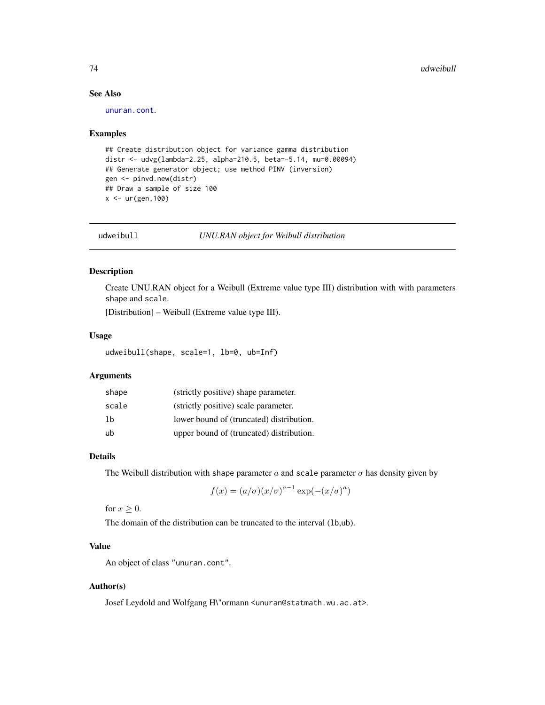# See Also

[unuran.cont](#page-78-0).

### Examples

```
## Create distribution object for variance gamma distribution
distr <- udvg(lambda=2.25, alpha=210.5, beta=-5.14, mu=0.00094)
## Generate generator object; use method PINV (inversion)
gen <- pinvd.new(distr)
## Draw a sample of size 100
x < -ur(gen, 100)
```
udweibull *UNU.RAN object for Weibull distribution*

# Description

Create UNU.RAN object for a Weibull (Extreme value type III) distribution with with parameters shape and scale.

[Distribution] – Weibull (Extreme value type III).

#### Usage

udweibull(shape, scale=1, lb=0, ub=Inf)

# Arguments

| shape | (strictly positive) shape parameter.     |
|-------|------------------------------------------|
| scale | (strictly positive) scale parameter.     |
| lb    | lower bound of (truncated) distribution. |
| ub    | upper bound of (truncated) distribution. |

# Details

The Weibull distribution with shape parameter  $a$  and scale parameter  $\sigma$  has density given by

$$
f(x) = (a/\sigma)(x/\sigma)^{a-1} \exp(-(x/\sigma)^a)
$$

for  $x \geq 0$ .

The domain of the distribution can be truncated to the interval (1b,ub).

# Value

An object of class "unuran.cont".

### Author(s)

Josef Leydold and Wolfgang H\"ormann <unuran@statmath.wu.ac.at>.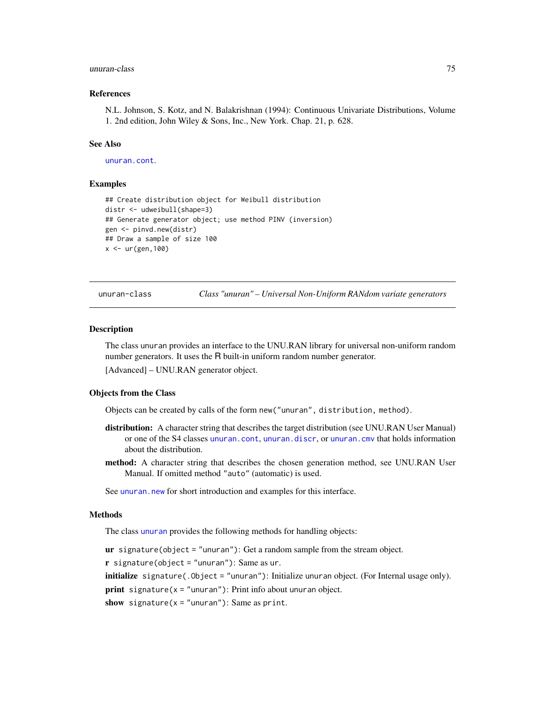### unuran-class 75

### References

N.L. Johnson, S. Kotz, and N. Balakrishnan (1994): Continuous Univariate Distributions, Volume 1. 2nd edition, John Wiley & Sons, Inc., New York. Chap. 21, p. 628.

# See Also

[unuran.cont](#page-78-0).

### Examples

```
## Create distribution object for Weibull distribution
distr <- udweibull(shape=3)
## Generate generator object; use method PINV (inversion)
gen <- pinvd.new(distr)
## Draw a sample of size 100
x < -ur(gen, 100)
```
<span id="page-74-0"></span>unuran-class *Class "unuran" – Universal Non-Uniform RANdom variate generators*

### **Description**

The class unuran provides an interface to the UNU.RAN library for universal non-uniform random number generators. It uses the R built-in uniform random number generator.

[Advanced] – UNU.RAN generator object.

### Objects from the Class

Objects can be created by calls of the form new("unuran", distribution, method).

- distribution: A character string that describes the target distribution (see UNU.RAN User Manual) or one of the S4 classes [unuran.cont](#page-78-0), [unuran.discr](#page-82-0), or [unuran.cmv](#page-75-0) that holds information about the distribution.
- method: A character string that describes the chosen generation method, see UNU.RAN User Manual. If omitted method "auto" (automatic) is used.

See [unuran.new](#page-87-0) for short introduction and examples for this interface.

#### Methods

The class [unuran](#page-74-0) provides the following methods for handling objects:

 $ur$  signature(object = "unuran"): Get a random sample from the stream object.

 $\mathbf r$  signature(object = "unuran"): Same as ur.

initialize signature(.Object = "unuran"): Initialize unuran object. (For Internal usage only).

**print** signature( $x =$ "unuran"): Print info about unuran object.

```
show signature(x ="unuran"): Same as print.
```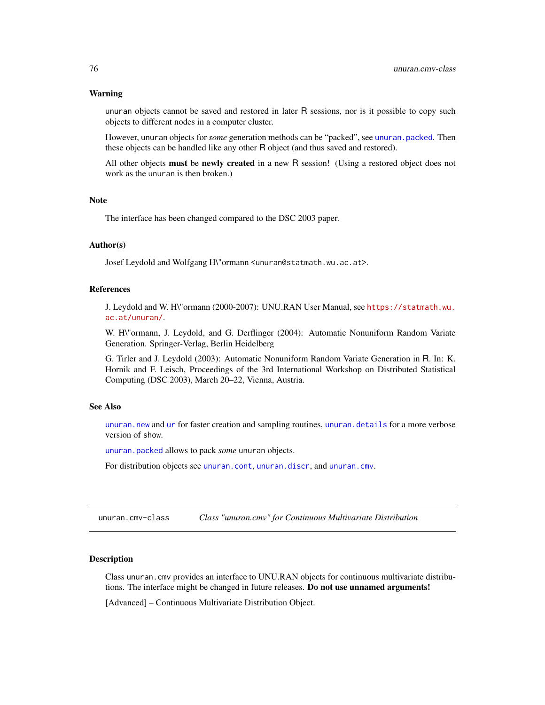### Warning

unuran objects cannot be saved and restored in later R sessions, nor is it possible to copy such objects to different nodes in a computer cluster.

However, unuran objects for *some* generation methods can be "packed", see [unuran.packed](#page-88-0). Then these objects can be handled like any other R object (and thus saved and restored).

All other objects must be newly created in a new R session! (Using a restored object does not work as the unuran is then broken.)

# **Note**

The interface has been changed compared to the DSC 2003 paper.

### Author(s)

Josef Leydold and Wolfgang H\"ormann <unuran@statmath.wu.ac.at>.

# References

J. Leydold and W. H\"ormann (2000-2007): UNU.RAN User Manual, see [https://statmath.wu.](https://statmath.wu.ac.at/unuran/) [ac.at/unuran/](https://statmath.wu.ac.at/unuran/).

W. H\"ormann, J. Leydold, and G. Derflinger (2004): Automatic Nonuniform Random Variate Generation. Springer-Verlag, Berlin Heidelberg

G. Tirler and J. Leydold (2003): Automatic Nonuniform Random Variate Generation in R. In: K. Hornik and F. Leisch, Proceedings of the 3rd International Workshop on Distributed Statistical Computing (DSC 2003), March 20–22, Vienna, Austria.

# See Also

[unuran.new](#page-87-0) and [ur](#page-95-0) for faster creation and sampling routines, [unuran.details](#page-81-0) for a more verbose version of show.

[unuran.packed](#page-88-0) allows to pack *some* unuran objects.

For distribution objects see [unuran.cont](#page-78-0), [unuran.discr](#page-82-0), and [unuran.cmv](#page-75-0).

<span id="page-75-0"></span>unuran.cmv-class *Class "unuran.cmv" for Continuous Multivariate Distribution*

#### Description

Class unuran.cmv provides an interface to UNU.RAN objects for continuous multivariate distributions. The interface might be changed in future releases. Do not use unnamed arguments!

[Advanced] – Continuous Multivariate Distribution Object.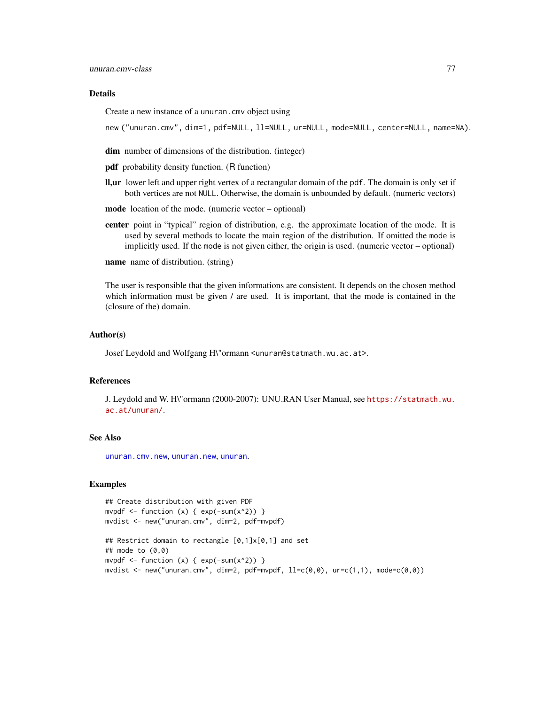### Details

Create a new instance of a unuran.cmv object using

new ("unuran.cmv", dim=1, pdf=NULL, ll=NULL, ur=NULL, mode=NULL, center=NULL, name=NA).

dim number of dimensions of the distribution. (integer)

pdf probability density function. (R function)

- ll,ur lower left and upper right vertex of a rectangular domain of the pdf. The domain is only set if both vertices are not NULL. Otherwise, the domain is unbounded by default. (numeric vectors)
- mode location of the mode. (numeric vector optional)
- center point in "typical" region of distribution, e.g. the approximate location of the mode. It is used by several methods to locate the main region of the distribution. If omitted the mode is implicitly used. If the mode is not given either, the origin is used. (numeric vector – optional)

**name** name of distribution. (string)

The user is responsible that the given informations are consistent. It depends on the chosen method which information must be given / are used. It is important, that the mode is contained in the (closure of the) domain.

### Author(s)

Josef Leydold and Wolfgang H\"ormann <unuran@statmath.wu.ac.at>.

### References

J. Leydold and W. H\"ormann (2000-2007): UNU.RAN User Manual, see [https://statmath.wu.](https://statmath.wu.ac.at/unuran/) [ac.at/unuran/](https://statmath.wu.ac.at/unuran/).

# See Also

[unuran.cmv.new](#page-77-0), [unuran.new](#page-87-0), [unuran](#page-74-0).

```
## Create distribution with given PDF
mvpdf \le function (x) { exp(-sum(x^2)) }
mvdist <- new("unuran.cmv", dim=2, pdf=mvpdf)
```

```
## Restrict domain to rectangle [0,1]x[0,1] and set
## mode to (0,0)
mvpdf \le function (x) { exp(-sum(x^2)) }
mvdist <- new("unuran.cmv", dim=2, pdf=mvpdf, ll=c(\emptyset,\emptyset), ur=c(1,1), mode=c(\emptyset,\emptyset))
```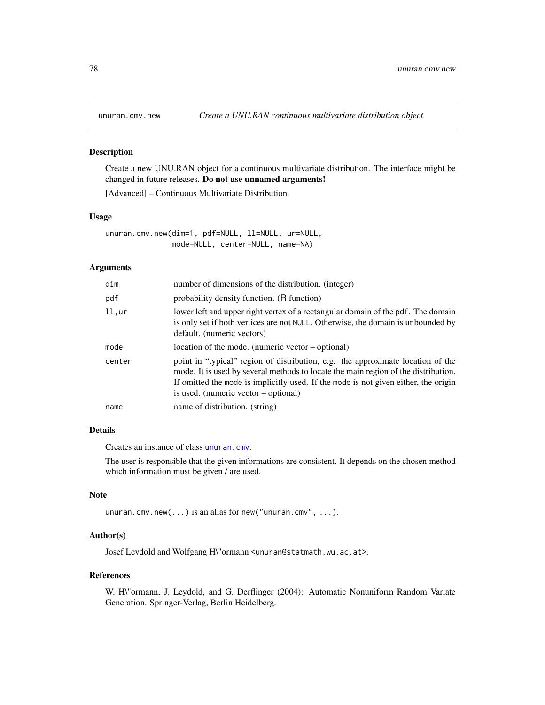<span id="page-77-0"></span>

### Description

Create a new UNU.RAN object for a continuous multivariate distribution. The interface might be changed in future releases. Do not use unnamed arguments!

[Advanced] – Continuous Multivariate Distribution.

### Usage

unuran.cmv.new(dim=1, pdf=NULL, ll=NULL, ur=NULL, mode=NULL, center=NULL, name=NA)

# Arguments

| dim    | number of dimensions of the distribution. (integer)                                                                                                                                                                                                                                                  |
|--------|------------------------------------------------------------------------------------------------------------------------------------------------------------------------------------------------------------------------------------------------------------------------------------------------------|
| pdf    | probability density function. (R function)                                                                                                                                                                                                                                                           |
| 11.0r  | lower left and upper right vertex of a rectangular domain of the pdf. The domain<br>is only set if both vertices are not NULL. Otherwise, the domain is unbounded by<br>default. (numeric vectors)                                                                                                   |
| mode   | location of the mode. (numeric vector – optional)                                                                                                                                                                                                                                                    |
| center | point in "typical" region of distribution, e.g. the approximate location of the<br>mode. It is used by several methods to locate the main region of the distribution.<br>If omitted the mode is implicitly used. If the mode is not given either, the origin<br>is used. (numeric vector – optional) |
| name   | name of distribution. (string)                                                                                                                                                                                                                                                                       |

# Details

Creates an instance of class [unuran.cmv](#page-75-0).

The user is responsible that the given informations are consistent. It depends on the chosen method which information must be given / are used.

# Note

```
unuran.cmv.new(...) is an alias for new("unuran.cmv", ...).
```
### Author(s)

Josef Leydold and Wolfgang H\"ormann <unuran@statmath.wu.ac.at>.

### References

W. H\"ormann, J. Leydold, and G. Derflinger (2004): Automatic Nonuniform Random Variate Generation. Springer-Verlag, Berlin Heidelberg.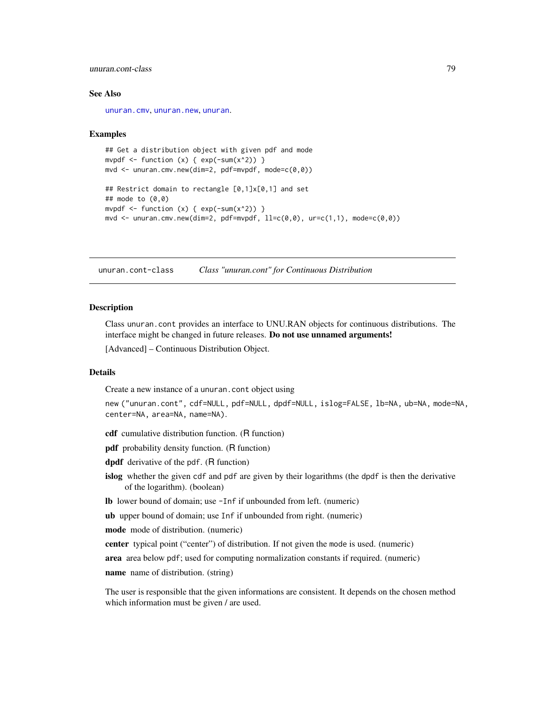# unuran.cont-class 79

### See Also

[unuran.cmv](#page-75-0), [unuran.new](#page-87-0), [unuran](#page-74-0).

#### Examples

```
## Get a distribution object with given pdf and mode
mvpdf \le function (x) { exp(-sum(x^2)) }
mvd < - unuran.cmv.new(dim=2, pdf=mvpdf, mode=c(0,0))
## Restrict domain to rectangle [0,1]x[0,1] and set
## mode to (0,0)
mvpdf \le function (x) { exp(-sum(x^2)) }
mvd \le - unuran.cmv.new(dim=2, pdf=mvpdf, ll=c(0,0), ur=c(1,1), mode=c(0,0))
```
<span id="page-78-0"></span>unuran.cont-class *Class "unuran.cont" for Continuous Distribution*

# Description

Class unuran.cont provides an interface to UNU.RAN objects for continuous distributions. The interface might be changed in future releases. Do not use unnamed arguments!

[Advanced] – Continuous Distribution Object.

# Details

Create a new instance of a unuran.cont object using

```
new ("unuran.cont", cdf=NULL, pdf=NULL, dpdf=NULL, islog=FALSE, lb=NA, ub=NA, mode=NA,
center=NA, area=NA, name=NA).
```
cdf cumulative distribution function. (R function)

pdf probability density function. (R function)

dpdf derivative of the pdf. (R function)

islog whether the given cdf and pdf are given by their logarithms (the dpdf is then the derivative of the logarithm). (boolean)

lb lower bound of domain; use -Inf if unbounded from left. (numeric)

ub upper bound of domain; use Inf if unbounded from right. (numeric)

mode mode of distribution. (numeric)

center typical point ("center") of distribution. If not given the mode is used. (numeric)

area area below pdf; used for computing normalization constants if required. (numeric)

name name of distribution. (string)

The user is responsible that the given informations are consistent. It depends on the chosen method which information must be given / are used.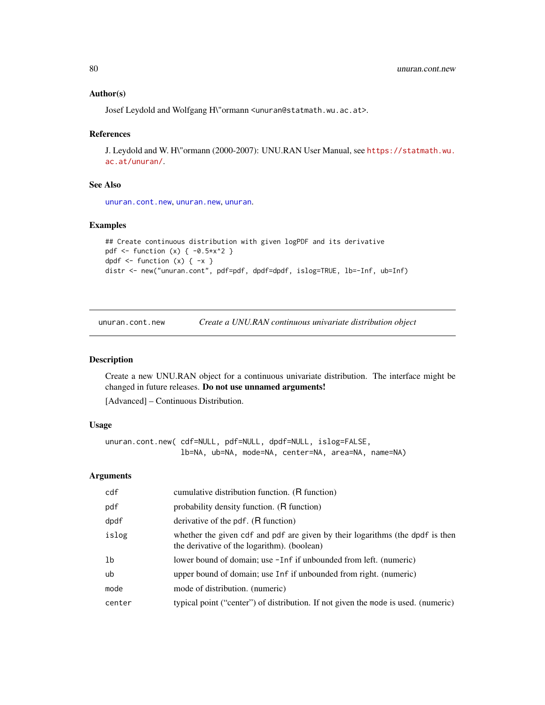### Author(s)

Josef Leydold and Wolfgang H\"ormann <unuran@statmath.wu.ac.at>.

### References

J. Leydold and W. H\"ormann (2000-2007): UNU.RAN User Manual, see [https://statmath.wu.](https://statmath.wu.ac.at/unuran/) [ac.at/unuran/](https://statmath.wu.ac.at/unuran/).

### See Also

[unuran.cont.new](#page-79-0), [unuran.new](#page-87-0), [unuran](#page-74-0).

### Examples

```
## Create continuous distribution with given logPDF and its derivative
pdf <- function (x) { -0.5*x^2 }
dpdf \le function (x) \{-x\}distr <- new("unuran.cont", pdf=pdf, dpdf=dpdf, islog=TRUE, lb=-Inf, ub=Inf)
```
<span id="page-79-0"></span>unuran.cont.new *Create a UNU.RAN continuous univariate distribution object*

### Description

Create a new UNU.RAN object for a continuous univariate distribution. The interface might be changed in future releases. Do not use unnamed arguments!

[Advanced] – Continuous Distribution.

### Usage

```
unuran.cont.new( cdf=NULL, pdf=NULL, dpdf=NULL, islog=FALSE,
                 lb=NA, ub=NA, mode=NA, center=NA, area=NA, name=NA)
```
# Arguments

| cdf    | cumulative distribution function. (R function)                                                                               |
|--------|------------------------------------------------------------------------------------------------------------------------------|
| pdf    | probability density function. (R function)                                                                                   |
| dpdf   | derivative of the pdf. (R function)                                                                                          |
| islog  | whether the given cdf and pdf are given by their logarithms (the dpdf is then<br>the derivative of the logarithm). (boolean) |
| lb     | lower bound of domain; use -Inf if unbounded from left. (numeric)                                                            |
| ub     | upper bound of domain; use Inf if unbounded from right. (numeric)                                                            |
| mode   | mode of distribution. (numeric)                                                                                              |
| center | typical point ("center") of distribution. If not given the mode is used. (numeric)                                           |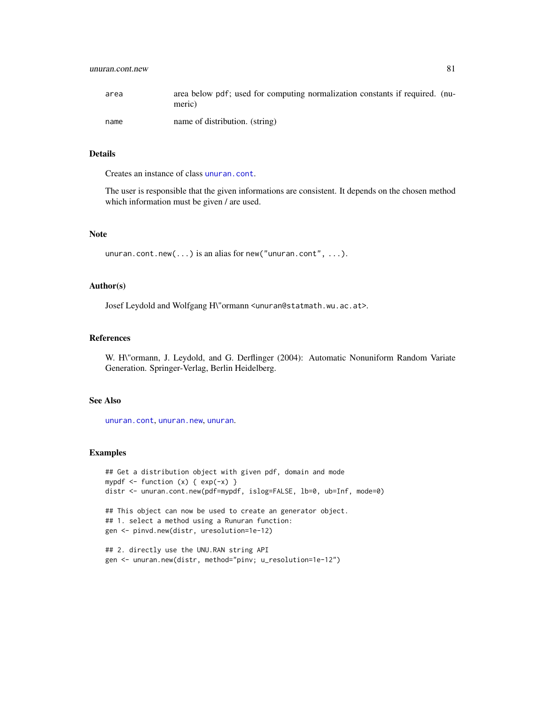# unuran.cont.new 81

| area | area below pdf; used for computing normalization constants if required. (nu-<br>meric) |
|------|----------------------------------------------------------------------------------------|
| name | name of distribution. (string)                                                         |

# Details

Creates an instance of class [unuran.cont](#page-78-0).

The user is responsible that the given informations are consistent. It depends on the chosen method which information must be given / are used.

# Note

unuran.cont.new(...) is an alias for new("unuran.cont", ...).

### Author(s)

Josef Leydold and Wolfgang H\"ormann <unuran@statmath.wu.ac.at>.

# References

W. H\"ormann, J. Leydold, and G. Derflinger (2004): Automatic Nonuniform Random Variate Generation. Springer-Verlag, Berlin Heidelberg.

# See Also

[unuran.cont](#page-78-0), [unuran.new](#page-87-0), [unuran](#page-74-0).

```
## Get a distribution object with given pdf, domain and mode
mypdf \le function (x) { exp(-x) }
distr <- unuran.cont.new(pdf=mypdf, islog=FALSE, lb=0, ub=Inf, mode=0)
## This object can now be used to create an generator object.
## 1. select a method using a Runuran function:
gen <- pinvd.new(distr, uresolution=1e-12)
## 2. directly use the UNU.RAN string API
gen <- unuran.new(distr, method="pinv; u_resolution=1e-12")
```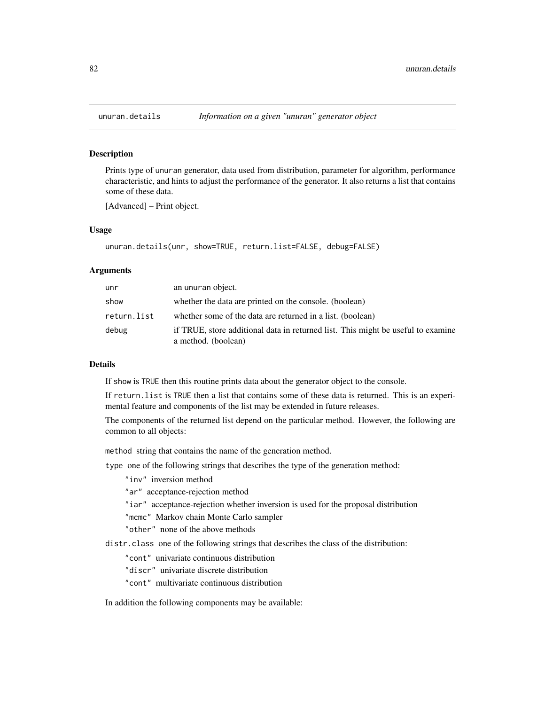<span id="page-81-0"></span>

### Description

Prints type of unuran generator, data used from distribution, parameter for algorithm, performance characteristic, and hints to adjust the performance of the generator. It also returns a list that contains some of these data.

[Advanced] – Print object.

### Usage

```
unuran.details(unr, show=TRUE, return.list=FALSE, debug=FALSE)
```
#### Arguments

| unr         | an unuran object.                                                                                       |
|-------------|---------------------------------------------------------------------------------------------------------|
| show        | whether the data are printed on the console. (boolean)                                                  |
| return.list | whether some of the data are returned in a list. (boolean)                                              |
| debug       | if TRUE, store additional data in returned list. This might be useful to examine<br>a method. (boolean) |

### Details

If show is TRUE then this routine prints data about the generator object to the console.

If return.list is TRUE then a list that contains some of these data is returned. This is an experimental feature and components of the list may be extended in future releases.

The components of the returned list depend on the particular method. However, the following are common to all objects:

method string that contains the name of the generation method.

type one of the following strings that describes the type of the generation method:

"inv" inversion method

"ar" acceptance-rejection method

"iar" acceptance-rejection whether inversion is used for the proposal distribution

"mcmc" Markov chain Monte Carlo sampler

"other" none of the above methods

distr.class one of the following strings that describes the class of the distribution:

"cont" univariate continuous distribution

"discr" univariate discrete distribution

"cont" multivariate continuous distribution

In addition the following components may be available: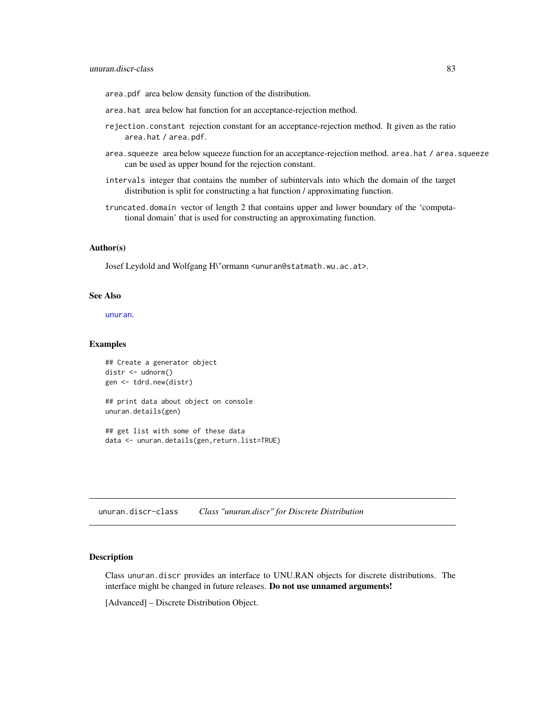area.pdf area below density function of the distribution.

- area.hat area below hat function for an acceptance-rejection method.
- rejection.constant rejection constant for an acceptance-rejection method. It given as the ratio area.hat / area.pdf.
- area. squeeze area below squeeze function for an acceptance-rejection method. area.hat / area.squeeze can be used as upper bound for the rejection constant.
- intervals integer that contains the number of subintervals into which the domain of the target distribution is split for constructing a hat function / approximating function.
- truncated.domain vector of length 2 that contains upper and lower boundary of the 'computational domain' that is used for constructing an approximating function.

### Author(s)

Josef Leydold and Wolfgang H\"ormann <unuran@statmath.wu.ac.at>.

### See Also

[unuran](#page-74-0).

### Examples

```
## Create a generator object
distr <- udnorm()
gen <- tdrd.new(distr)
```
## print data about object on console unuran.details(gen)

## get list with some of these data data <- unuran.details(gen,return.list=TRUE)

<span id="page-82-0"></span>unuran.discr-class *Class "unuran.discr" for Discrete Distribution*

# Description

Class unuran.discr provides an interface to UNU.RAN objects for discrete distributions. The interface might be changed in future releases. Do not use unnamed arguments!

[Advanced] – Discrete Distribution Object.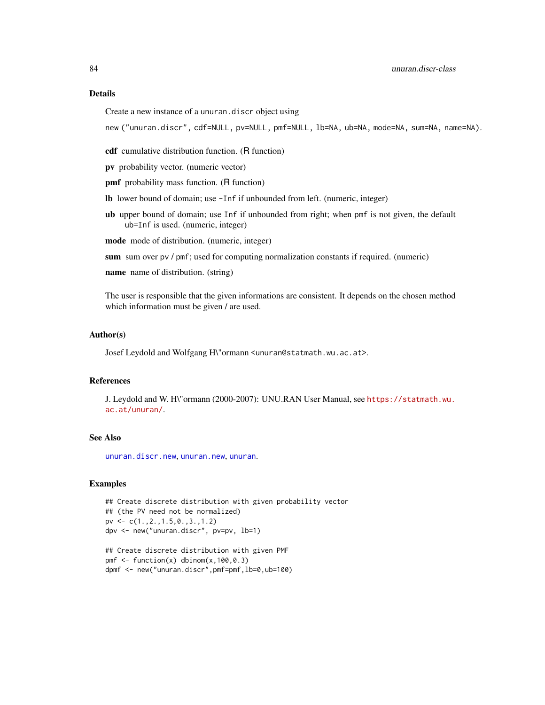# Details

Create a new instance of a unuran.discr object using

new ("unuran.discr", cdf=NULL, pv=NULL, pmf=NULL, lb=NA, ub=NA, mode=NA, sum=NA, name=NA).

cdf cumulative distribution function. (R function)

pv probability vector. (numeric vector)

**pmf** probability mass function. (R function)

lb lower bound of domain; use -Inf if unbounded from left. (numeric, integer)

ub upper bound of domain; use Inf if unbounded from right; when pmf is not given, the default ub=Inf is used. (numeric, integer)

mode mode of distribution. (numeric, integer)

sum sum over pv / pmf; used for computing normalization constants if required. (numeric)

name name of distribution. (string)

The user is responsible that the given informations are consistent. It depends on the chosen method which information must be given / are used.

### Author(s)

Josef Leydold and Wolfgang H\"ormann <unuran@statmath.wu.ac.at>.

# References

J. Leydold and W. H\"ormann (2000-2007): UNU.RAN User Manual, see [https://statmath.wu.](https://statmath.wu.ac.at/unuran/) [ac.at/unuran/](https://statmath.wu.ac.at/unuran/).

# See Also

[unuran.discr.new](#page-84-0), [unuran.new](#page-87-0), [unuran](#page-74-0).

```
## Create discrete distribution with given probability vector
## (the PV need not be normalized)
pv <- c(1.,2.,1.5,0.,3.,1.2)
dpv <- new("unuran.discr", pv=pv, lb=1)
```

```
## Create discrete distribution with given PMF
pmf \leq function(x) dbinom(x, 100, 0.3)
dpmf <- new("unuran.discr",pmf=pmf,lb=0,ub=100)
```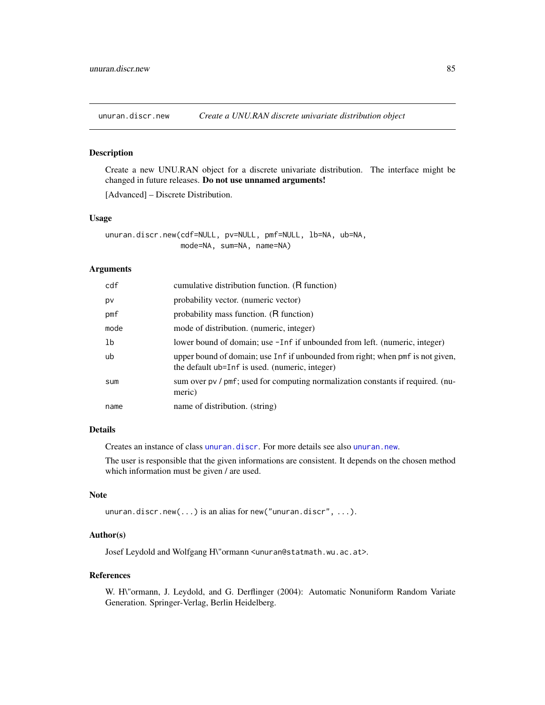<span id="page-84-0"></span>

### Description

Create a new UNU.RAN object for a discrete univariate distribution. The interface might be changed in future releases. Do not use unnamed arguments!

[Advanced] – Discrete Distribution.

#### Usage

unuran.discr.new(cdf=NULL, pv=NULL, pmf=NULL, lb=NA, ub=NA, mode=NA, sum=NA, name=NA)

# Arguments

| cdf  | cumulative distribution function. (R function)                                                                                   |
|------|----------------------------------------------------------------------------------------------------------------------------------|
| pv   | probability vector. (numeric vector)                                                                                             |
| pmf  | probability mass function. (R function)                                                                                          |
| mode | mode of distribution. (numeric, integer)                                                                                         |
| 1b   | lower bound of domain; use -Inf if unbounded from left. (numeric, integer)                                                       |
| ub   | upper bound of domain; use Inf if unbounded from right; when pmf is not given,<br>the default ub=Inf is used. (numeric, integer) |
| sum  | sum over pv / pmf; used for computing normalization constants if required. (nu-<br>meric)                                        |
| name | name of distribution. (string)                                                                                                   |

### Details

Creates an instance of class [unuran.discr](#page-82-0). For more details see also [unuran.new](#page-87-0).

The user is responsible that the given informations are consistent. It depends on the chosen method which information must be given / are used.

# Note

```
unuran.discr.new(...) is an alias for new("unuran.discr", ...).
```
### Author(s)

Josef Leydold and Wolfgang H\"ormann <unuran@statmath.wu.ac.at>.

### References

W. H\"ormann, J. Leydold, and G. Derflinger (2004): Automatic Nonuniform Random Variate Generation. Springer-Verlag, Berlin Heidelberg.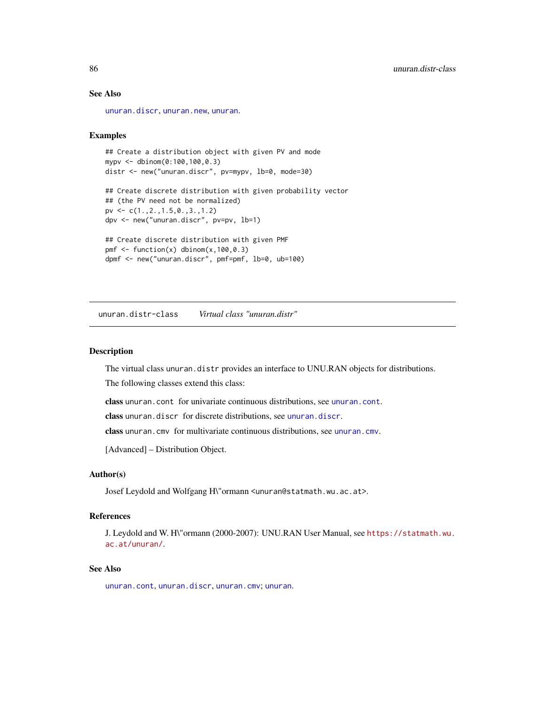# See Also

[unuran.discr](#page-82-0), [unuran.new](#page-87-0), [unuran](#page-74-0).

### Examples

```
## Create a distribution object with given PV and mode
mypv <- dbinom(0:100,100,0.3)
distr <- new("unuran.discr", pv=mypv, lb=0, mode=30)
## Create discrete distribution with given probability vector
## (the PV need not be normalized)
pv <- c(1.,2.,1.5,0.,3.,1.2)
dpv <- new("unuran.discr", pv=pv, lb=1)
## Create discrete distribution with given PMF
pmf \leq function(x) dbinom(x, 100, 0.3)
```
dpmf <- new("unuran.discr", pmf=pmf, lb=0, ub=100)

<span id="page-85-0"></span>unuran.distr-class *Virtual class "unuran.distr"*

## **Description**

The virtual class unuran.distr provides an interface to UNU.RAN objects for distributions.

The following classes extend this class:

class unuran.cont for univariate continuous distributions, see [unuran.cont](#page-78-0).

class unuran.discr for discrete distributions, see [unuran.discr](#page-82-0).

class unuran.cmv for multivariate continuous distributions, see [unuran.cmv](#page-75-0).

[Advanced] – Distribution Object.

### Author(s)

Josef Leydold and Wolfgang H\"ormann <unuran@statmath.wu.ac.at>.

#### References

J. Leydold and W. H\"ormann (2000-2007): UNU.RAN User Manual, see [https://statmath.wu.](https://statmath.wu.ac.at/unuran/) [ac.at/unuran/](https://statmath.wu.ac.at/unuran/).

### See Also

[unuran.cont](#page-78-0), [unuran.discr](#page-82-0), [unuran.cmv](#page-75-0); [unuran](#page-74-0).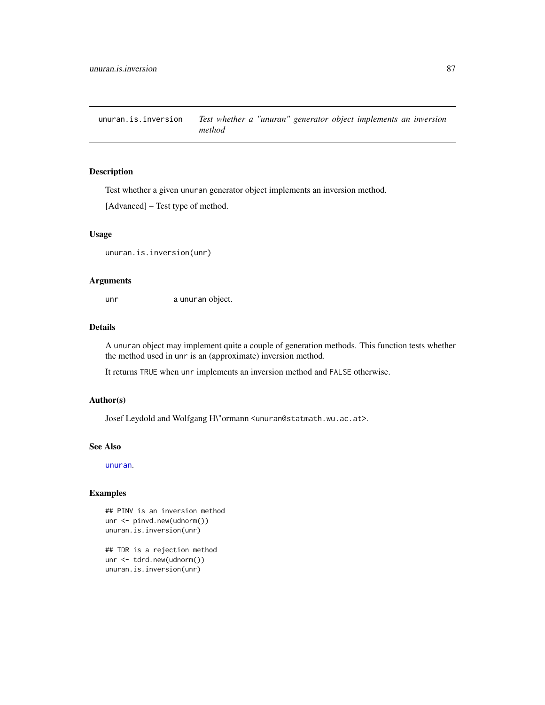unuran.is.inversion *Test whether a "unuran" generator object implements an inversion method*

# Description

Test whether a given unuran generator object implements an inversion method.

[Advanced] – Test type of method.

# Usage

unuran.is.inversion(unr)

### Arguments

unr a unuran object.

### Details

A unuran object may implement quite a couple of generation methods. This function tests whether the method used in unr is an (approximate) inversion method.

It returns TRUE when unr implements an inversion method and FALSE otherwise.

# Author(s)

Josef Leydold and Wolfgang H\"ormann <unuran@statmath.wu.ac.at>.

#### See Also

[unuran](#page-74-0).

```
## PINV is an inversion method
unr <- pinvd.new(udnorm())
unuran.is.inversion(unr)
```

```
## TDR is a rejection method
unr <- tdrd.new(udnorm())
unuran.is.inversion(unr)
```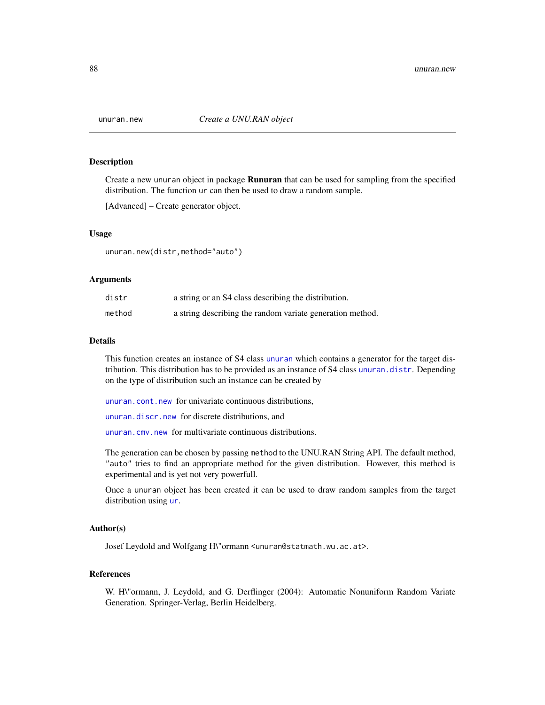<span id="page-87-0"></span>

# Description

Create a new unuran object in package Runuran that can be used for sampling from the specified distribution. The function ur can then be used to draw a random sample.

[Advanced] – Create generator object.

### Usage

unuran.new(distr,method="auto")

### Arguments

| distr  | a string or an S4 class describing the distribution.      |
|--------|-----------------------------------------------------------|
| method | a string describing the random variate generation method. |

### Details

This function creates an instance of S4 class [unuran](#page-74-0) which contains a generator for the target distribution. This distribution has to be provided as an instance of S4 class [unuran.distr](#page-85-0). Depending on the type of distribution such an instance can be created by

[unuran.cont.new](#page-79-0) for univariate continuous distributions,

[unuran.discr.new](#page-84-0) for discrete distributions, and

[unuran.cmv.new](#page-77-0) for multivariate continuous distributions.

The generation can be chosen by passing method to the UNU.RAN String API. The default method, "auto" tries to find an appropriate method for the given distribution. However, this method is experimental and is yet not very powerfull.

Once a unuran object has been created it can be used to draw random samples from the target distribution using [ur](#page-95-0).

### Author(s)

Josef Leydold and Wolfgang H\"ormann <unuran@statmath.wu.ac.at>.

# References

W. H\"ormann, J. Leydold, and G. Derflinger (2004): Automatic Nonuniform Random Variate Generation. Springer-Verlag, Berlin Heidelberg.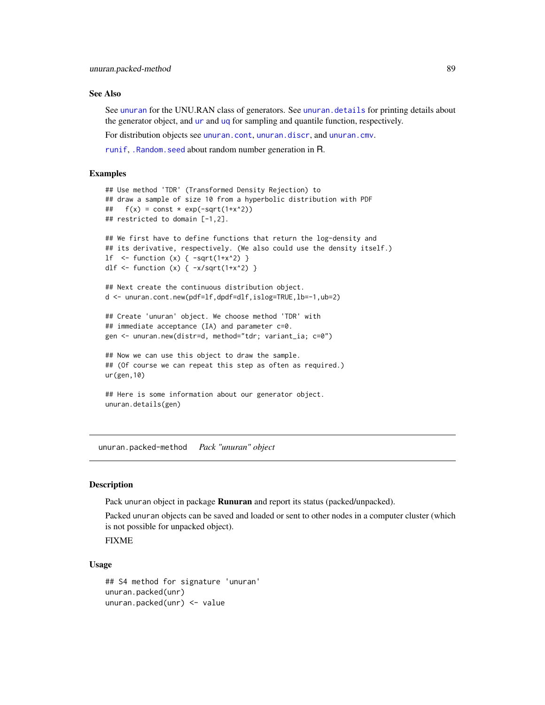### See Also

See [unuran](#page-74-0) for the UNU.RAN class of generators. See [unuran.details](#page-81-0) for printing details about the generator object, and [ur](#page-95-0) and [uq](#page-93-0) for sampling and quantile function, respectively.

For distribution objects see [unuran.cont](#page-78-0), [unuran.discr](#page-82-0), and [unuran.cmv](#page-75-0).

[runif](#page-0-0), [.Random.seed](#page-0-0) about random number generation in R.

### Examples

```
## Use method 'TDR' (Transformed Density Rejection) to
## draw a sample of size 10 from a hyperbolic distribution with PDF
## f(x) = const * exp(-sqrt(1+x^2))## restricted to domain [-1,2].
## We first have to define functions that return the log-density and
## its derivative, respectively. (We also could use the density itself.)
1f \leftarrow function (x) { -sqrt(1+x^2) }
dlf <- function (x) { -x/\sqrt{(1+x^2)} }
## Next create the continuous distribution object.
d <- unuran.cont.new(pdf=lf,dpdf=dlf,islog=TRUE,lb=-1,ub=2)
## Create 'unuran' object. We choose method 'TDR' with
## immediate acceptance (IA) and parameter c=0.
gen <- unuran.new(distr=d, method="tdr; variant_ia; c=0")
## Now we can use this object to draw the sample.
## (Of course we can repeat this step as often as required.)
ur(gen,10)
```

```
## Here is some information about our generator object.
unuran.details(gen)
```
unuran.packed-method *Pack "unuran" object*

### <span id="page-88-0"></span>Description

Pack unuran object in package **Runuran** and report its status (packed/unpacked).

Packed unuran objects can be saved and loaded or sent to other nodes in a computer cluster (which is not possible for unpacked object).

FIXME

### Usage

```
## S4 method for signature 'unuran'
unuran.packed(unr)
unuran.packed(unr) <- value
```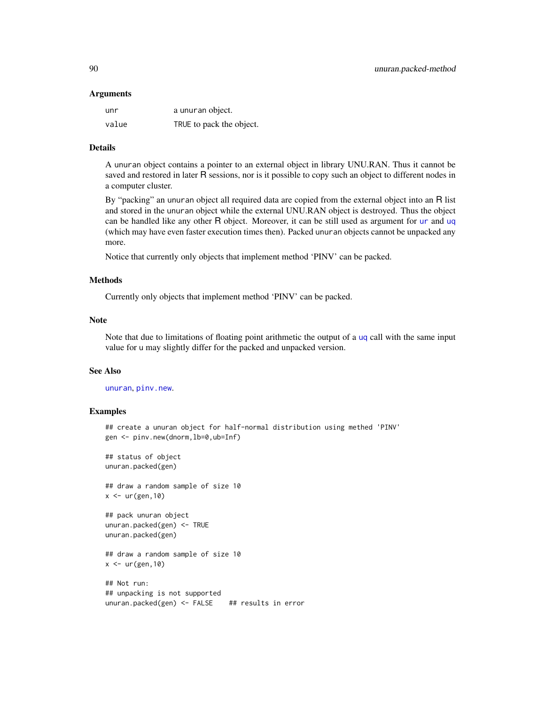#### Arguments

| unr   | a unuran object.         |
|-------|--------------------------|
| value | TRUE to pack the object. |

### Details

A unuran object contains a pointer to an external object in library UNU.RAN. Thus it cannot be saved and restored in later R sessions, nor is it possible to copy such an object to different nodes in a computer cluster.

By "packing" an unuran object all required data are copied from the external object into an R list and stored in the unuran object while the external UNU.RAN object is destroyed. Thus the object can be handled like any other R object. Moreover, it can be still used as argument for [ur](#page-95-0) and [uq](#page-93-0) (which may have even faster execution times then). Packed unuran objects cannot be unpacked any more.

Notice that currently only objects that implement method 'PINV' can be packed.

### Methods

Currently only objects that implement method 'PINV' can be packed.

### Note

Note that due to limitations of floating point arithmetic the output of a [uq](#page-93-0) call with the same input value for u may slightly differ for the packed and unpacked version.

### See Also

[unuran](#page-74-0), [pinv.new](#page-21-0).

### Examples

```
## create a unuran object for half-normal distribution using methed 'PINV'
gen <- pinv.new(dnorm,lb=0,ub=Inf)
```
## status of object unuran.packed(gen)

## draw a random sample of size 10  $x \leftarrow \text{ur}(\text{gen},10)$ 

```
## pack unuran object
unuran.packed(gen) <- TRUE
unuran.packed(gen)
```
## draw a random sample of size 10  $x \leftarrow \text{ur}(\text{gen},10)$ 

## Not run: ## unpacking is not supported unuran.packed(gen) <- FALSE ## results in error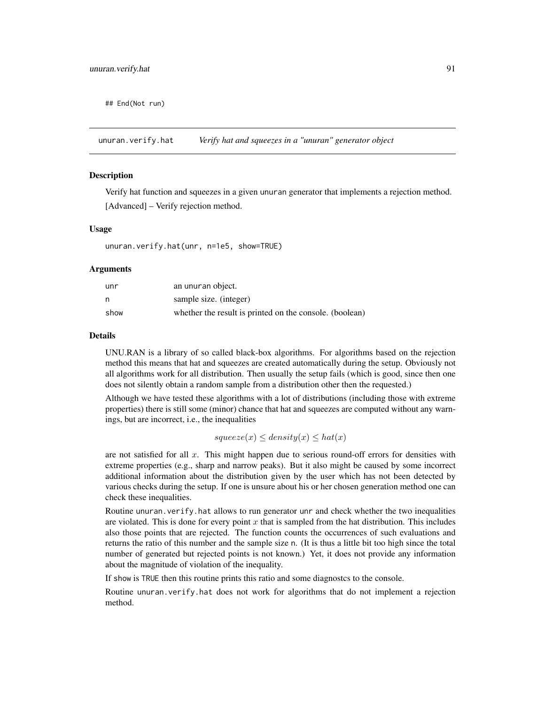## End(Not run)

unuran.verify.hat *Verify hat and squeezes in a "unuran" generator object*

### **Description**

Verify hat function and squeezes in a given unuran generator that implements a rejection method. [Advanced] – Verify rejection method.

### Usage

unuran.verify.hat(unr, n=1e5, show=TRUE)

#### Arguments

| unr  | an unuran object.                                       |
|------|---------------------------------------------------------|
| n,   | sample size. (integer)                                  |
| show | whether the result is printed on the console. (boolean) |

#### Details

UNU.RAN is a library of so called black-box algorithms. For algorithms based on the rejection method this means that hat and squeezes are created automatically during the setup. Obviously not all algorithms work for all distribution. Then usually the setup fails (which is good, since then one does not silently obtain a random sample from a distribution other then the requested.)

Although we have tested these algorithms with a lot of distributions (including those with extreme properties) there is still some (minor) chance that hat and squeezes are computed without any warnings, but are incorrect, i.e., the inequalities

 $squarez(x) \le density(x) \le hat(x)$ 

are not satisfied for all  $x$ . This might happen due to serious round-off errors for densities with extreme properties (e.g., sharp and narrow peaks). But it also might be caused by some incorrect additional information about the distribution given by the user which has not been detected by various checks during the setup. If one is unsure about his or her chosen generation method one can check these inequalities.

Routine unuran.verify.hat allows to run generator unr and check whether the two inequalities are violated. This is done for every point x that is sampled from the hat distribution. This includes also those points that are rejected. The function counts the occurrences of such evaluations and returns the ratio of this number and the sample size n. (It is thus a little bit too high since the total number of generated but rejected points is not known.) Yet, it does not provide any information about the magnitude of violation of the inequality.

If show is TRUE then this routine prints this ratio and some diagnostcs to the console.

Routine unuran.verify.hat does not work for algorithms that do not implement a rejection method.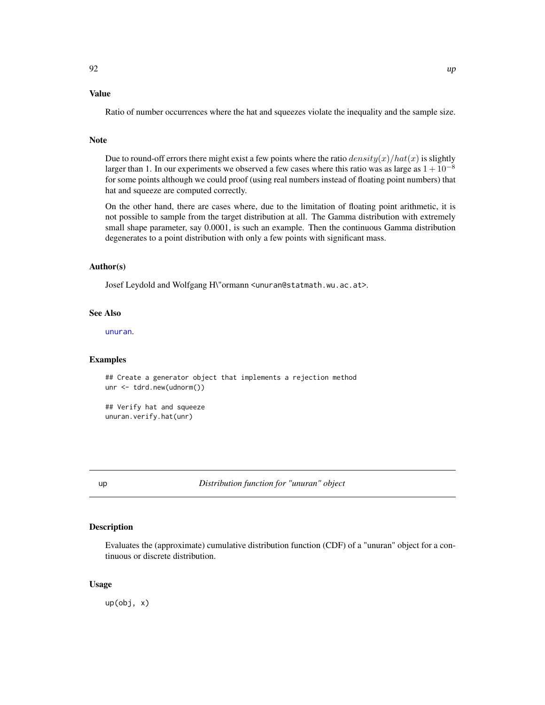# Value

Ratio of number occurrences where the hat and squeezes violate the inequality and the sample size.

### Note

Due to round-off errors there might exist a few points where the ratio  $density(x)/hat(x)$  is slightly larger than 1. In our experiments we observed a few cases where this ratio was as large as  $1 + 10^{-8}$ for some points although we could proof (using real numbers instead of floating point numbers) that hat and squeeze are computed correctly.

On the other hand, there are cases where, due to the limitation of floating point arithmetic, it is not possible to sample from the target distribution at all. The Gamma distribution with extremely small shape parameter, say 0.0001, is such an example. Then the continuous Gamma distribution degenerates to a point distribution with only a few points with significant mass.

### Author(s)

Josef Leydold and Wolfgang H\"ormann <unuran@statmath.wu.ac.at>.

# See Also

[unuran](#page-74-0).

### Examples

```
## Create a generator object that implements a rejection method
unr <- tdrd.new(udnorm())
## Verify hat and squeeze
unuran.verify.hat(unr)
```
up *Distribution function for "unuran" object*

### Description

Evaluates the (approximate) cumulative distribution function (CDF) of a "unuran" object for a continuous or discrete distribution.

### Usage

up(obj, x)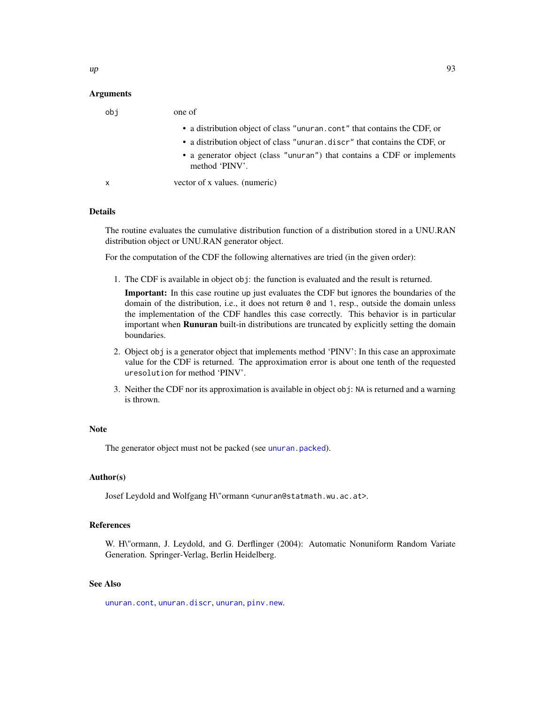### Arguments

| obi          | one of                                                                                    |
|--------------|-------------------------------------------------------------------------------------------|
|              | • a distribution object of class "unuran.cont" that contains the CDF, or                  |
|              | • a distribution object of class "unuran. discr" that contains the CDF, or                |
|              | • a generator object (class "unuran") that contains a CDF or implements<br>method 'PINV'. |
| $\mathsf{x}$ | vector of x values. (numeric)                                                             |

# Details

The routine evaluates the cumulative distribution function of a distribution stored in a UNU.RAN distribution object or UNU.RAN generator object.

For the computation of the CDF the following alternatives are tried (in the given order):

1. The CDF is available in object obj: the function is evaluated and the result is returned.

Important: In this case routine up just evaluates the CDF but ignores the boundaries of the domain of the distribution, i.e., it does not return  $\theta$  and 1, resp., outside the domain unless the implementation of the CDF handles this case correctly. This behavior is in particular important when **Runuran** built-in distributions are truncated by explicitly setting the domain boundaries.

- 2. Object obj is a generator object that implements method 'PINV': In this case an approximate value for the CDF is returned. The approximation error is about one tenth of the requested uresolution for method 'PINV'.
- 3. Neither the CDF nor its approximation is available in object obj: NA is returned and a warning is thrown.

# Note

The generator object must not be packed (see [unuran.packed](#page-88-0)).

### Author(s)

Josef Leydold and Wolfgang H\"ormann <unuran@statmath.wu.ac.at>.

# References

W. H\"ormann, J. Leydold, and G. Derflinger (2004): Automatic Nonuniform Random Variate Generation. Springer-Verlag, Berlin Heidelberg.

# See Also

[unuran.cont](#page-78-0), [unuran.discr](#page-82-0), [unuran](#page-74-0), [pinv.new](#page-21-0).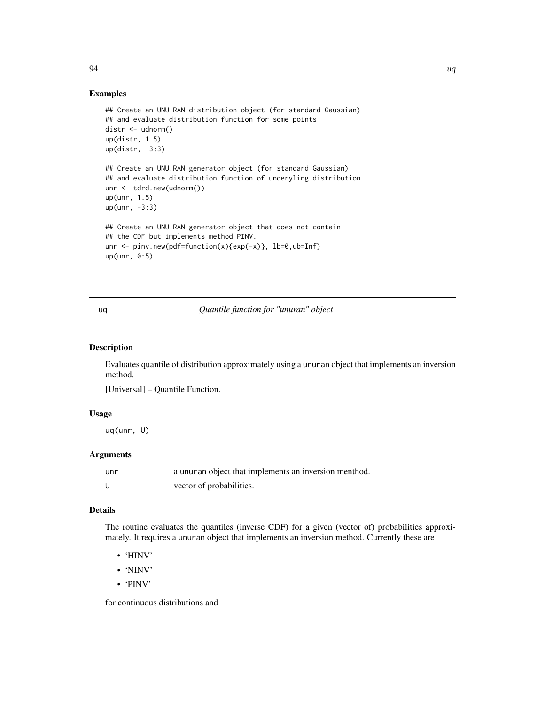### Examples

```
## Create an UNU.RAN distribution object (for standard Gaussian)
## and evaluate distribution function for some points
distr <- udnorm()
up(distr, 1.5)
up(distr, -3:3)
## Create an UNU.RAN generator object (for standard Gaussian)
## and evaluate distribution function of underyling distribution
unr <- tdrd.new(udnorm())
up(unr, 1.5)
up(unr, -3:3)
## Create an UNU.RAN generator object that does not contain
## the CDF but implements method PINV.
unr \le- pinv.new(pdf=function(x){exp(-x)}, lb=0,ub=Inf)
up(unr, 0:5)
```
<span id="page-93-0"></span>uq *Quantile function for "unuran" object*

# Description

Evaluates quantile of distribution approximately using a unuran object that implements an inversion method.

[Universal] – Quantile Function.

### Usage

uq(unr, U)

# Arguments

| unr | a unuran object that implements an inversion menthod. |
|-----|-------------------------------------------------------|
| - U | vector of probabilities.                              |

### Details

The routine evaluates the quantiles (inverse CDF) for a given (vector of) probabilities approximately. It requires a unuran object that implements an inversion method. Currently these are

- 'HINV'
- 'NINV'
- 'PINV'

for continuous distributions and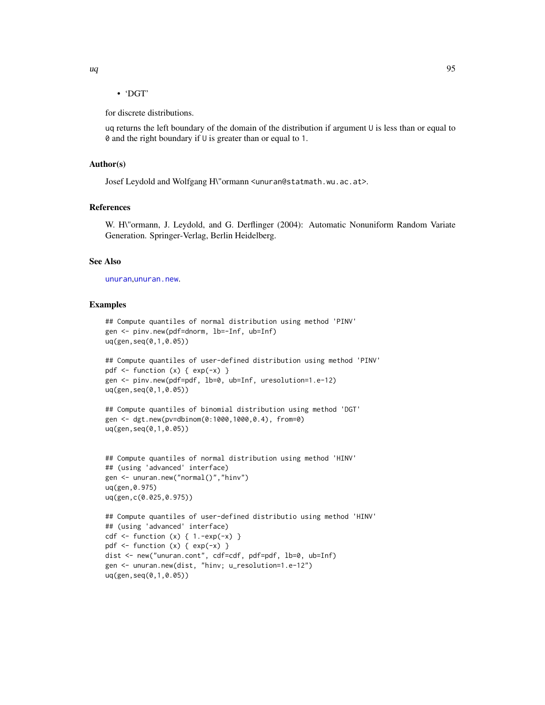# • 'DGT'

for discrete distributions.

uq returns the left boundary of the domain of the distribution if argument U is less than or equal to 0 and the right boundary if U is greater than or equal to 1.

### Author(s)

Josef Leydold and Wolfgang H\"ormann <unuran@statmath.wu.ac.at>.

# References

W. H\"ormann, J. Leydold, and G. Derflinger (2004): Automatic Nonuniform Random Variate Generation. Springer-Verlag, Berlin Heidelberg.

# See Also

[unuran](#page-74-0),[unuran.new](#page-87-0).

```
## Compute quantiles of normal distribution using method 'PINV'
gen <- pinv.new(pdf=dnorm, lb=-Inf, ub=Inf)
uq(gen,seq(0,1,0.05))
```

```
## Compute quantiles of user-defined distribution using method 'PINV'
pdf \le function (x) { exp(-x) }
gen <- pinv.new(pdf=pdf, lb=0, ub=Inf, uresolution=1.e-12)
uq(gen,seq(0,1,0.05))
```

```
## Compute quantiles of binomial distribution using method 'DGT'
gen <- dgt.new(pv=dbinom(0:1000,1000,0.4), from=0)
uq(gen,seq(0,1,0.05))
```

```
## Compute quantiles of normal distribution using method 'HINV'
## (using 'advanced' interface)
gen <- unuran.new("normal()","hinv")
uq(gen,0.975)
uq(gen,c(0.025,0.975))
```

```
## Compute quantiles of user-defined distributio using method 'HINV'
## (using 'advanced' interface)
cdf \le function (x) { 1.-exp(-x) }
pdf \le function (x) { exp(-x) }
dist <- new("unuran.cont", cdf=cdf, pdf=pdf, lb=0, ub=Inf)
gen <- unuran.new(dist, "hinv; u_resolution=1.e-12")
uq(gen,seq(0,1,0.05))
```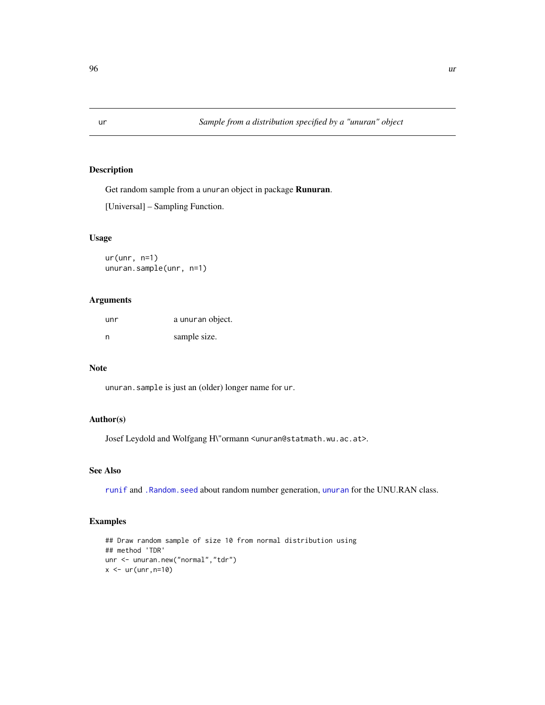# Description

Get random sample from a unuran object in package Runuran.

```
[Universal] – Sampling Function.
```
# Usage

ur(unr, n=1) unuran.sample(unr, n=1)

# Arguments

| unr | a unuran object. |
|-----|------------------|
| n   | sample size.     |

# Note

unuran.sample is just an (older) longer name for ur.

# Author(s)

Josef Leydold and Wolfgang H\"ormann <unuran@statmath.wu.ac.at>.

### See Also

[runif](#page-0-0) and [.Random.seed](#page-0-0) about random number generation, [unuran](#page-74-0) for the UNU.RAN class.

```
## Draw random sample of size 10 from normal distribution using
## method 'TDR'
unr <- unuran.new("normal","tdr")
x < -ur(unr, n=10)
```
<span id="page-95-0"></span>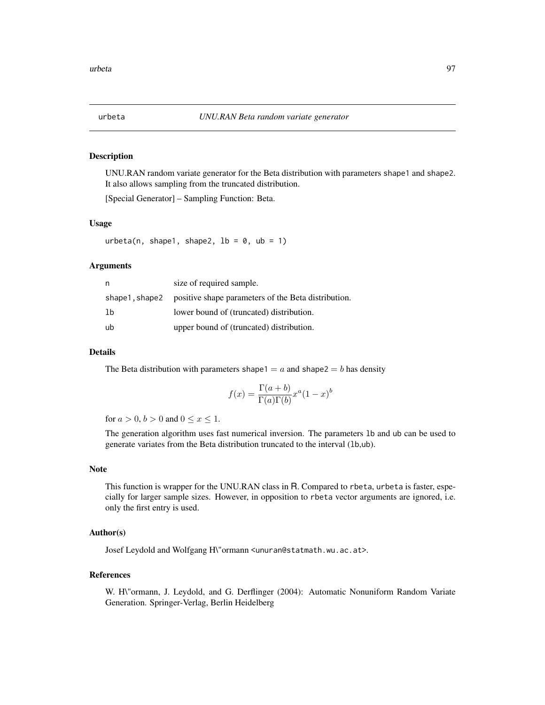# Description

UNU.RAN random variate generator for the Beta distribution with parameters shape1 and shape2. It also allows sampling from the truncated distribution.

[Special Generator] – Sampling Function: Beta.

### Usage

urbeta(n, shape1, shape2,  $lb = 0$ ,  $ub = 1$ )

### Arguments

| n  | size of required sample.                                           |
|----|--------------------------------------------------------------------|
|    | shape1, shape2 positive shape parameters of the Beta distribution. |
| 1b | lower bound of (truncated) distribution.                           |
| ub | upper bound of (truncated) distribution.                           |

### Details

The Beta distribution with parameters shape1 =  $a$  and shape2 =  $b$  has density

$$
f(x) = \frac{\Gamma(a+b)}{\Gamma(a)\Gamma(b)} x^a (1-x)^b
$$

for  $a > 0$ ,  $b > 0$  and  $0 \le x \le 1$ .

The generation algorithm uses fast numerical inversion. The parameters lb and ub can be used to generate variates from the Beta distribution truncated to the interval (lb,ub).

# Note

This function is wrapper for the UNU.RAN class in R. Compared to rbeta, urbeta is faster, especially for larger sample sizes. However, in opposition to rbeta vector arguments are ignored, i.e. only the first entry is used.

# Author(s)

Josef Leydold and Wolfgang H\"ormann <unuran@statmath.wu.ac.at>.

#### References

W. H\"ormann, J. Leydold, and G. Derflinger (2004): Automatic Nonuniform Random Variate Generation. Springer-Verlag, Berlin Heidelberg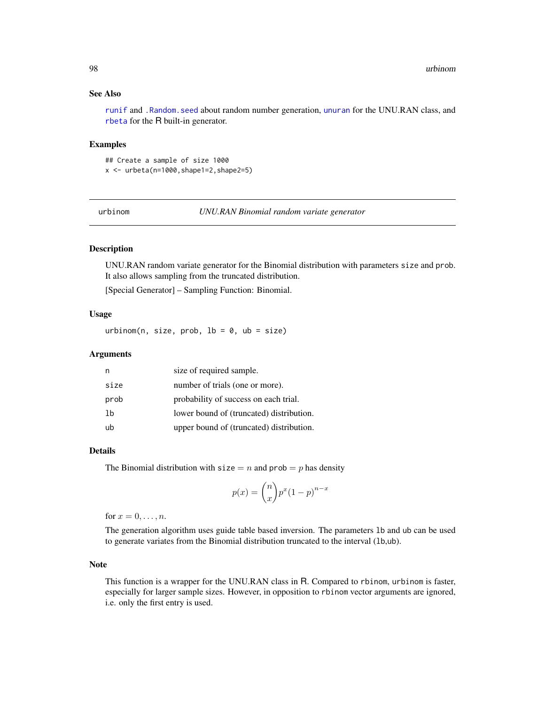# See Also

[runif](#page-0-0) and [.Random.seed](#page-0-0) about random number generation, [unuran](#page-74-0) for the UNU.RAN class, and [rbeta](#page-0-0) for the R built-in generator.

### Examples

## Create a sample of size 1000  $x \le -$  urbeta(n=1000, shape1=2, shape2=5)

urbinom *UNU.RAN Binomial random variate generator*

# **Description**

UNU.RAN random variate generator for the Binomial distribution with parameters size and prob. It also allows sampling from the truncated distribution.

[Special Generator] – Sampling Function: Binomial.

### Usage

urbinom(n, size, prob,  $lb = 0$ ,  $ub = size$ )

### Arguments

| n    | size of required sample.                 |
|------|------------------------------------------|
| size | number of trials (one or more).          |
| prob | probability of success on each trial.    |
| 1b   | lower bound of (truncated) distribution. |
| ub   | upper bound of (truncated) distribution. |

### Details

The Binomial distribution with  $size = n$  and  $prob = p$  has density

$$
p(x) = {n \choose x} p^x (1-p)^{n-x}
$$

for  $x = 0, \ldots, n$ .

The generation algorithm uses guide table based inversion. The parameters lb and ub can be used to generate variates from the Binomial distribution truncated to the interval (lb,ub).

### Note

This function is a wrapper for the UNU.RAN class in R. Compared to rbinom, urbinom is faster, especially for larger sample sizes. However, in opposition to rbinom vector arguments are ignored, i.e. only the first entry is used.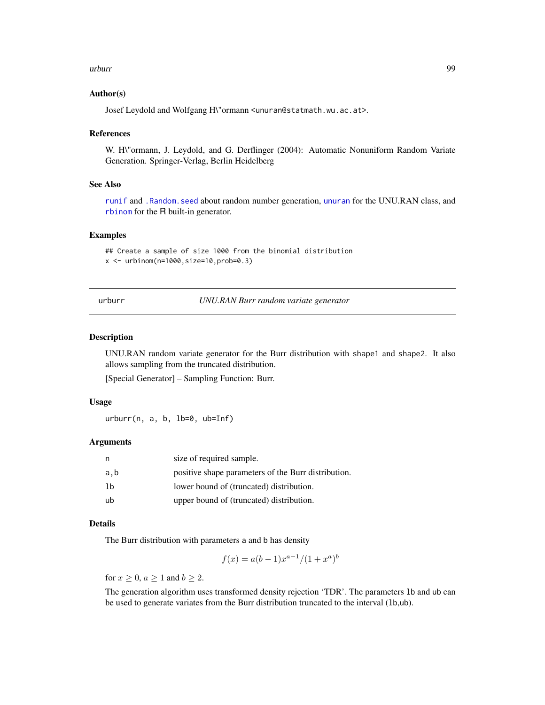### urburr 99

### Author(s)

Josef Leydold and Wolfgang H\"ormann <unuran@statmath.wu.ac.at>.

### References

W. H\"ormann, J. Leydold, and G. Derflinger (2004): Automatic Nonuniform Random Variate Generation. Springer-Verlag, Berlin Heidelberg

### See Also

[runif](#page-0-0) and [.Random.seed](#page-0-0) about random number generation, [unuran](#page-74-0) for the UNU.RAN class, and [rbinom](#page-0-0) for the R built-in generator.

# Examples

## Create a sample of size 1000 from the binomial distribution  $x < -$  urbinom(n=1000, size=10, prob=0.3)

urburr *UNU.RAN Burr random variate generator*

# Description

UNU.RAN random variate generator for the Burr distribution with shape1 and shape2. It also allows sampling from the truncated distribution.

[Special Generator] – Sampling Function: Burr.

### Usage

urburr(n, a, b, lb=0, ub=Inf)

### Arguments

| n   | size of required sample.                            |
|-----|-----------------------------------------------------|
| a,b | positive shape parameters of the Burr distribution. |
| -1b | lower bound of (truncated) distribution.            |
| ub  | upper bound of (truncated) distribution.            |

# Details

The Burr distribution with parameters a and b has density

$$
f(x) = a(b-1)x^{a-1}/(1+x^a)^b
$$

for  $x \geq 0$ ,  $a \geq 1$  and  $b \geq 2$ .

The generation algorithm uses transformed density rejection 'TDR'. The parameters lb and ub can be used to generate variates from the Burr distribution truncated to the interval (lb,ub).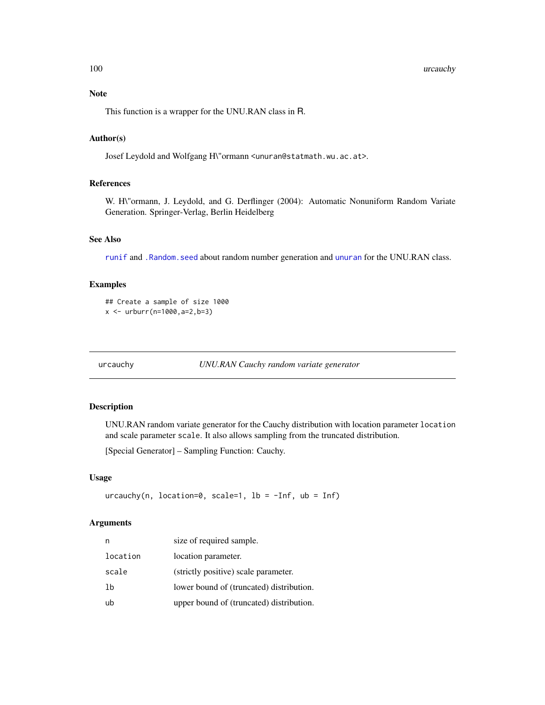### 100 urcauchy and the state of the state of the state of the state of the state of the state of the state of the state of the state of the state of the state of the state of the state of the state of the state of the state

# Note

This function is a wrapper for the UNU.RAN class in R.

## Author(s)

Josef Leydold and Wolfgang H\"ormann <unuran@statmath.wu.ac.at>.

# References

W. H\"ormann, J. Leydold, and G. Derflinger (2004): Automatic Nonuniform Random Variate Generation. Springer-Verlag, Berlin Heidelberg

# See Also

[runif](#page-0-0) and [.Random.seed](#page-0-0) about random number generation and [unuran](#page-74-0) for the UNU.RAN class.

# Examples

```
## Create a sample of size 1000
x \le - urburr(n=1000, a=2, b=3)
```
urcauchy *UNU.RAN Cauchy random variate generator*

# Description

UNU.RAN random variate generator for the Cauchy distribution with location parameter location and scale parameter scale. It also allows sampling from the truncated distribution.

[Special Generator] – Sampling Function: Cauchy.

# Usage

urcauchy(n, location=0, scale=1, lb =  $-Inf$ , ub =  $Inf$ )

# Arguments

| n        | size of required sample.                 |
|----------|------------------------------------------|
| location | location parameter.                      |
| scale    | (strictly positive) scale parameter.     |
| 1b       | lower bound of (truncated) distribution. |
| ub       | upper bound of (truncated) distribution. |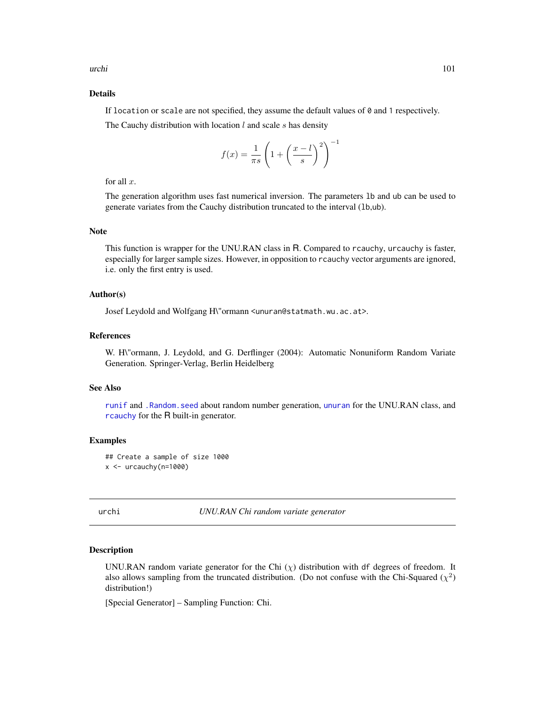urchi 101

# Details

If location or scale are not specified, they assume the default values of  $\theta$  and 1 respectively.

The Cauchy distribution with location  $l$  and scale  $s$  has density

$$
f(x) = \frac{1}{\pi s} \left( 1 + \left(\frac{x - l}{s}\right)^2 \right)^{-1}
$$

for all  $x$ .

The generation algorithm uses fast numerical inversion. The parameters lb and ub can be used to generate variates from the Cauchy distribution truncated to the interval (lb,ub).

# Note

This function is wrapper for the UNU.RAN class in R. Compared to rcauchy, urcauchy is faster, especially for larger sample sizes. However, in opposition to rcauchy vector arguments are ignored, i.e. only the first entry is used.

### Author(s)

Josef Leydold and Wolfgang H\"ormann <unuran@statmath.wu.ac.at>.

### References

W. H\"ormann, J. Leydold, and G. Derflinger (2004): Automatic Nonuniform Random Variate Generation. Springer-Verlag, Berlin Heidelberg

#### See Also

[runif](#page-0-0) and [.Random.seed](#page-0-0) about random number generation, [unuran](#page-74-0) for the UNU.RAN class, and [rcauchy](#page-0-0) for the R built-in generator.

# Examples

```
## Create a sample of size 1000
x < - urcauchy(n=1000)
```
urchi *UNU.RAN Chi random variate generator*

### Description

UNU.RAN random variate generator for the Chi  $(\chi)$  distribution with df degrees of freedom. It also allows sampling from the truncated distribution. (Do not confuse with the Chi-Squared  $(\chi^2)$ distribution!)

[Special Generator] – Sampling Function: Chi.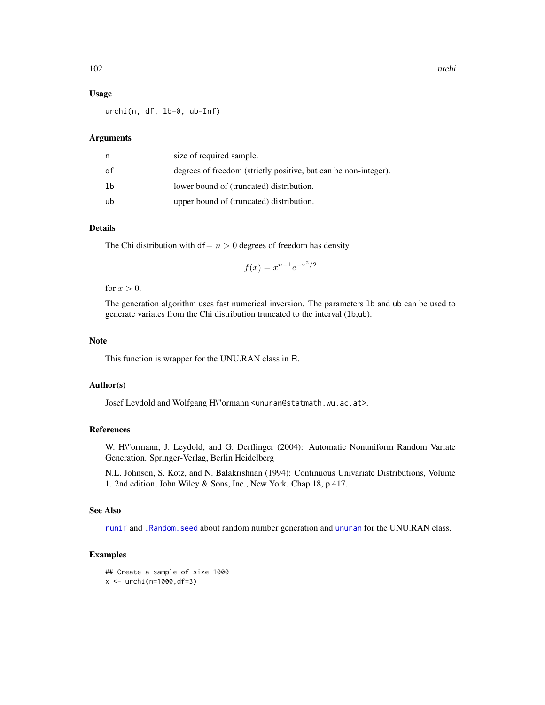### Usage

urchi(n, df, lb=0, ub=Inf)

### Arguments

| n  | size of required sample.                                        |
|----|-----------------------------------------------------------------|
| df | degrees of freedom (strictly positive, but can be non-integer). |
| lb | lower bound of (truncated) distribution.                        |
| ub | upper bound of (truncated) distribution.                        |

### Details

The Chi distribution with  $df = n > 0$  degrees of freedom has density

$$
f(x) = x^{n-1}e^{-x^2/2}
$$

for  $x > 0$ .

The generation algorithm uses fast numerical inversion. The parameters lb and ub can be used to generate variates from the Chi distribution truncated to the interval (lb,ub).

### Note

This function is wrapper for the UNU.RAN class in R.

### Author(s)

Josef Leydold and Wolfgang H\"ormann <unuran@statmath.wu.ac.at>.

### References

W. H\"ormann, J. Leydold, and G. Derflinger (2004): Automatic Nonuniform Random Variate Generation. Springer-Verlag, Berlin Heidelberg

N.L. Johnson, S. Kotz, and N. Balakrishnan (1994): Continuous Univariate Distributions, Volume 1. 2nd edition, John Wiley & Sons, Inc., New York. Chap.18, p.417.

# See Also

[runif](#page-0-0) and [.Random.seed](#page-0-0) about random number generation and [unuran](#page-74-0) for the UNU.RAN class.

```
## Create a sample of size 1000
x < - urchi(n=1000,df=3)
```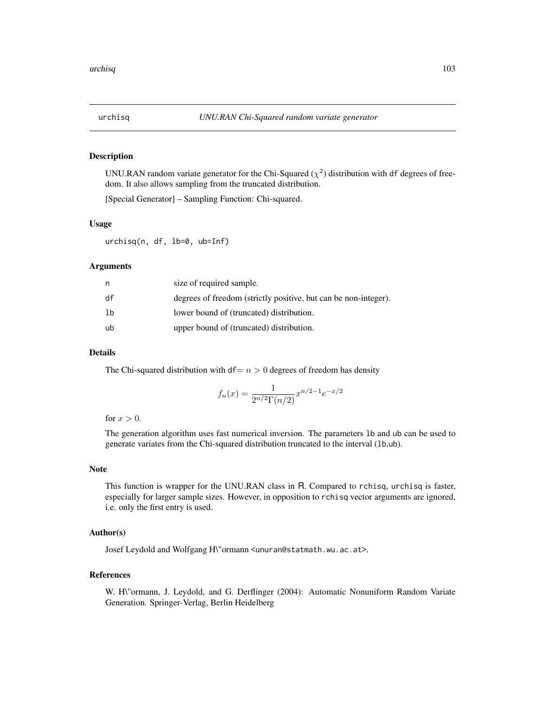# Description

UNU.RAN random variate generator for the Chi-Squared  $(\chi^2)$  distribution with df degrees of freedom. It also allows sampling from the truncated distribution.

[Special Generator] – Sampling Function: Chi-squared.

### Usage

urchisq(n, df, lb=0, ub=Inf)

### Arguments

| n  | size of required sample.                                        |
|----|-----------------------------------------------------------------|
| df | degrees of freedom (strictly positive, but can be non-integer). |
| lb | lower bound of (truncated) distribution.                        |
| ub | upper bound of (truncated) distribution.                        |

# Details

The Chi-squared distribution with  $df = n > 0$  degrees of freedom has density

$$
f_n(x) = \frac{1}{2^{n/2} \Gamma(n/2)} x^{n/2 - 1} e^{-x/2}
$$

for  $x > 0$ .

The generation algorithm uses fast numerical inversion. The parameters lb and ub can be used to generate variates from the Chi-squared distribution truncated to the interval (lb,ub).

# Note

This function is wrapper for the UNU.RAN class in R. Compared to rchisq, urchisq is faster, especially for larger sample sizes. However, in opposition to rchisq vector arguments are ignored, i.e. only the first entry is used.

# Author(s)

Josef Leydold and Wolfgang H\"ormann <unuran@statmath.wu.ac.at>.

# References

W. H\"ormann, J. Leydold, and G. Derflinger (2004): Automatic Nonuniform Random Variate Generation. Springer-Verlag, Berlin Heidelberg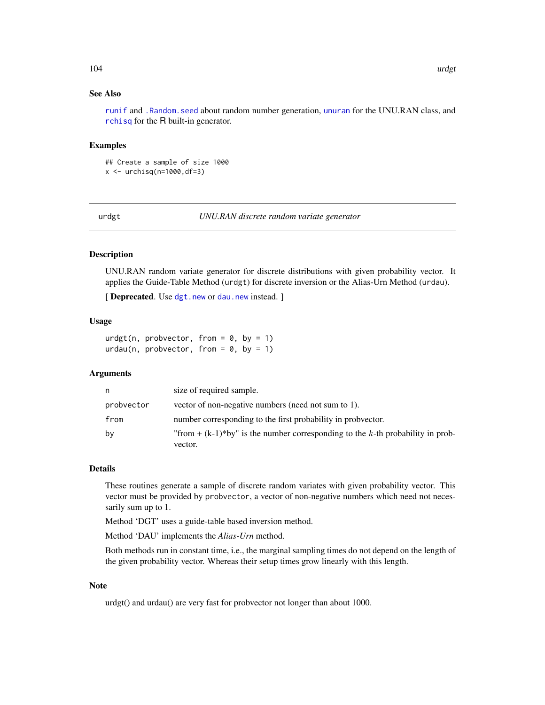# See Also

[runif](#page-0-0) and [.Random.seed](#page-0-0) about random number generation, [unuran](#page-74-0) for the UNU.RAN class, and [rchisq](#page-0-0) for the R built-in generator.

### Examples

## Create a sample of size 1000  $x \leftarrow \text{urchisq}(n=1000, df=3)$ 

urdgt *UNU.RAN discrete random variate generator*

# Description

UNU.RAN random variate generator for discrete distributions with given probability vector. It applies the Guide-Table Method (urdgt) for discrete inversion or the Alias-Urn Method (urdau).

[ Deprecated. Use [dgt.new](#page-14-0) or [dau.new](#page-12-0) instead. ]

### Usage

urdgt(n, probvector, from =  $0$ , by = 1) urdau(n, probvector, from =  $0$ , by = 1)

### Arguments

| n          | size of required sample.                                                                     |
|------------|----------------------------------------------------------------------------------------------|
| probvector | vector of non-negative numbers (need not sum to 1).                                          |
| from       | number corresponding to the first probability in probvector.                                 |
| by         | "from + $(k-1)$ *by" is the number corresponding to the k-th probability in prob-<br>vector. |

### Details

These routines generate a sample of discrete random variates with given probability vector. This vector must be provided by probvector, a vector of non-negative numbers which need not necessarily sum up to 1.

Method 'DGT' uses a guide-table based inversion method.

Method 'DAU' implements the *Alias-Urn* method.

Both methods run in constant time, i.e., the marginal sampling times do not depend on the length of the given probability vector. Whereas their setup times grow linearly with this length.

### Note

urdgt() and urdau() are very fast for probvector not longer than about 1000.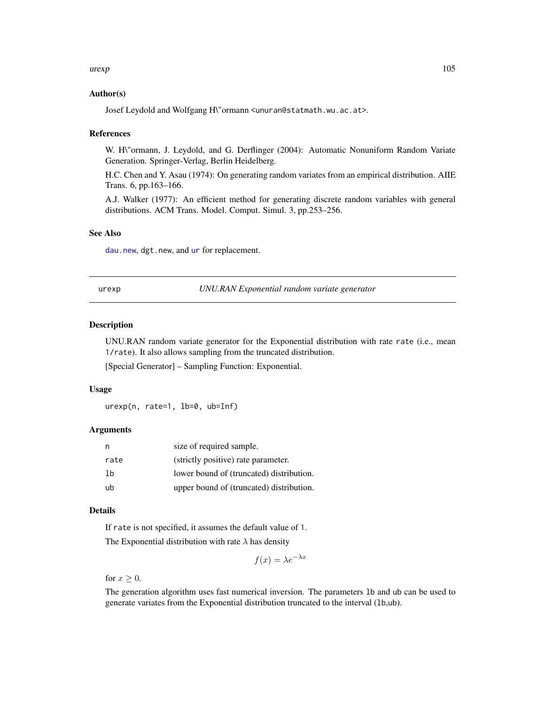### $\mu$  are  $\mu$  105

# Author(s)

Josef Leydold and Wolfgang H\"ormann <unuran@statmath.wu.ac.at>.

### References

W. H\"ormann, J. Leydold, and G. Derflinger (2004): Automatic Nonuniform Random Variate Generation. Springer-Verlag, Berlin Heidelberg.

H.C. Chen and Y. Asau (1974): On generating random variates from an empirical distribution. AIIE Trans. 6, pp.163–166.

A.J. Walker (1977): An efficient method for generating discrete random variables with general distributions. ACM Trans. Model. Comput. Simul. 3, pp.253–256.

# See Also

[dau.new](#page-12-0), dgt.new, and [ur](#page-95-0) for replacement.

urexp *UNU.RAN Exponential random variate generator*

# Description

UNU.RAN random variate generator for the Exponential distribution with rate rate (i.e., mean 1/rate). It also allows sampling from the truncated distribution.

[Special Generator] – Sampling Function: Exponential.

#### Usage

urexp(n, rate=1, lb=0, ub=Inf)

### Arguments

|      | size of required sample.                 |
|------|------------------------------------------|
| rate | (strictly positive) rate parameter.      |
| 1b   | lower bound of (truncated) distribution. |
| ub   | upper bound of (truncated) distribution. |

### Details

If rate is not specified, it assumes the default value of 1. The Exponential distribution with rate  $\lambda$  has density

$$
f(x) = \lambda e^{-\lambda x}
$$

for  $x \geq 0$ .

The generation algorithm uses fast numerical inversion. The parameters lb and ub can be used to generate variates from the Exponential distribution truncated to the interval (lb,ub).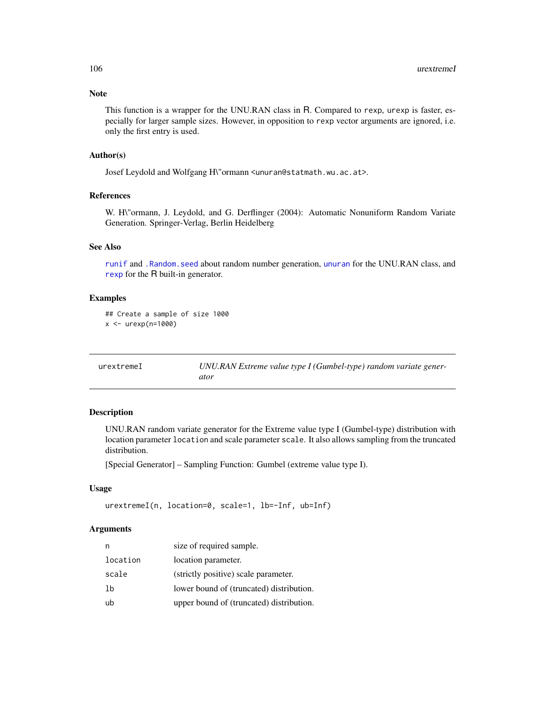# Note

This function is a wrapper for the UNU.RAN class in R. Compared to rexp, urexp is faster, especially for larger sample sizes. However, in opposition to rexp vector arguments are ignored, i.e. only the first entry is used.

# Author(s)

Josef Leydold and Wolfgang H\"ormann <unuran@statmath.wu.ac.at>.

# References

W. H\"ormann, J. Leydold, and G. Derflinger (2004): Automatic Nonuniform Random Variate Generation. Springer-Verlag, Berlin Heidelberg

### See Also

[runif](#page-0-0) and [.Random.seed](#page-0-0) about random number generation, [unuran](#page-74-0) for the UNU.RAN class, and [rexp](#page-0-0) for the R built-in generator.

# Examples

```
## Create a sample of size 1000
x <- urexp(n=1000)
```

| urextremeI | UNU.RAN Extreme value type I (Gumbel-type) random variate gener- |
|------------|------------------------------------------------------------------|
|            | ator                                                             |

### Description

UNU.RAN random variate generator for the Extreme value type I (Gumbel-type) distribution with location parameter location and scale parameter scale. It also allows sampling from the truncated distribution.

[Special Generator] – Sampling Function: Gumbel (extreme value type I).

# Usage

```
urextremeI(n, location=0, scale=1, lb=-Inf, ub=Inf)
```
# Arguments

| n        | size of required sample.                 |
|----------|------------------------------------------|
| location | location parameter.                      |
| scale    | (strictly positive) scale parameter.     |
| 1b       | lower bound of (truncated) distribution. |
| ub       | upper bound of (truncated) distribution. |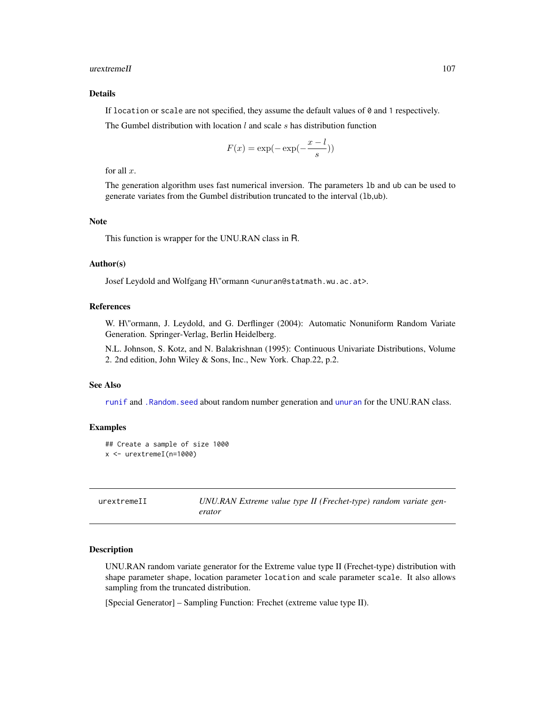### urextremeII 107

### Details

If location or scale are not specified, they assume the default values of  $\theta$  and 1 respectively.

The Gumbel distribution with location *l* and scale s has distribution function

$$
F(x) = \exp(-\exp(-\frac{x-l}{s}))
$$

for all  $x$ .

The generation algorithm uses fast numerical inversion. The parameters lb and ub can be used to generate variates from the Gumbel distribution truncated to the interval (lb,ub).

# Note

This function is wrapper for the UNU.RAN class in R.

### Author(s)

Josef Leydold and Wolfgang H\"ormann <unuran@statmath.wu.ac.at>.

# References

W. H\"ormann, J. Leydold, and G. Derflinger (2004): Automatic Nonuniform Random Variate Generation. Springer-Verlag, Berlin Heidelberg.

N.L. Johnson, S. Kotz, and N. Balakrishnan (1995): Continuous Univariate Distributions, Volume 2. 2nd edition, John Wiley & Sons, Inc., New York. Chap.22, p.2.

### See Also

[runif](#page-0-0) and [.Random.seed](#page-0-0) about random number generation and [unuran](#page-74-0) for the UNU.RAN class.

#### Examples

```
## Create a sample of size 1000
x <- urextremeI(n=1000)
```

| urextremeII | UNU.RAN Extreme value type II (Frechet-type) random variate gen- |
|-------------|------------------------------------------------------------------|
|             | erator                                                           |

# **Description**

UNU.RAN random variate generator for the Extreme value type II (Frechet-type) distribution with shape parameter shape, location parameter location and scale parameter scale. It also allows sampling from the truncated distribution.

[Special Generator] – Sampling Function: Frechet (extreme value type II).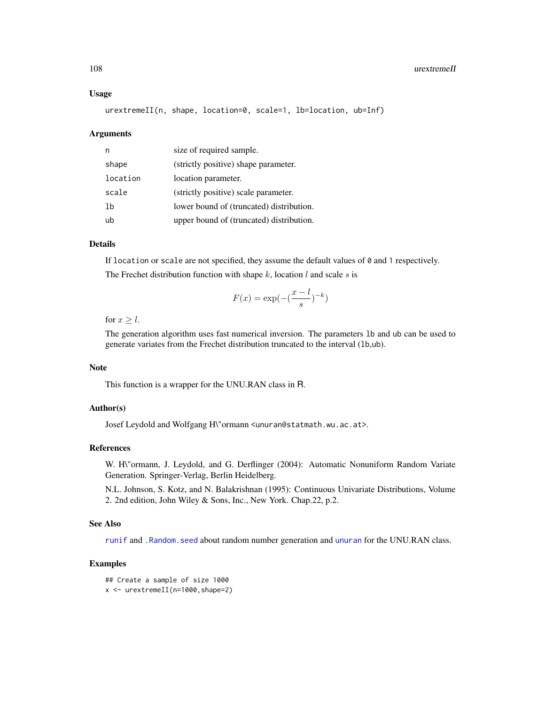### 108 urextremeII

### Usage

urextremeII(n, shape, location=0, scale=1, lb=location, ub=Inf)

### Arguments

| n        | size of required sample.                 |
|----------|------------------------------------------|
| shape    | (strictly positive) shape parameter.     |
| location | location parameter.                      |
| scale    | (strictly positive) scale parameter.     |
| 1b       | lower bound of (truncated) distribution. |
| ub       | upper bound of (truncated) distribution. |

# Details

If location or scale are not specified, they assume the default values of  $\theta$  and 1 respectively. The Frechet distribution function with shape  $k$ , location  $l$  and scale  $s$  is

$$
F(x) = \exp(-\left(\frac{x-l}{s}\right)^{-k})
$$

for  $x > l$ .

The generation algorithm uses fast numerical inversion. The parameters lb and ub can be used to generate variates from the Frechet distribution truncated to the interval (lb,ub).

# Note

This function is a wrapper for the UNU.RAN class in R.

### Author(s)

Josef Leydold and Wolfgang H\"ormann <unuran@statmath.wu.ac.at>.

### References

W. H\"ormann, J. Leydold, and G. Derflinger (2004): Automatic Nonuniform Random Variate Generation. Springer-Verlag, Berlin Heidelberg.

N.L. Johnson, S. Kotz, and N. Balakrishnan (1995): Continuous Univariate Distributions, Volume 2. 2nd edition, John Wiley & Sons, Inc., New York. Chap.22, p.2.

# See Also

[runif](#page-0-0) and [.Random.seed](#page-0-0) about random number generation and [unuran](#page-74-0) for the UNU.RAN class.

```
## Create a sample of size 1000
x <- urextremeII(n=1000,shape=2)
```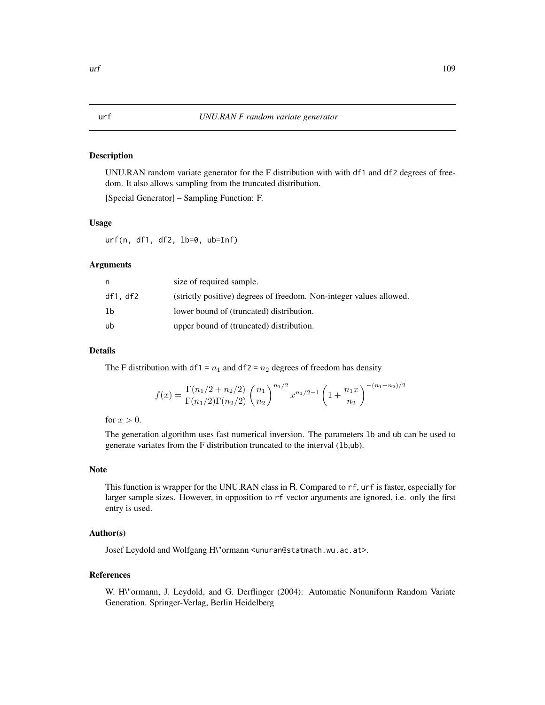### <span id="page-108-0"></span>Description

UNU.RAN random variate generator for the F distribution with with df1 and df2 degrees of freedom. It also allows sampling from the truncated distribution.

[Special Generator] – Sampling Function: F.

#### Usage

urf(n, df1, df2, lb=0, ub=Inf)

#### Arguments

| n        | size of required sample.                                            |
|----------|---------------------------------------------------------------------|
| df1, df2 | (strictly positive) degrees of freedom. Non-integer values allowed. |
| lb       | lower bound of (truncated) distribution.                            |
| ub       | upper bound of (truncated) distribution.                            |

#### Details

The F distribution with df1 =  $n_1$  and df2 =  $n_2$  degrees of freedom has density

$$
f(x) = \frac{\Gamma(n_1/2 + n_2/2)}{\Gamma(n_1/2)\Gamma(n_2/2)} \left(\frac{n_1}{n_2}\right)^{n_1/2} x^{n_1/2 - 1} \left(1 + \frac{n_1 x}{n_2}\right)^{-(n_1 + n_2)/2}
$$

for  $x > 0$ .

The generation algorithm uses fast numerical inversion. The parameters lb and ub can be used to generate variates from the F distribution truncated to the interval (lb,ub).

### Note

This function is wrapper for the UNU.RAN class in R. Compared to rf, urf is faster, especially for larger sample sizes. However, in opposition to rf vector arguments are ignored, i.e. only the first entry is used.

#### Author(s)

Josef Leydold and Wolfgang H\"ormann <unuran@statmath.wu.ac.at>.

#### References

W. H\"ormann, J. Leydold, and G. Derflinger (2004): Automatic Nonuniform Random Variate Generation. Springer-Verlag, Berlin Heidelberg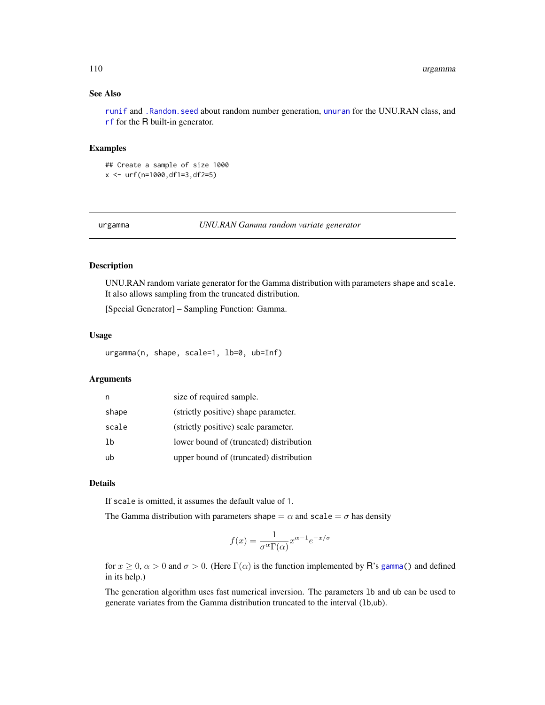### <span id="page-109-0"></span>See Also

[runif](#page-0-0) and [.Random.seed](#page-0-0) about random number generation, [unuran](#page-74-0) for the UNU.RAN class, and [rf](#page-0-0) for the R built-in generator.

### Examples

## Create a sample of size 1000 x <- urf(n=1000,df1=3,df2=5)

urgamma *UNU.RAN Gamma random variate generator*

#### Description

UNU.RAN random variate generator for the Gamma distribution with parameters shape and scale. It also allows sampling from the truncated distribution.

[Special Generator] – Sampling Function: Gamma.

### Usage

urgamma(n, shape, scale=1, lb=0, ub=Inf)

### Arguments

| n     | size of required sample.                |
|-------|-----------------------------------------|
| shape | (strictly positive) shape parameter.    |
| scale | (strictly positive) scale parameter.    |
| lb    | lower bound of (truncated) distribution |
| ub    | upper bound of (truncated) distribution |

### Details

If scale is omitted, it assumes the default value of 1.

The Gamma distribution with parameters shape  $= \alpha$  and scale  $= \sigma$  has density

$$
f(x) = \frac{1}{\sigma^{\alpha} \Gamma(\alpha)} x^{\alpha - 1} e^{-x/\sigma}
$$

for  $x \ge 0$ ,  $\alpha > 0$  and  $\sigma > 0$ . (Here  $\Gamma(\alpha)$  is the function implemented by R's [gamma\(](#page-0-0)) and defined in its help.)

The generation algorithm uses fast numerical inversion. The parameters lb and ub can be used to generate variates from the Gamma distribution truncated to the interval (lb,ub).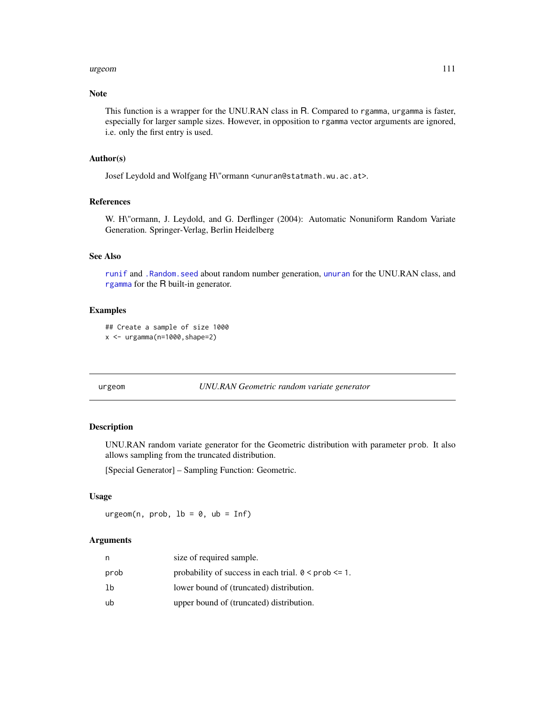#### <span id="page-110-0"></span>urgeom 111

### Note

This function is a wrapper for the UNU.RAN class in R. Compared to rgamma, urgamma is faster, especially for larger sample sizes. However, in opposition to rgamma vector arguments are ignored, i.e. only the first entry is used.

#### Author(s)

Josef Leydold and Wolfgang H\"ormann <unuran@statmath.wu.ac.at>.

#### References

W. H\"ormann, J. Leydold, and G. Derflinger (2004): Automatic Nonuniform Random Variate Generation. Springer-Verlag, Berlin Heidelberg

### See Also

[runif](#page-0-0) and [.Random.seed](#page-0-0) about random number generation, [unuran](#page-74-0) for the UNU.RAN class, and [rgamma](#page-0-0) for the R built-in generator.

#### Examples

```
## Create a sample of size 1000
x <- urgamma(n=1000,shape=2)
```
urgeom *UNU.RAN Geometric random variate generator*

## Description

UNU.RAN random variate generator for the Geometric distribution with parameter prob. It also allows sampling from the truncated distribution.

[Special Generator] – Sampling Function: Geometric.

### Usage

 $urgeom(n, prob, lb = 0, ub = Inf)$ 

#### Arguments

| n    | size of required sample.                                       |
|------|----------------------------------------------------------------|
| prob | probability of success in each trial. $0 \leq$ prob $\leq 1$ . |
| 1b   | lower bound of (truncated) distribution.                       |
| ub   | upper bound of (truncated) distribution.                       |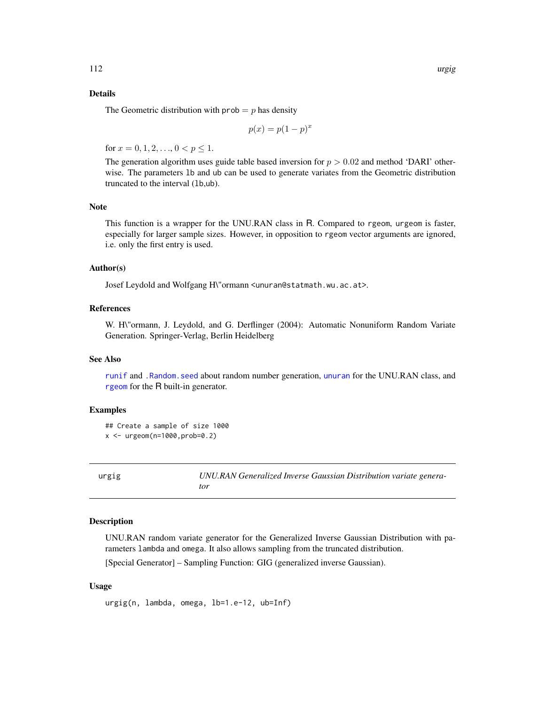### <span id="page-111-0"></span>Details

The Geometric distribution with  $prob = p$  has density

$$
p(x) = p(1 - p)^x
$$

for  $x = 0, 1, 2, \ldots, 0 < p \le 1$ .

The generation algorithm uses guide table based inversion for  $p > 0.02$  and method 'DARI' otherwise. The parameters lb and ub can be used to generate variates from the Geometric distribution truncated to the interval (lb,ub).

#### Note

This function is a wrapper for the UNU.RAN class in R. Compared to rgeom, urgeom is faster, especially for larger sample sizes. However, in opposition to rgeom vector arguments are ignored, i.e. only the first entry is used.

#### Author(s)

Josef Leydold and Wolfgang H\"ormann <unuran@statmath.wu.ac.at>.

### References

W. H\"ormann, J. Leydold, and G. Derflinger (2004): Automatic Nonuniform Random Variate Generation. Springer-Verlag, Berlin Heidelberg

#### See Also

[runif](#page-0-0) and [.Random.seed](#page-0-0) about random number generation, [unuran](#page-74-0) for the UNU.RAN class, and [rgeom](#page-0-0) for the R built-in generator.

#### Examples

```
## Create a sample of size 1000
x <- urgeom(n=1000,prob=0.2)
```
urgig *UNU.RAN Generalized Inverse Gaussian Distribution variate generator*

### Description

UNU.RAN random variate generator for the Generalized Inverse Gaussian Distribution with parameters lambda and omega. It also allows sampling from the truncated distribution.

[Special Generator] – Sampling Function: GIG (generalized inverse Gaussian).

#### Usage

urgig(n, lambda, omega, lb=1.e-12, ub=Inf)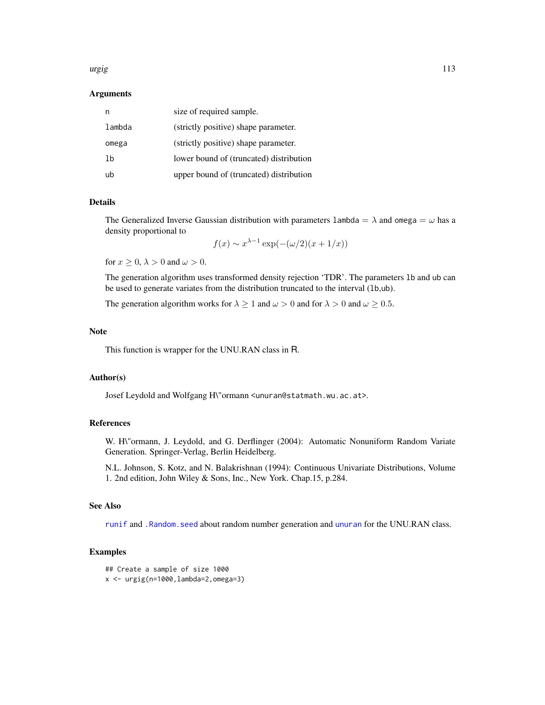#### <span id="page-112-0"></span>urgig 113

#### Arguments

| n      | size of required sample.                |
|--------|-----------------------------------------|
| lambda | (strictly positive) shape parameter.    |
| omega  | (strictly positive) shape parameter.    |
| 1b     | lower bound of (truncated) distribution |
| ub     | upper bound of (truncated) distribution |

#### Details

The Generalized Inverse Gaussian distribution with parameters lambda =  $\lambda$  and omega =  $\omega$  has a density proportional to

$$
f(x) \sim x^{\lambda - 1} \exp(-(\omega/2)(x + 1/x))
$$

for  $x \geq 0$ ,  $\lambda > 0$  and  $\omega > 0$ .

The generation algorithm uses transformed density rejection 'TDR'. The parameters lb and ub can be used to generate variates from the distribution truncated to the interval (lb,ub).

The generation algorithm works for  $\lambda \ge 1$  and  $\omega > 0$  and for  $\lambda > 0$  and  $\omega \ge 0.5$ .

#### Note

This function is wrapper for the UNU.RAN class in R.

#### Author(s)

Josef Leydold and Wolfgang H\"ormann <unuran@statmath.wu.ac.at>.

#### References

W. H\"ormann, J. Leydold, and G. Derflinger (2004): Automatic Nonuniform Random Variate Generation. Springer-Verlag, Berlin Heidelberg.

N.L. Johnson, S. Kotz, and N. Balakrishnan (1994): Continuous Univariate Distributions, Volume 1. 2nd edition, John Wiley & Sons, Inc., New York. Chap.15, p.284.

### See Also

[runif](#page-0-0) and [.Random.seed](#page-0-0) about random number generation and [unuran](#page-74-0) for the UNU.RAN class.

```
## Create a sample of size 1000
x \leftarrow \text{urgig}(n=1000, \text{lambda=2}, \text{omega=3})
```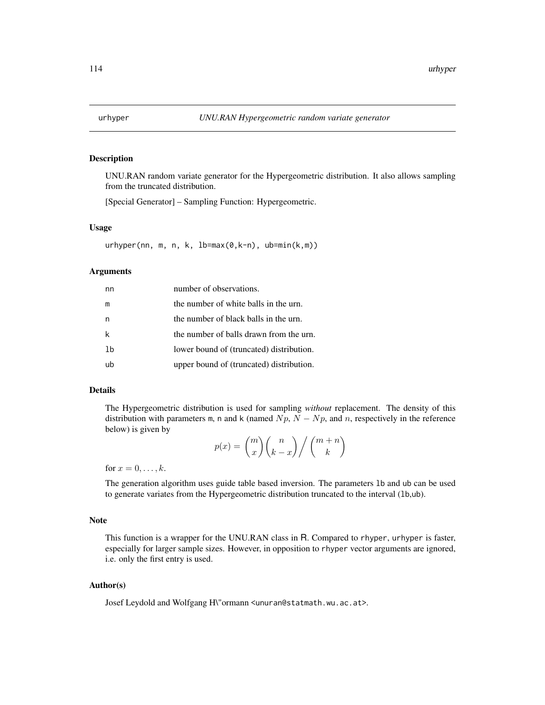### <span id="page-113-0"></span>Description

UNU.RAN random variate generator for the Hypergeometric distribution. It also allows sampling from the truncated distribution.

[Special Generator] – Sampling Function: Hypergeometric.

#### Usage

urhyper(nn, m, n, k, lb=max(0,k-n), ub=min(k,m))

### Arguments

| nn | number of observations.                  |
|----|------------------------------------------|
| m  | the number of white balls in the urn.    |
| n  | the number of black balls in the urn.    |
| k  | the number of balls drawn from the urn.  |
| 1b | lower bound of (truncated) distribution. |
| uh | upper bound of (truncated) distribution. |

#### Details

The Hypergeometric distribution is used for sampling *without* replacement. The density of this distribution with parameters m, n and k (named  $Np$ ,  $N - Np$ , and n, respectively in the reference below) is given by

$$
p(x) = {m \choose x} {n \choose k-x} / {m+n \choose k}
$$

for  $x = 0, \ldots, k$ .

The generation algorithm uses guide table based inversion. The parameters lb and ub can be used to generate variates from the Hypergeometric distribution truncated to the interval (lb,ub).

#### Note

This function is a wrapper for the UNU.RAN class in R. Compared to rhyper, urhyper is faster, especially for larger sample sizes. However, in opposition to rhyper vector arguments are ignored, i.e. only the first entry is used.

### Author(s)

Josef Leydold and Wolfgang H\"ormann <unuran@statmath.wu.ac.at>.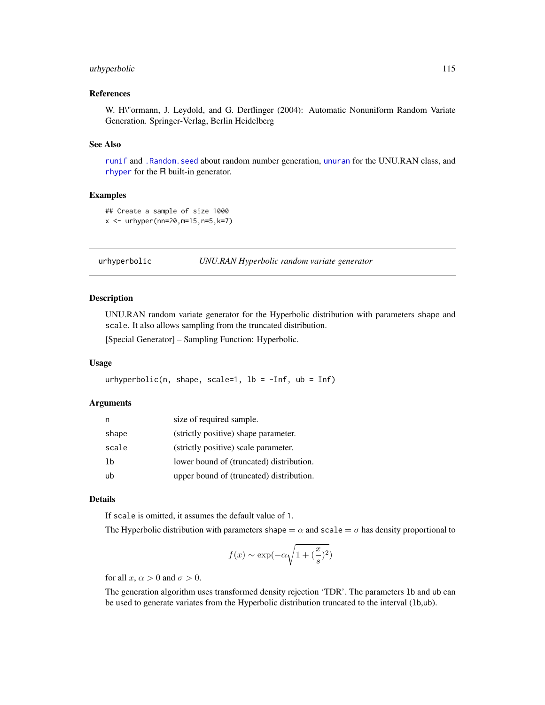### <span id="page-114-0"></span>urhyperbolic 115

### References

W. H\"ormann, J. Leydold, and G. Derflinger (2004): Automatic Nonuniform Random Variate Generation. Springer-Verlag, Berlin Heidelberg

#### See Also

[runif](#page-0-0) and [.Random.seed](#page-0-0) about random number generation, [unuran](#page-74-0) for the UNU.RAN class, and [rhyper](#page-0-0) for the R built-in generator.

### Examples

```
## Create a sample of size 1000
x \le - urhyper(nn=20, m=15, n=5, k=7)
```

```
urhyperbolic UNU.RAN Hyperbolic random variate generator
```
### Description

UNU.RAN random variate generator for the Hyperbolic distribution with parameters shape and scale. It also allows sampling from the truncated distribution.

[Special Generator] – Sampling Function: Hyperbolic.

### Usage

urhyperbolic(n, shape, scale=1, lb =  $-Inf$ , ub = Inf)

#### Arguments

| n     | size of required sample.                 |
|-------|------------------------------------------|
| shape | (strictly positive) shape parameter.     |
| scale | (strictly positive) scale parameter.     |
| 1b    | lower bound of (truncated) distribution. |
| ub    | upper bound of (truncated) distribution. |

### Details

If scale is omitted, it assumes the default value of 1.

The Hyperbolic distribution with parameters shape  $= \alpha$  and scale  $= \sigma$  has density proportional to

$$
f(x) \sim \exp(-\alpha \sqrt{1 + (\frac{x}{s})^2})
$$

for all x,  $\alpha > 0$  and  $\sigma > 0$ .

The generation algorithm uses transformed density rejection 'TDR'. The parameters lb and ub can be used to generate variates from the Hyperbolic distribution truncated to the interval (1b,ub).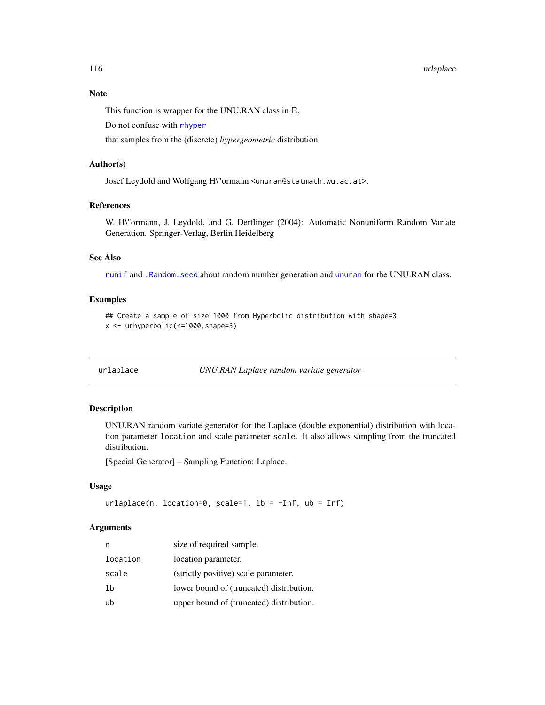#### 116 urlaylax extensive contract to the contract of the contract of the contract of the contract of the contract of the contract of the contract of the contract of the contract of the contract of the contract of the contrac

#### Note

This function is wrapper for the UNU.RAN class in R.

Do not confuse with [rhyper](#page-0-0)

that samples from the (discrete) *hypergeometric* distribution.

#### Author(s)

Josef Leydold and Wolfgang H\"ormann <unuran@statmath.wu.ac.at>.

### References

W. H\"ormann, J. Leydold, and G. Derflinger (2004): Automatic Nonuniform Random Variate Generation. Springer-Verlag, Berlin Heidelberg

### See Also

[runif](#page-0-0) and [.Random.seed](#page-0-0) about random number generation and [unuran](#page-74-0) for the UNU.RAN class.

### Examples

```
## Create a sample of size 1000 from Hyperbolic distribution with shape=3
x <- urhyperbolic(n=1000,shape=3)
```
urlaplace *UNU.RAN Laplace random variate generator*

#### Description

UNU.RAN random variate generator for the Laplace (double exponential) distribution with location parameter location and scale parameter scale. It also allows sampling from the truncated distribution.

[Special Generator] – Sampling Function: Laplace.

#### Usage

```
urlaplace(n, location=0, scale=1, lb = -Inf, ub = Inf)
```
### Arguments

| n        | size of required sample.                 |
|----------|------------------------------------------|
| location | location parameter.                      |
| scale    | (strictly positive) scale parameter.     |
| 1b       | lower bound of (truncated) distribution. |
| ub       | upper bound of (truncated) distribution. |

<span id="page-115-0"></span>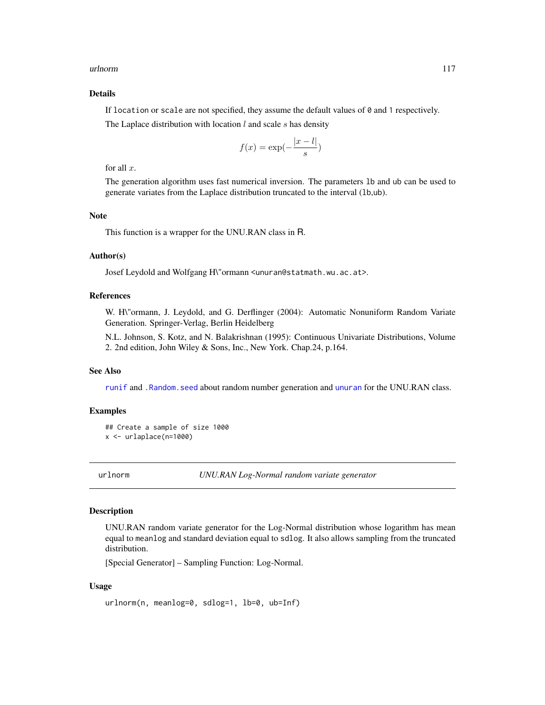#### <span id="page-116-0"></span>urlnorm 117

### Details

If location or scale are not specified, they assume the default values of  $\theta$  and 1 respectively.

The Laplace distribution with location  $l$  and scale  $s$  has density

$$
f(x) = \exp(-\frac{|x - l|}{s})
$$

for all  $x$ .

The generation algorithm uses fast numerical inversion. The parameters lb and ub can be used to generate variates from the Laplace distribution truncated to the interval (lb,ub).

### Note

This function is a wrapper for the UNU.RAN class in R.

### Author(s)

Josef Leydold and Wolfgang H\"ormann <unuran@statmath.wu.ac.at>.

#### **References**

W. H\"ormann, J. Leydold, and G. Derflinger (2004): Automatic Nonuniform Random Variate Generation. Springer-Verlag, Berlin Heidelberg

N.L. Johnson, S. Kotz, and N. Balakrishnan (1995): Continuous Univariate Distributions, Volume 2. 2nd edition, John Wiley & Sons, Inc., New York. Chap.24, p.164.

#### See Also

[runif](#page-0-0) and [.Random.seed](#page-0-0) about random number generation and [unuran](#page-74-0) for the UNU.RAN class.

#### Examples

```
## Create a sample of size 1000
x <- urlaplace(n=1000)
```
urlnorm *UNU.RAN Log-Normal random variate generator*

#### Description

UNU.RAN random variate generator for the Log-Normal distribution whose logarithm has mean equal to meanlog and standard deviation equal to sdlog. It also allows sampling from the truncated distribution.

[Special Generator] – Sampling Function: Log-Normal.

#### Usage

```
urlnorm(n, meanlog=0, sdlog=1, lb=0, ub=Inf)
```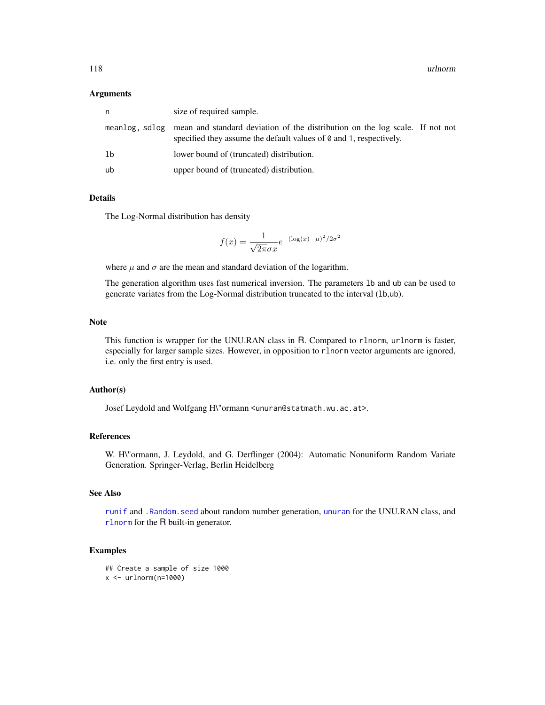#### <span id="page-117-0"></span>**Arguments**

| n  | size of required sample.                                                                                                                                                 |
|----|--------------------------------------------------------------------------------------------------------------------------------------------------------------------------|
|    | meanlog, sdlog mean and standard deviation of the distribution on the log scale. If not not<br>specified they assume the default values of $\theta$ and 1, respectively. |
| lb | lower bound of (truncated) distribution.                                                                                                                                 |
| ub | upper bound of (truncated) distribution.                                                                                                                                 |

### **Details**

The Log-Normal distribution has density

$$
f(x) = \frac{1}{\sqrt{2\pi}\sigma x}e^{-(\log(x) - \mu)^2/2\sigma^2}
$$

where  $\mu$  and  $\sigma$  are the mean and standard deviation of the logarithm.

The generation algorithm uses fast numerical inversion. The parameters lb and ub can be used to generate variates from the Log-Normal distribution truncated to the interval (lb,ub).

### Note

This function is wrapper for the UNU.RAN class in R. Compared to rlnorm, urlnorm is faster, especially for larger sample sizes. However, in opposition to rlnorm vector arguments are ignored, i.e. only the first entry is used.

#### Author(s)

Josef Leydold and Wolfgang H\"ormann <unuran@statmath.wu.ac.at>.

### References

W. H\"ormann, J. Leydold, and G. Derflinger (2004): Automatic Nonuniform Random Variate Generation. Springer-Verlag, Berlin Heidelberg

### See Also

[runif](#page-0-0) and [.Random.seed](#page-0-0) about random number generation, [unuran](#page-74-0) for the UNU.RAN class, and [rlnorm](#page-0-0) for the R built-in generator.

```
## Create a sample of size 1000
x \leftarrow \text{urlnorm}(n=1000)
```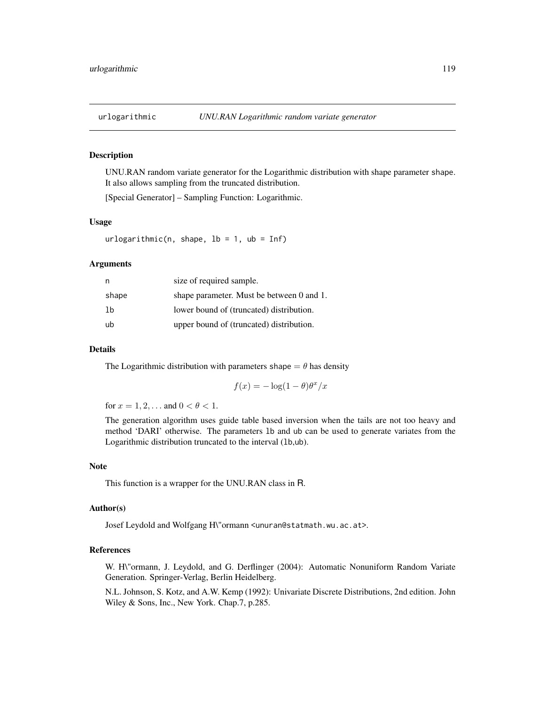<span id="page-118-0"></span>

#### Description

UNU.RAN random variate generator for the Logarithmic distribution with shape parameter shape. It also allows sampling from the truncated distribution.

[Special Generator] – Sampling Function: Logarithmic.

#### Usage

 $urlogarithmic(n, shape, lb = 1, ub = Inf)$ 

### Arguments

| n     | size of required sample.                  |
|-------|-------------------------------------------|
| shape | shape parameter. Must be between 0 and 1. |
| 1b    | lower bound of (truncated) distribution.  |
| ub    | upper bound of (truncated) distribution.  |

### Details

The Logarithmic distribution with parameters shape  $= \theta$  has density

$$
f(x) = -\log(1-\theta)\theta^x/x
$$

for  $x = 1, 2, ...$  and  $0 < \theta < 1$ .

The generation algorithm uses guide table based inversion when the tails are not too heavy and method 'DARI' otherwise. The parameters lb and ub can be used to generate variates from the Logarithmic distribution truncated to the interval (lb,ub).

#### Note

This function is a wrapper for the UNU.RAN class in R.

### Author(s)

Josef Leydold and Wolfgang H\"ormann <unuran@statmath.wu.ac.at>.

#### References

W. H\"ormann, J. Leydold, and G. Derflinger (2004): Automatic Nonuniform Random Variate Generation. Springer-Verlag, Berlin Heidelberg.

N.L. Johnson, S. Kotz, and A.W. Kemp (1992): Univariate Discrete Distributions, 2nd edition. John Wiley & Sons, Inc., New York. Chap.7, p.285.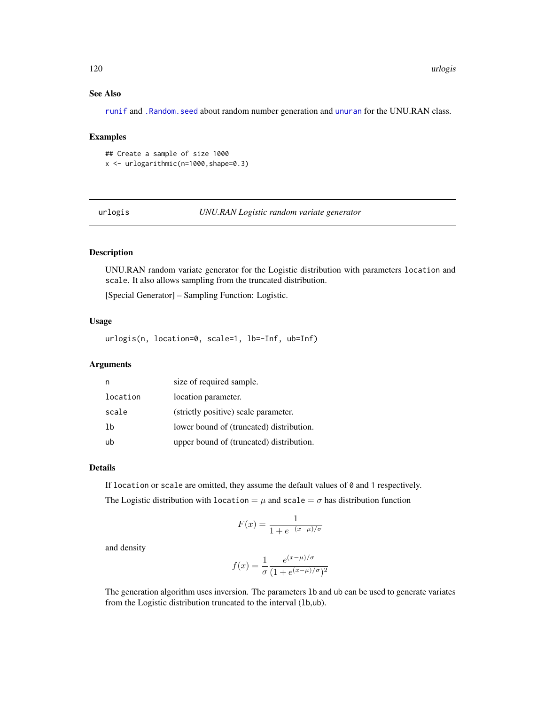### See Also

[runif](#page-0-0) and [.Random.seed](#page-0-0) about random number generation and [unuran](#page-74-0) for the UNU.RAN class.

### Examples

## Create a sample of size 1000 x <- urlogarithmic(n=1000,shape=0.3)

 $urlogis$ 

### Description

UNU.RAN random variate generator for the Logistic distribution with parameters location and scale. It also allows sampling from the truncated distribution.

[Special Generator] – Sampling Function: Logistic.

#### Usage

urlogis(n, location=0, scale=1, lb=-Inf, ub=Inf)

### Arguments

| n        | size of required sample.                 |
|----------|------------------------------------------|
| location | location parameter.                      |
| scale    | (strictly positive) scale parameter.     |
| 1b       | lower bound of (truncated) distribution. |
| ub       | upper bound of (truncated) distribution. |

#### Details

If location or scale are omitted, they assume the default values of  $\theta$  and 1 respectively. The Logistic distribution with location =  $\mu$  and scale =  $\sigma$  has distribution function

$$
F(x) = \frac{1}{1 + e^{-(x - \mu)/\sigma}}
$$

and density

$$
f(x) = \frac{1}{\sigma} \frac{e^{(x-\mu)/\sigma}}{(1 + e^{(x-\mu)/\sigma})^2}
$$

The generation algorithm uses inversion. The parameters lb and ub can be used to generate variates from the Logistic distribution truncated to the interval (lb,ub).

<span id="page-119-0"></span>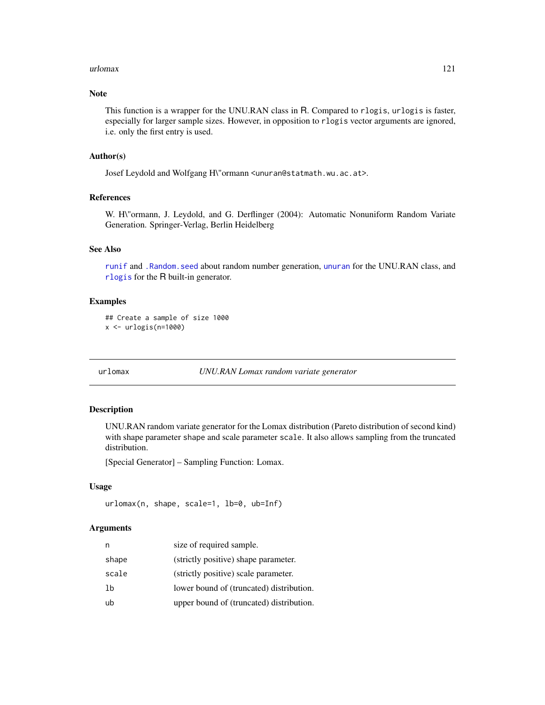#### <span id="page-120-0"></span>urlomax 121

### Note

This function is a wrapper for the UNU.RAN class in R. Compared to rlogis, urlogis is faster, especially for larger sample sizes. However, in opposition to rlogis vector arguments are ignored, i.e. only the first entry is used.

### Author(s)

Josef Leydold and Wolfgang H\"ormann <unuran@statmath.wu.ac.at>.

### References

W. H\"ormann, J. Leydold, and G. Derflinger (2004): Automatic Nonuniform Random Variate Generation. Springer-Verlag, Berlin Heidelberg

### See Also

[runif](#page-0-0) and [.Random.seed](#page-0-0) about random number generation, [unuran](#page-74-0) for the UNU.RAN class, and [rlogis](#page-0-0) for the R built-in generator.

#### Examples

```
## Create a sample of size 1000
x <- urlogis(n=1000)
```
urlomax *UNU.RAN Lomax random variate generator*

#### Description

UNU.RAN random variate generator for the Lomax distribution (Pareto distribution of second kind) with shape parameter shape and scale parameter scale. It also allows sampling from the truncated distribution.

[Special Generator] – Sampling Function: Lomax.

#### Usage

urlomax(n, shape, scale=1, lb=0, ub=Inf)

### Arguments

| n     | size of required sample.                 |
|-------|------------------------------------------|
| shape | (strictly positive) shape parameter.     |
| scale | (strictly positive) scale parameter.     |
| lb    | lower bound of (truncated) distribution. |
| ub    | upper bound of (truncated) distribution. |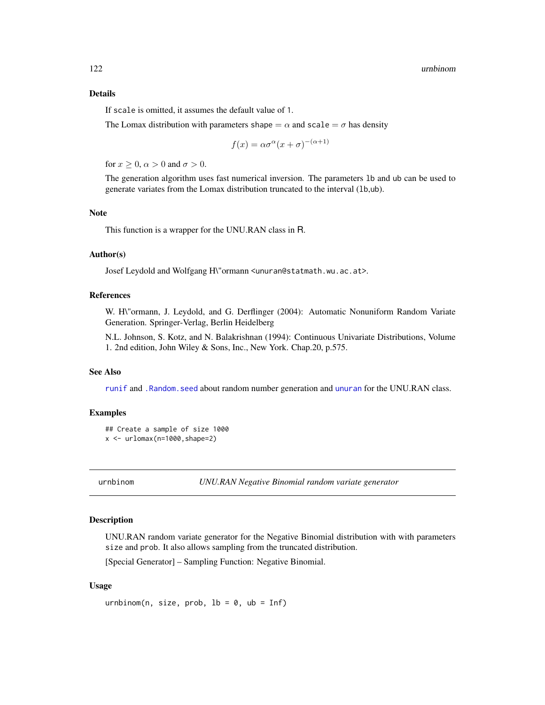### <span id="page-121-0"></span>Details

If scale is omitted, it assumes the default value of 1.

The Lomax distribution with parameters shape  $= \alpha$  and scale  $= \sigma$  has density

$$
f(x)=\alpha\sigma^\alpha(x+\sigma)^{-(\alpha+1)}
$$

for  $x > 0$ ,  $\alpha > 0$  and  $\sigma > 0$ .

The generation algorithm uses fast numerical inversion. The parameters lb and ub can be used to generate variates from the Lomax distribution truncated to the interval (lb,ub).

#### Note

This function is a wrapper for the UNU.RAN class in R.

### Author(s)

Josef Leydold and Wolfgang H\"ormann <unuran@statmath.wu.ac.at>.

### References

W. H\"ormann, J. Leydold, and G. Derflinger (2004): Automatic Nonuniform Random Variate Generation. Springer-Verlag, Berlin Heidelberg

N.L. Johnson, S. Kotz, and N. Balakrishnan (1994): Continuous Univariate Distributions, Volume 1. 2nd edition, John Wiley & Sons, Inc., New York. Chap.20, p.575.

#### See Also

[runif](#page-0-0) and [.Random.seed](#page-0-0) about random number generation and [unuran](#page-74-0) for the UNU.RAN class.

#### Examples

```
## Create a sample of size 1000
x \leftarrow \text{urlomax}(n=1000, \text{shape}=2)
```
urnbinom *UNU.RAN Negative Binomial random variate generator*

#### Description

UNU.RAN random variate generator for the Negative Binomial distribution with with parameters size and prob. It also allows sampling from the truncated distribution.

[Special Generator] – Sampling Function: Negative Binomial.

#### Usage

urnbinom(n, size, prob,  $lb = 0$ ,  $ub = Inf$ )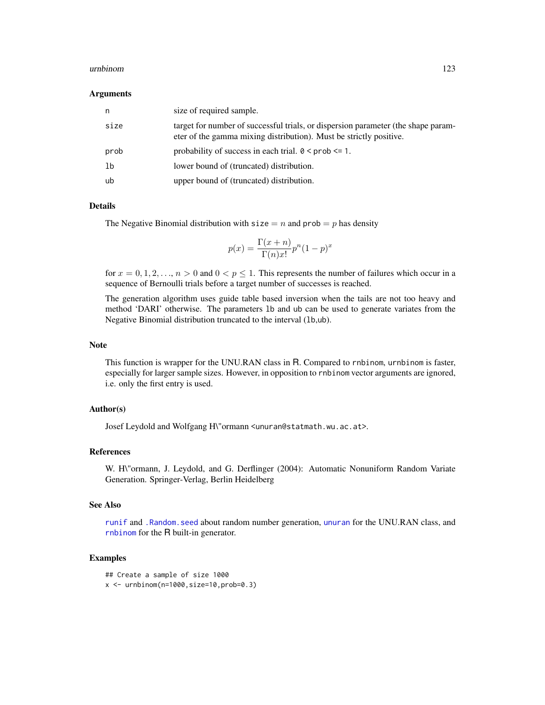#### <span id="page-122-0"></span>urnbinom 123

#### Arguments

| n    | size of required sample.                                                                                                                                |
|------|---------------------------------------------------------------------------------------------------------------------------------------------------------|
| size | target for number of successful trials, or dispersion parameter (the shape param-<br>eter of the gamma mixing distribution). Must be strictly positive. |
| prob | probability of success in each trial. $0 \leq prob \leq 1$ .                                                                                            |
| 1b   | lower bound of (truncated) distribution.                                                                                                                |
| ub   | upper bound of (truncated) distribution.                                                                                                                |

### Details

The Negative Binomial distribution with  $size = n$  and  $prob = p$  has density

$$
p(x) = \frac{\Gamma(x+n)}{\Gamma(n)x!} p^n (1-p)^x
$$

for  $x = 0, 1, 2, \ldots, n > 0$  and  $0 < p \le 1$ . This represents the number of failures which occur in a sequence of Bernoulli trials before a target number of successes is reached.

The generation algorithm uses guide table based inversion when the tails are not too heavy and method 'DARI' otherwise. The parameters lb and ub can be used to generate variates from the Negative Binomial distribution truncated to the interval (lb,ub).

#### Note

This function is wrapper for the UNU.RAN class in R. Compared to rnbinom, urnbinom is faster, especially for larger sample sizes. However, in opposition to rnbinom vector arguments are ignored, i.e. only the first entry is used.

### Author(s)

Josef Leydold and Wolfgang H\"ormann <unuran@statmath.wu.ac.at>.

#### References

W. H\"ormann, J. Leydold, and G. Derflinger (2004): Automatic Nonuniform Random Variate Generation. Springer-Verlag, Berlin Heidelberg

#### See Also

[runif](#page-0-0) and [.Random.seed](#page-0-0) about random number generation, [unuran](#page-74-0) for the UNU.RAN class, and [rnbinom](#page-0-0) for the R built-in generator.

```
## Create a sample of size 1000
x \le - urnbinom(n=1000,size=10,prob=0.3)
```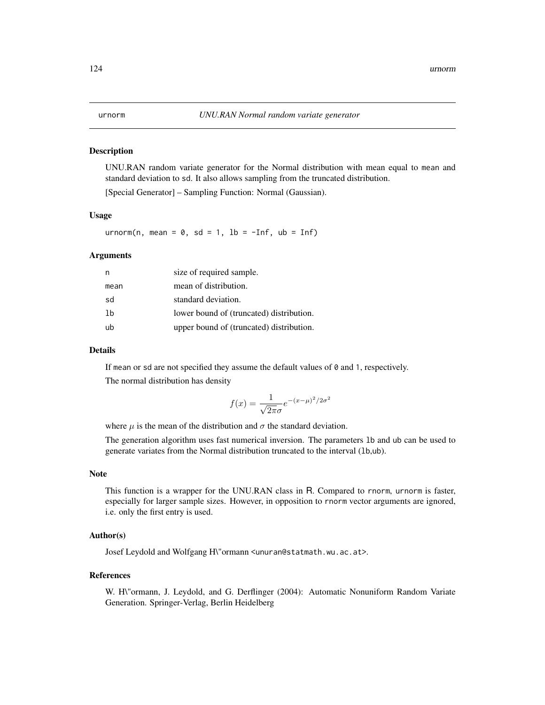#### <span id="page-123-0"></span>Description

UNU.RAN random variate generator for the Normal distribution with mean equal to mean and standard deviation to sd. It also allows sampling from the truncated distribution.

[Special Generator] – Sampling Function: Normal (Gaussian).

### Usage

urnorm(n, mean =  $0$ , sd = 1, lb =  $-Inf$ , ub = Inf)

#### Arguments

| n    | size of required sample.                 |
|------|------------------------------------------|
| mean | mean of distribution.                    |
| sd   | standard deviation.                      |
| 1b   | lower bound of (truncated) distribution. |
| ub   | upper bound of (truncated) distribution. |

#### Details

If mean or sd are not specified they assume the default values of 0 and 1, respectively. The normal distribution has density

$$
f(x) = \frac{1}{\sqrt{2\pi}\sigma}e^{-(x-\mu)^2/2\sigma^2}
$$

where  $\mu$  is the mean of the distribution and  $\sigma$  the standard deviation.

The generation algorithm uses fast numerical inversion. The parameters lb and ub can be used to generate variates from the Normal distribution truncated to the interval (lb,ub).

#### Note

This function is a wrapper for the UNU.RAN class in R. Compared to rnorm, urnorm is faster, especially for larger sample sizes. However, in opposition to rnorm vector arguments are ignored, i.e. only the first entry is used.

#### Author(s)

Josef Leydold and Wolfgang H\"ormann <unuran@statmath.wu.ac.at>.

#### References

W. H\"ormann, J. Leydold, and G. Derflinger (2004): Automatic Nonuniform Random Variate Generation. Springer-Verlag, Berlin Heidelberg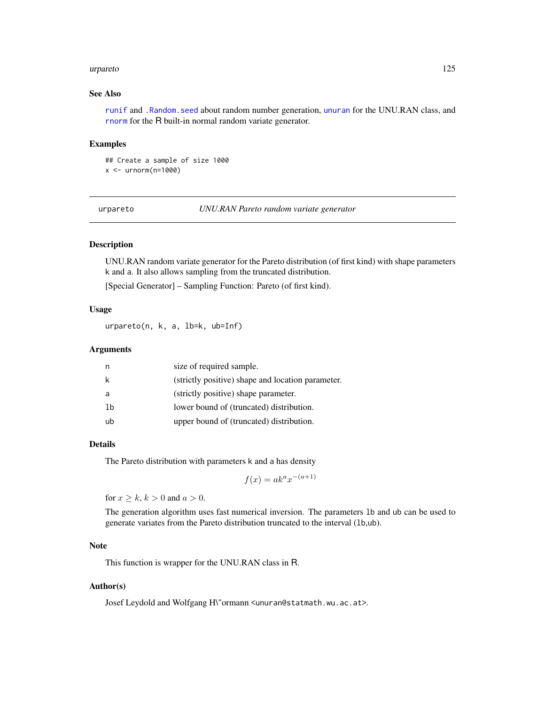#### <span id="page-124-0"></span>urpareto 125

### See Also

[runif](#page-0-0) and [.Random.seed](#page-0-0) about random number generation, [unuran](#page-74-0) for the UNU.RAN class, and [rnorm](#page-0-0) for the R built-in normal random variate generator.

#### Examples

## Create a sample of size 1000 x <- urnorm(n=1000)

urpareto *UNU.RAN Pareto random variate generator*

### Description

UNU.RAN random variate generator for the Pareto distribution (of first kind) with shape parameters k and a. It also allows sampling from the truncated distribution.

[Special Generator] – Sampling Function: Pareto (of first kind).

### Usage

urpareto(n, k, a, lb=k, ub=Inf)

#### Arguments

| n  | size of required sample.                          |
|----|---------------------------------------------------|
| k  | (strictly positive) shape and location parameter. |
| a  | (strictly positive) shape parameter.              |
| 1b | lower bound of (truncated) distribution.          |
| ub | upper bound of (truncated) distribution.          |

#### Details

The Pareto distribution with parameters k and a has density

$$
f(x) = ak^a x^{-(a+1)}
$$

for  $x \geq k, k > 0$  and  $a > 0$ .

The generation algorithm uses fast numerical inversion. The parameters lb and ub can be used to generate variates from the Pareto distribution truncated to the interval (lb,ub).

## Note

This function is wrapper for the UNU.RAN class in R.

#### Author(s)

Josef Leydold and Wolfgang H\"ormann <unuran@statmath.wu.ac.at>.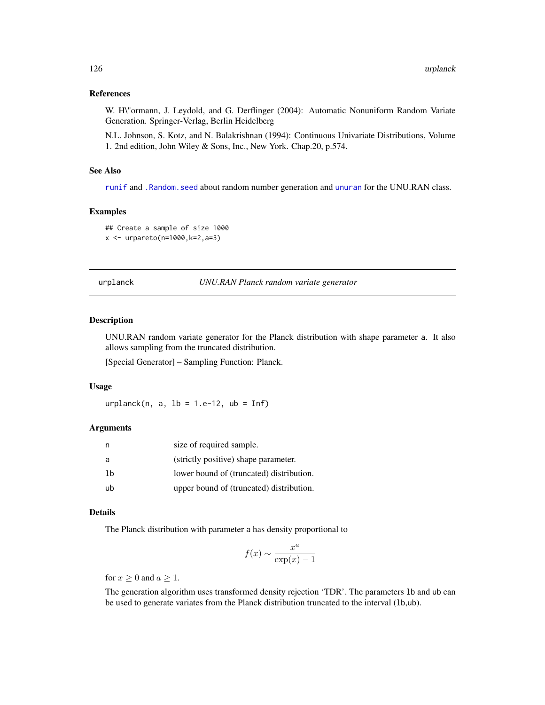### <span id="page-125-0"></span>References

W. H\"ormann, J. Leydold, and G. Derflinger (2004): Automatic Nonuniform Random Variate Generation. Springer-Verlag, Berlin Heidelberg

N.L. Johnson, S. Kotz, and N. Balakrishnan (1994): Continuous Univariate Distributions, Volume 1. 2nd edition, John Wiley & Sons, Inc., New York. Chap.20, p.574.

### See Also

[runif](#page-0-0) and [.Random.seed](#page-0-0) about random number generation and [unuran](#page-74-0) for the UNU.RAN class.

### Examples

```
## Create a sample of size 1000
x <- urpareto(n=1000,k=2,a=3)
```
urplanck *UNU.RAN Planck random variate generator*

### Description

UNU.RAN random variate generator for the Planck distribution with shape parameter a. It also allows sampling from the truncated distribution.

[Special Generator] – Sampling Function: Planck.

### Usage

urplanck(n, a,  $lb = 1.e-12$ ,  $ub = Inf$ )

#### Arguments

|    | size of required sample.                 |
|----|------------------------------------------|
| a  | (strictly positive) shape parameter.     |
| 1b | lower bound of (truncated) distribution. |
| ub | upper bound of (truncated) distribution. |

#### Details

The Planck distribution with parameter a has density proportional to

$$
f(x) \sim \frac{x^a}{\exp(x) - 1}
$$

for  $x \geq 0$  and  $a \geq 1$ .

The generation algorithm uses transformed density rejection 'TDR'. The parameters lb and ub can be used to generate variates from the Planck distribution truncated to the interval (lb,ub).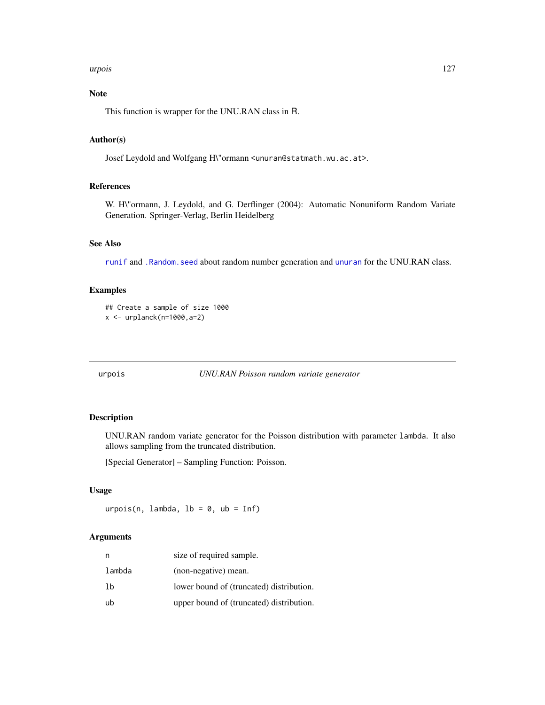#### <span id="page-126-0"></span>urpois 127

## Note

This function is wrapper for the UNU.RAN class in R.

### Author(s)

Josef Leydold and Wolfgang H\"ormann <unuran@statmath.wu.ac.at>.

### References

W. H\"ormann, J. Leydold, and G. Derflinger (2004): Automatic Nonuniform Random Variate Generation. Springer-Verlag, Berlin Heidelberg

### See Also

[runif](#page-0-0) and [.Random.seed](#page-0-0) about random number generation and [unuran](#page-74-0) for the UNU.RAN class.

### Examples

```
## Create a sample of size 1000
x <- urplanck(n=1000,a=2)
```
urpois *UNU.RAN Poisson random variate generator*

### Description

UNU.RAN random variate generator for the Poisson distribution with parameter lambda. It also allows sampling from the truncated distribution.

[Special Generator] – Sampling Function: Poisson.

### Usage

urpois(n, lambda,  $lb = 0$ ,  $ub = Inf$ )

#### Arguments

| n      | size of required sample.                 |
|--------|------------------------------------------|
| lambda | (non-negative) mean.                     |
| 1b     | lower bound of (truncated) distribution. |
| ub     | upper bound of (truncated) distribution. |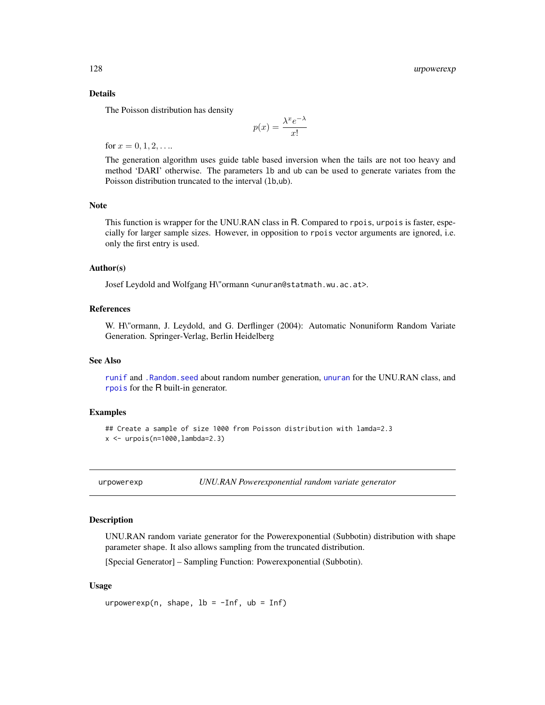### Details

The Poisson distribution has density

$$
p(x) = \frac{\lambda^x e^{-\lambda}}{x!}
$$

for  $x = 0, 1, 2, \ldots$ 

The generation algorithm uses guide table based inversion when the tails are not too heavy and method 'DARI' otherwise. The parameters lb and ub can be used to generate variates from the Poisson distribution truncated to the interval (1b,ub).

### Note

This function is wrapper for the UNU.RAN class in R. Compared to rpois, urpois is faster, especially for larger sample sizes. However, in opposition to rpois vector arguments are ignored, i.e. only the first entry is used.

#### Author(s)

Josef Leydold and Wolfgang H\"ormann <unuran@statmath.wu.ac.at>.

### References

W. H\"ormann, J. Leydold, and G. Derflinger (2004): Automatic Nonuniform Random Variate Generation. Springer-Verlag, Berlin Heidelberg

#### See Also

[runif](#page-0-0) and [.Random.seed](#page-0-0) about random number generation, [unuran](#page-74-0) for the UNU.RAN class, and [rpois](#page-0-0) for the R built-in generator.

#### Examples

```
## Create a sample of size 1000 from Poisson distribution with lamda=2.3
x \le - urpois(n=1000, lambda=2.3)
```
urpowerexp *UNU.RAN Powerexponential random variate generator*

#### **Description**

UNU.RAN random variate generator for the Powerexponential (Subbotin) distribution with shape parameter shape. It also allows sampling from the truncated distribution.

[Special Generator] – Sampling Function: Powerexponential (Subbotin).

#### Usage

urpowerexp(n, shape,  $lb = -Inf$ ,  $ub = Inf$ )

<span id="page-127-0"></span>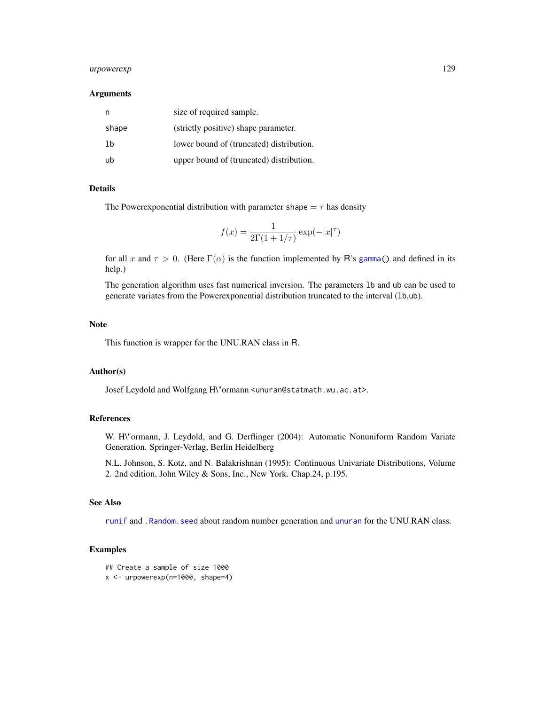### <span id="page-128-0"></span>urpowerexp 129

#### **Arguments**

| n     | size of required sample.                 |
|-------|------------------------------------------|
| shape | (strictly positive) shape parameter.     |
| 1b    | lower bound of (truncated) distribution. |
| ub    | upper bound of (truncated) distribution. |

### Details

The Powerexponential distribution with parameter shape  $=\tau$  has density

$$
f(x) = \frac{1}{2\Gamma(1+1/\tau)} \exp(-|x|^{\tau})
$$

for all x and  $\tau > 0$ . (Here  $\Gamma(\alpha)$  is the function implemented by R's [gamma\(](#page-0-0)) and defined in its help.)

The generation algorithm uses fast numerical inversion. The parameters lb and ub can be used to generate variates from the Powerexponential distribution truncated to the interval (lb,ub).

#### Note

This function is wrapper for the UNU.RAN class in R.

### Author(s)

Josef Leydold and Wolfgang H\"ormann <unuran@statmath.wu.ac.at>.

#### References

W. H\"ormann, J. Leydold, and G. Derflinger (2004): Automatic Nonuniform Random Variate Generation. Springer-Verlag, Berlin Heidelberg

N.L. Johnson, S. Kotz, and N. Balakrishnan (1995): Continuous Univariate Distributions, Volume 2. 2nd edition, John Wiley & Sons, Inc., New York. Chap.24, p.195.

### See Also

[runif](#page-0-0) and [.Random.seed](#page-0-0) about random number generation and [unuran](#page-74-0) for the UNU.RAN class.

```
## Create a sample of size 1000
x <- urpowerexp(n=1000, shape=4)
```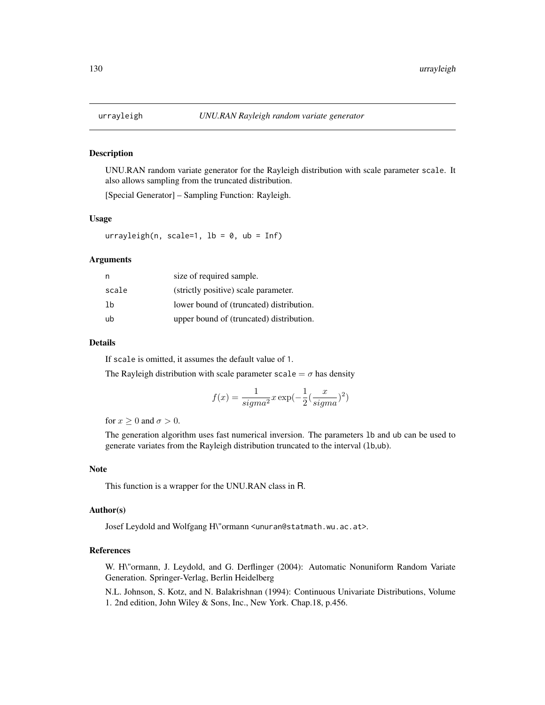#### <span id="page-129-0"></span>Description

UNU.RAN random variate generator for the Rayleigh distribution with scale parameter scale. It also allows sampling from the truncated distribution.

[Special Generator] – Sampling Function: Rayleigh.

#### Usage

urrayleigh(n, scale=1,  $lb = 0$ ,  $ub = Inf$ )

### Arguments

| n     | size of required sample.                 |
|-------|------------------------------------------|
| scale | (strictly positive) scale parameter.     |
| lb    | lower bound of (truncated) distribution. |
| ub    | upper bound of (truncated) distribution. |

### Details

If scale is omitted, it assumes the default value of 1.

The Rayleigh distribution with scale parameter scale =  $\sigma$  has density

$$
f(x)=\frac{1}{sigma^{2}}x\exp(-\frac{1}{2}(\frac{x}{sigma^{2}})^{2})
$$

for  $x \geq 0$  and  $\sigma > 0$ .

The generation algorithm uses fast numerical inversion. The parameters lb and ub can be used to generate variates from the Rayleigh distribution truncated to the interval (lb,ub).

#### Note

This function is a wrapper for the UNU.RAN class in R.

#### Author(s)

Josef Leydold and Wolfgang H\"ormann <unuran@statmath.wu.ac.at>.

### References

W. H\"ormann, J. Leydold, and G. Derflinger (2004): Automatic Nonuniform Random Variate Generation. Springer-Verlag, Berlin Heidelberg

N.L. Johnson, S. Kotz, and N. Balakrishnan (1994): Continuous Univariate Distributions, Volume 1. 2nd edition, John Wiley & Sons, Inc., New York. Chap.18, p.456.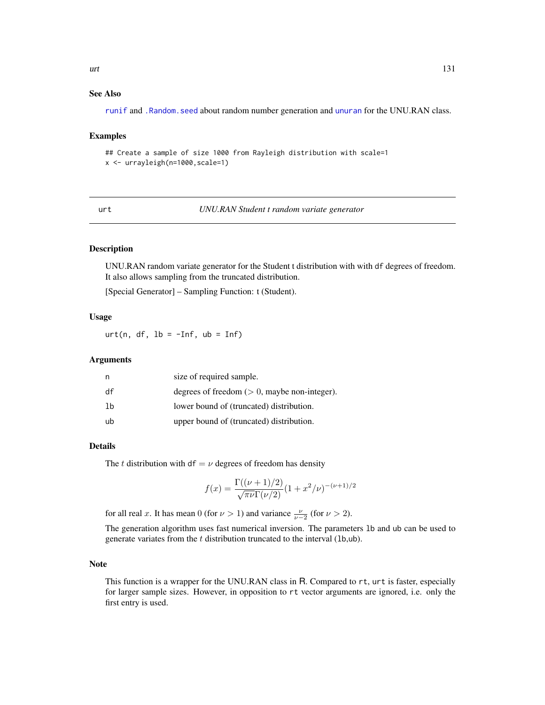### <span id="page-130-0"></span>See Also

[runif](#page-0-0) and [.Random.seed](#page-0-0) about random number generation and [unuran](#page-74-0) for the UNU.RAN class.

#### Examples

## Create a sample of size 1000 from Rayleigh distribution with scale=1 x <- urrayleigh(n=1000,scale=1)

urt *UNU.RAN Student t random variate generator*

### Description

UNU.RAN random variate generator for the Student t distribution with with df degrees of freedom. It also allows sampling from the truncated distribution.

[Special Generator] – Sampling Function: t (Student).

### Usage

urt(n, df,  $lb = -Inf$ ,  $ub = Inf$ )

### Arguments

| n  | size of required sample.                        |
|----|-------------------------------------------------|
| df | degrees of freedom $(> 0$ , maybe non-integer). |
| 1b | lower bound of (truncated) distribution.        |
| ub | upper bound of (truncated) distribution.        |

#### Details

The t distribution with df =  $\nu$  degrees of freedom has density

$$
f(x) = \frac{\Gamma((\nu+1)/2)}{\sqrt{\pi\nu}\Gamma(\nu/2)}(1+x^2/\nu)^{-(\nu+1)/2}
$$

for all real x. It has mean 0 (for  $\nu > 1$ ) and variance  $\frac{\nu}{\nu-2}$  (for  $\nu > 2$ ).

The generation algorithm uses fast numerical inversion. The parameters lb and ub can be used to generate variates from the  $t$  distribution truncated to the interval (1b,ub).

#### Note

This function is a wrapper for the UNU.RAN class in R. Compared to rt, urt is faster, especially for larger sample sizes. However, in opposition to rt vector arguments are ignored, i.e. only the first entry is used.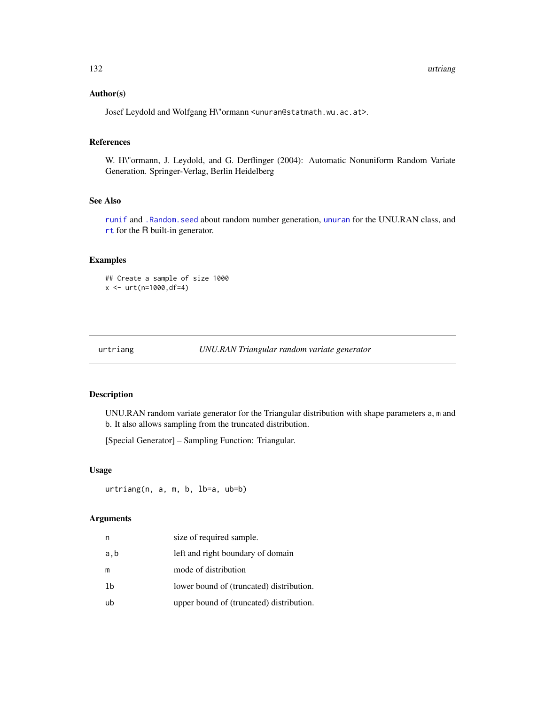### <span id="page-131-0"></span>Author(s)

Josef Leydold and Wolfgang H\"ormann <unuran@statmath.wu.ac.at>.

## References

W. H\"ormann, J. Leydold, and G. Derflinger (2004): Automatic Nonuniform Random Variate Generation. Springer-Verlag, Berlin Heidelberg

## See Also

[runif](#page-0-0) and [.Random.seed](#page-0-0) about random number generation, [unuran](#page-74-0) for the UNU.RAN class, and [rt](#page-0-0) for the R built-in generator.

### Examples

## Create a sample of size 1000  $x \le -$  urt(n=1000,df=4)

```
urtriang UNU.RAN Triangular random variate generator
```
#### Description

UNU.RAN random variate generator for the Triangular distribution with shape parameters a, m and b. It also allows sampling from the truncated distribution.

[Special Generator] – Sampling Function: Triangular.

### Usage

urtriang(n, a, m, b, lb=a, ub=b)

### Arguments

| n    | size of required sample.                 |
|------|------------------------------------------|
| a, b | left and right boundary of domain        |
| m    | mode of distribution                     |
| 1b   | lower bound of (truncated) distribution. |
| ub   | upper bound of (truncated) distribution. |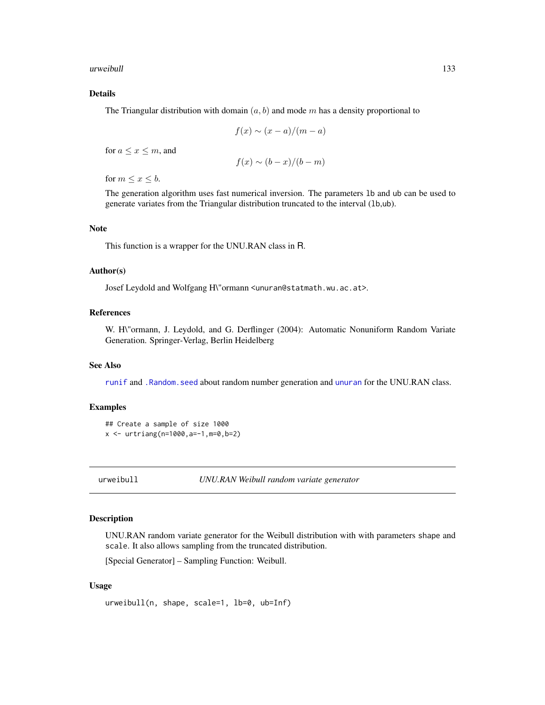<span id="page-132-0"></span>urweibull 133

### Details

The Triangular distribution with domain  $(a, b)$  and mode m has a density proportional to

$$
f(x) \sim (x - a)/(m - a)
$$

for  $a \leq x \leq m$ , and

$$
f(x) \sim (b-x)/(b-m)
$$

for  $m \leq x \leq b$ .

The generation algorithm uses fast numerical inversion. The parameters lb and ub can be used to generate variates from the Triangular distribution truncated to the interval (lb,ub).

#### Note

This function is a wrapper for the UNU.RAN class in R.

## Author(s)

Josef Leydold and Wolfgang H\"ormann <unuran@statmath.wu.ac.at>.

### References

W. H\"ormann, J. Leydold, and G. Derflinger (2004): Automatic Nonuniform Random Variate Generation. Springer-Verlag, Berlin Heidelberg

### See Also

[runif](#page-0-0) and [.Random.seed](#page-0-0) about random number generation and [unuran](#page-74-0) for the UNU.RAN class.

### Examples

```
## Create a sample of size 1000
x \le - urtriang(n=1000, a=-1, m=0, b=2)
```
urweibull *UNU.RAN Weibull random variate generator*

### Description

UNU.RAN random variate generator for the Weibull distribution with with parameters shape and scale. It also allows sampling from the truncated distribution.

[Special Generator] – Sampling Function: Weibull.

### Usage

urweibull(n, shape, scale=1, lb=0, ub=Inf)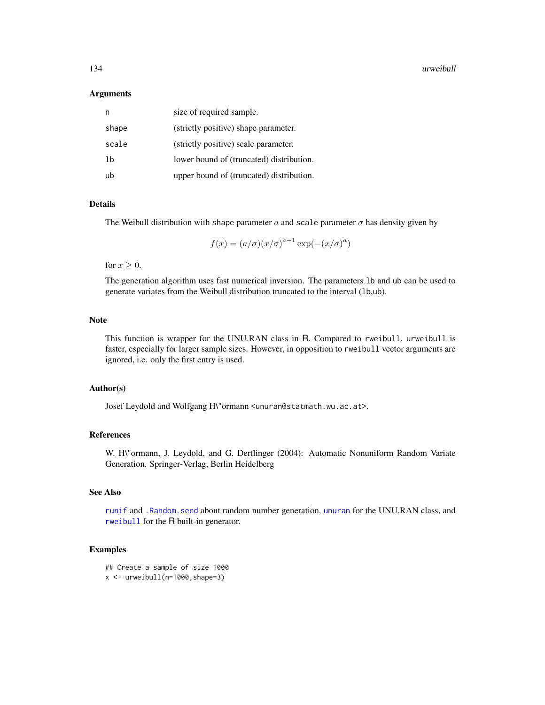#### <span id="page-133-0"></span>134 urweibull

#### Arguments

| n     | size of required sample.                 |
|-------|------------------------------------------|
| shape | (strictly positive) shape parameter.     |
| scale | (strictly positive) scale parameter.     |
| 1b    | lower bound of (truncated) distribution. |
| ub    | upper bound of (truncated) distribution. |

#### Details

The Weibull distribution with shape parameter a and scale parameter  $\sigma$  has density given by

$$
f(x) = (a/\sigma)(x/\sigma)^{a-1} \exp(-(x/\sigma)^a)
$$

for  $x \geq 0$ .

The generation algorithm uses fast numerical inversion. The parameters lb and ub can be used to generate variates from the Weibull distribution truncated to the interval (lb,ub).

### Note

This function is wrapper for the UNU.RAN class in R. Compared to rweibull, urweibull is faster, especially for larger sample sizes. However, in opposition to rweibull vector arguments are ignored, i.e. only the first entry is used.

#### Author(s)

Josef Leydold and Wolfgang H\"ormann <unuran@statmath.wu.ac.at>.

### References

W. H\"ormann, J. Leydold, and G. Derflinger (2004): Automatic Nonuniform Random Variate Generation. Springer-Verlag, Berlin Heidelberg

## See Also

[runif](#page-0-0) and [.Random.seed](#page-0-0) about random number generation, [unuran](#page-74-0) for the UNU.RAN class, and [rweibull](#page-0-0) for the R built-in generator.

```
## Create a sample of size 1000
x \leftarrow urweibull(n=1000, shape=3)
```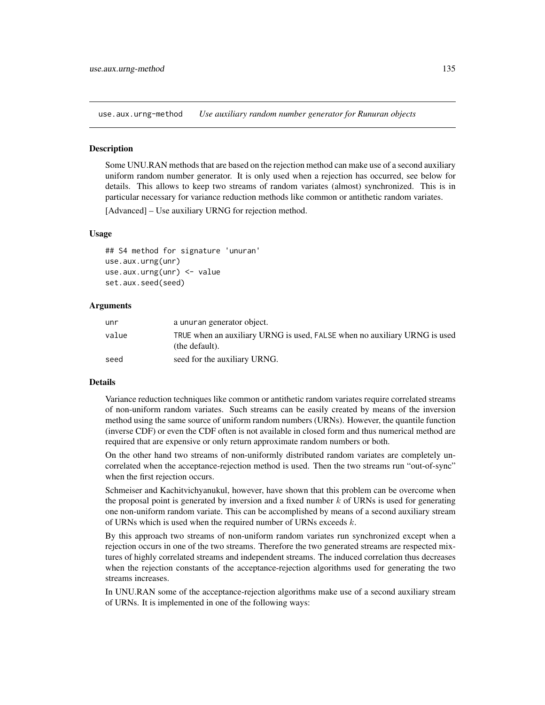<span id="page-134-0"></span>use.aux.urng-method *Use auxiliary random number generator for Runuran objects*

#### **Description**

Some UNU.RAN methods that are based on the rejection method can make use of a second auxiliary uniform random number generator. It is only used when a rejection has occurred, see below for details. This allows to keep two streams of random variates (almost) synchronized. This is in particular necessary for variance reduction methods like common or antithetic random variates.

[Advanced] – Use auxiliary URNG for rejection method.

### Usage

```
## S4 method for signature 'unuran'
use.aux.urng(unr)
use.aux.urng(unr) <- value
set.aux.seed(seed)
```
#### Arguments

| unr   | a unuran generator object.                                                                  |
|-------|---------------------------------------------------------------------------------------------|
| value | TRUE when an auxiliary URNG is used, FALSE when no auxiliary URNG is used<br>(the default). |
| seed  | seed for the auxiliary URNG.                                                                |

### Details

Variance reduction techniques like common or antithetic random variates require correlated streams of non-uniform random variates. Such streams can be easily created by means of the inversion method using the same source of uniform random numbers (URNs). However, the quantile function (inverse CDF) or even the CDF often is not available in closed form and thus numerical method are required that are expensive or only return approximate random numbers or both.

On the other hand two streams of non-uniformly distributed random variates are completely uncorrelated when the acceptance-rejection method is used. Then the two streams run "out-of-sync" when the first rejection occurs.

Schmeiser and Kachitvichyanukul, however, have shown that this problem can be overcome when the proposal point is generated by inversion and a fixed number  $k$  of URNs is used for generating one non-uniform random variate. This can be accomplished by means of a second auxiliary stream of URNs which is used when the required number of URNs exceeds  $k$ .

By this approach two streams of non-uniform random variates run synchronized except when a rejection occurs in one of the two streams. Therefore the two generated streams are respected mixtures of highly correlated streams and independent streams. The induced correlation thus decreases when the rejection constants of the acceptance-rejection algorithms used for generating the two streams increases.

In UNU.RAN some of the acceptance-rejection algorithms make use of a second auxiliary stream of URNs. It is implemented in one of the following ways: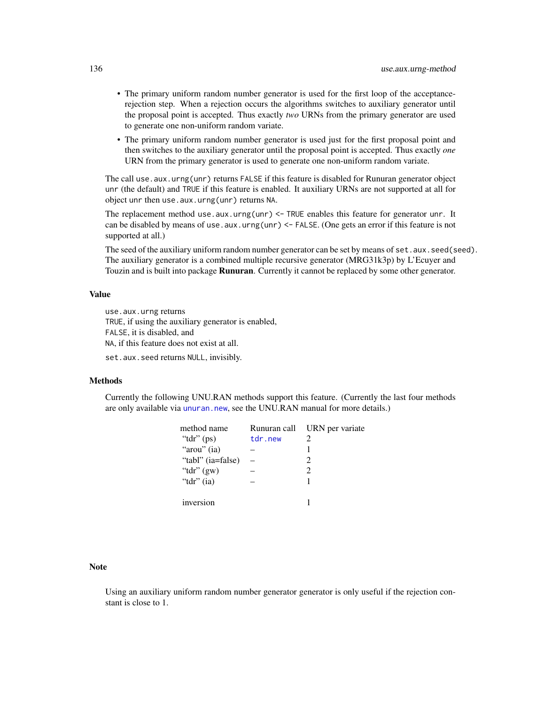- <span id="page-135-0"></span>• The primary uniform random number generator is used for the first loop of the acceptancerejection step. When a rejection occurs the algorithms switches to auxiliary generator until the proposal point is accepted. Thus exactly *two* URNs from the primary generator are used to generate one non-uniform random variate.
- The primary uniform random number generator is used just for the first proposal point and then switches to the auxiliary generator until the proposal point is accepted. Thus exactly *one* URN from the primary generator is used to generate one non-uniform random variate.

The call use.aux.urng(unr) returns FALSE if this feature is disabled for Runuran generator object unr (the default) and TRUE if this feature is enabled. It auxiliary URNs are not supported at all for object unr then use.aux.urng(unr) returns NA.

The replacement method use.aux.urng(unr) <- TRUE enables this feature for generator unr. It can be disabled by means of use.aux.urng(unr) <- FALSE. (One gets an error if this feature is not supported at all.)

The seed of the auxiliary uniform random number generator can be set by means of set. aux. seed(seed). The auxiliary generator is a combined multiple recursive generator (MRG31k3p) by L'Ecuyer and Touzin and is built into package **Runuran**. Currently it cannot be replaced by some other generator.

### Value

use.aux.urng returns TRUE, if using the auxiliary generator is enabled, FALSE, it is disabled, and NA, if this feature does not exist at all.

set.aux.seed returns NULL, invisibly.

### Methods

Currently the following UNU.RAN methods support this feature. (Currently the last four methods are only available via [unuran.new](#page-87-0), see the UNU.RAN manual for more details.)

| method name       | Runuran call | URN per variate             |
|-------------------|--------------|-----------------------------|
| " $tdr$ " (ps)    | tdr.new      | $\mathcal{D}_{\mathcal{L}}$ |
| "arou" (ia)       |              | 1                           |
| "tabl" (ia=false) |              | $\mathcal{D}_{\mathcal{L}}$ |
| "tdr" $(gw)$      |              | $\mathcal{D}_{\mathcal{A}}$ |
| "tdr" $(ia)$      |              | 1                           |
|                   |              |                             |
| inversion         |              |                             |

#### **Note**

Using an auxiliary uniform random number generator generator is only useful if the rejection constant is close to 1.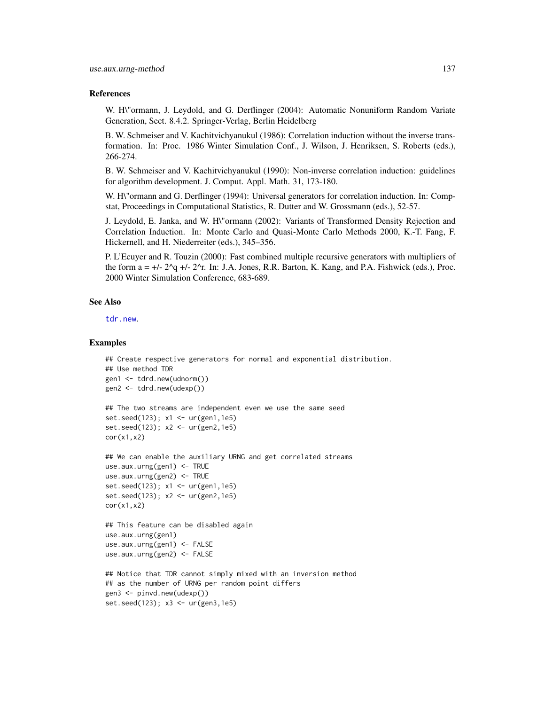#### <span id="page-136-0"></span>References

W. H\"ormann, J. Leydold, and G. Derflinger (2004): Automatic Nonuniform Random Variate Generation, Sect. 8.4.2. Springer-Verlag, Berlin Heidelberg

B. W. Schmeiser and V. Kachitvichyanukul (1986): Correlation induction without the inverse transformation. In: Proc. 1986 Winter Simulation Conf., J. Wilson, J. Henriksen, S. Roberts (eds.), 266-274.

B. W. Schmeiser and V. Kachitvichyanukul (1990): Non-inverse correlation induction: guidelines for algorithm development. J. Comput. Appl. Math. 31, 173-180.

W. H\"ormann and G. Derflinger (1994): Universal generators for correlation induction. In: Compstat, Proceedings in Computational Statistics, R. Dutter and W. Grossmann (eds.), 52-57.

J. Leydold, E. Janka, and W. H\"ormann (2002): Variants of Transformed Density Rejection and Correlation Induction. In: Monte Carlo and Quasi-Monte Carlo Methods 2000, K.-T. Fang, F. Hickernell, and H. Niederreiter (eds.), 345–356.

P. L'Ecuyer and R. Touzin (2000): Fast combined multiple recursive generators with multipliers of the form  $a = +/- 2^q +/- 2^r$ . In: J.A. Jones, R.R. Barton, K. Kang, and P.A. Fishwick (eds.), Proc. 2000 Winter Simulation Conference, 683-689.

#### See Also

[tdr.new](#page-32-0).

```
## Create respective generators for normal and exponential distribution.
## Use method TDR
gen1 <- tdrd.new(udnorm())
gen2 <- tdrd.new(udexp())
## The two streams are independent even we use the same seed
set.seed(123); x1 <- ur(gen1,1e5)
set.seed(123); x2 <- ur(gen2,1e5)
cor(x1,x2)
## We can enable the auxiliary URNG and get correlated streams
use.aux.urng(gen1) <- TRUE
use.aux.urng(gen2) <- TRUE
set.seed(123); x1 <- ur(gen1,1e5)
set.seed(123); x2 <- ur(gen2,1e5)
cor(x1,x2)
## This feature can be disabled again
use.aux.urng(gen1)
use.aux.urng(gen1) <- FALSE
use.aux.urng(gen2) <- FALSE
## Notice that TDR cannot simply mixed with an inversion method
## as the number of URNG per random point differs
gen3 <- pinvd.new(udexp())
set.seed(123); x3 <- ur(gen3,1e5)
```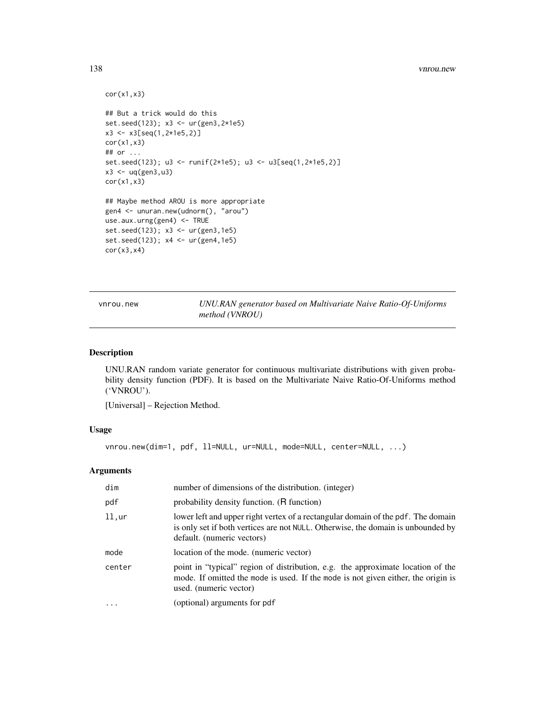#### <span id="page-137-0"></span>138 vnrou.new

```
cor(x1,x3)
## But a trick would do this
set.seed(123); x3 <- ur(gen3,2*1e5)
x3 \le x3[seq(1, 2*1e5, 2)]cor(x1,x3)
## or ...
set.seed(123); u3 <- runif(2*1e5); u3 <- u3[seq(1,2*1e5,2)]
x3 < - uq(gen3,u3)
cor(x1,x3)
## Maybe method AROU is more appropriate
gen4 <- unuran.new(udnorm(), "arou")
use.aux.urng(gen4) <- TRUE
set.seed(123); x3 <- ur(gen3,1e5)
set.seed(123); x4 <- ur(gen4,1e5)
cor(x3,x4)
```
vnrou.new *UNU.RAN generator based on Multivariate Naive Ratio-Of-Uniforms method (VNROU)*

### Description

UNU.RAN random variate generator for continuous multivariate distributions with given probability density function (PDF). It is based on the Multivariate Naive Ratio-Of-Uniforms method ('VNROU').

[Universal] – Rejection Method.

### Usage

vnrou.new(dim=1, pdf, ll=NULL, ur=NULL, mode=NULL, center=NULL, ...)

### Arguments

| dim       | number of dimensions of the distribution. (integer)                                                                                                                                                |
|-----------|----------------------------------------------------------------------------------------------------------------------------------------------------------------------------------------------------|
| pdf       | probability density function. (R function)                                                                                                                                                         |
| $11,$ ur  | lower left and upper right vertex of a rectangular domain of the pdf. The domain<br>is only set if both vertices are not NULL. Otherwise, the domain is unbounded by<br>default. (numeric vectors) |
| mode      | location of the mode. (numeric vector)                                                                                                                                                             |
| center    | point in "typical" region of distribution, e.g. the approximate location of the<br>mode. If omitted the mode is used. If the mode is not given either, the origin is<br>used. (numeric vector)     |
| $\ddotsc$ | (optional) arguments for pdf                                                                                                                                                                       |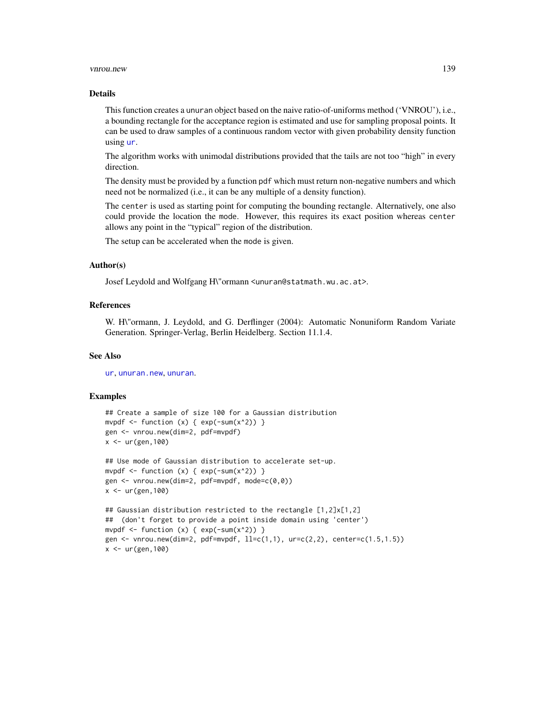#### <span id="page-138-0"></span>vnrou.new 139

#### Details

This function creates a unuran object based on the naive ratio-of-uniforms method ('VNROU'), i.e., a bounding rectangle for the acceptance region is estimated and use for sampling proposal points. It can be used to draw samples of a continuous random vector with given probability density function using [ur](#page-95-0).

The algorithm works with unimodal distributions provided that the tails are not too "high" in every direction.

The density must be provided by a function pdf which must return non-negative numbers and which need not be normalized (i.e., it can be any multiple of a density function).

The center is used as starting point for computing the bounding rectangle. Alternatively, one also could provide the location the mode. However, this requires its exact position whereas center allows any point in the "typical" region of the distribution.

The setup can be accelerated when the mode is given.

#### Author(s)

Josef Leydold and Wolfgang H\"ormann <unuran@statmath.wu.ac.at>.

#### References

W. H\"ormann, J. Leydold, and G. Derflinger (2004): Automatic Nonuniform Random Variate Generation. Springer-Verlag, Berlin Heidelberg. Section 11.1.4.

#### See Also

[ur](#page-95-0), [unuran.new](#page-87-0), [unuran](#page-74-0).

```
## Create a sample of size 100 for a Gaussian distribution
mvpdf \le function (x) { exp(-sum(x^2)) }
gen <- vnrou.new(dim=2, pdf=mvpdf)
x < -ur(gen, 100)
```

```
## Use mode of Gaussian distribution to accelerate set-up.
mvpdf \le function (x) { exp(-sum(x^2)) }
gen <- vnrou.new(dim=2, pdf=mvpdf, mode=c(0,0))
x < -ur(gen, 100)
```

```
## Gaussian distribution restricted to the rectangle [1,2]x[1,2]
## (don't forget to provide a point inside domain using 'center')
mvpdf \le function (x) { exp(-sum(x^2)) }
gen <- vnrou.new(dim=2, pdf=mvpdf, ll=c(1,1), ur=c(2,2), center=c(1.5,1.5))
x < - ur (gen, 100)
```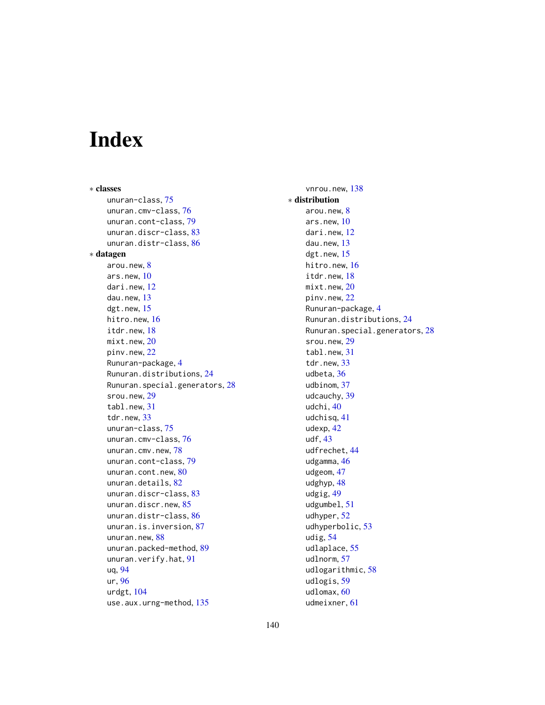# Index

∗ classes unuran-class, [75](#page-74-1) unuran.cmv-class, [76](#page-75-0) unuran.cont-class, [79](#page-78-0) unuran.discr-class, [83](#page-82-0) unuran.distr-class, [86](#page-85-0) ∗ datagen arou.new, [8](#page-7-0) ars.new, [10](#page-9-0) dari.new, [12](#page-11-0) dau.new, [13](#page-12-0) dgt.new, [15](#page-14-0) hitro.new, [16](#page-15-0) itdr.new, [18](#page-17-0) mixt.new, [20](#page-19-0) pinv.new, [22](#page-21-0) Runuran-package, [4](#page-3-0) Runuran.distributions, [24](#page-23-0) Runuran.special.generators, [28](#page-27-0) srou.new, [29](#page-28-0) tabl.new, [31](#page-30-0) tdr.new, [33](#page-32-1) unuran-class, [75](#page-74-1) unuran.cmv-class, [76](#page-75-0) unuran.cmv.new, [78](#page-77-0) unuran.cont-class, [79](#page-78-0) unuran.cont.new, [80](#page-79-0) unuran.details, [82](#page-81-0) unuran.discr-class, [83](#page-82-0) unuran.discr.new, [85](#page-84-0) unuran.distr-class, [86](#page-85-0) unuran.is.inversion, [87](#page-86-0) unuran.new, [88](#page-87-1) unuran.packed-method, [89](#page-88-0) unuran.verify.hat, [91](#page-90-0) uq, [94](#page-93-0) ur, [96](#page-95-1) urdgt, [104](#page-103-0) use.aux.urng-method, [135](#page-134-0)

vnrou.new, [138](#page-137-0) ∗ distribution arou.new, [8](#page-7-0) ars.new, [10](#page-9-0) dari.new, [12](#page-11-0) dau.new, [13](#page-12-0) dgt.new, [15](#page-14-0) hitro.new, [16](#page-15-0) itdr.new, [18](#page-17-0) mixt.new, [20](#page-19-0) pinv.new, [22](#page-21-0) Runuran-package, [4](#page-3-0) Runuran.distributions, [24](#page-23-0) Runuran.special.generators, [28](#page-27-0) srou.new, [29](#page-28-0) tabl.new, [31](#page-30-0) tdr.new, [33](#page-32-1) udbeta, [36](#page-35-0) udbinom, [37](#page-36-0) udcauchy, [39](#page-38-0) udchi, [40](#page-39-0) udchisq, [41](#page-40-0) udexp, [42](#page-41-0) udf, [43](#page-42-0) udfrechet, [44](#page-43-0) udgamma, [46](#page-45-0) udgeom, [47](#page-46-0) udghyp, [48](#page-47-0) udgig, [49](#page-48-0) udgumbel, [51](#page-50-0) udhyper, [52](#page-51-0) udhyperbolic, [53](#page-52-0) udig, [54](#page-53-0) udlaplace, [55](#page-54-0) udlnorm, [57](#page-56-0) udlogarithmic, [58](#page-57-0) udlogis, [59](#page-58-0) udlomax, [60](#page-59-0)

udmeixner, [61](#page-60-0)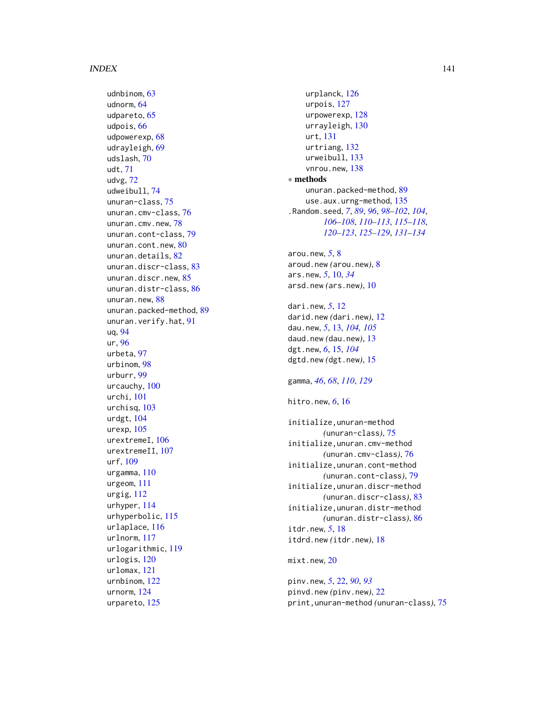udnbinom , [63](#page-62-0) udnorm , [64](#page-63-0) udpareto, [65](#page-64-0) udpois , [66](#page-65-0) udpowerexp , [68](#page-67-0) udrayleigh , [69](#page-68-0) udslash , [70](#page-69-0) udt , [71](#page-70-0) udvg , [72](#page-71-0) udweibull , [74](#page-73-0) unuran-class , [75](#page-74-1) unuran.cmv-class , [76](#page-75-0) unuran.cmv.new, [78](#page-77-0) unuran.cont-class , [79](#page-78-0) unuran.cont.new , [80](#page-79-0) unuran.details, [82](#page-81-0) unuran.discr-class , [83](#page-82-0) unuran.discr.new , [85](#page-84-0) unuran.distr-class , [86](#page-85-0) unuran.new, [88](#page-87-1) unuran.packed-method, [89](#page-88-0) unuran.verify.hat , [91](#page-90-0) uq , [94](#page-93-0) ur , [96](#page-95-1) urbeta , [97](#page-96-0) urbinom , [98](#page-97-0) urburr , [99](#page-98-0) urcauchy , [100](#page-99-0) urchi , [101](#page-100-0) urchisq , [103](#page-102-0) urdgt , [104](#page-103-0) urexp , [105](#page-104-0) urextremeI , [106](#page-105-0) urextremeII, [107](#page-106-0) urf , [109](#page-108-0) urgamma , [110](#page-109-0) urgeom , [111](#page-110-0) urgig , [112](#page-111-0) urhyper , [114](#page-113-0) urhyperbolic , [115](#page-114-0) urlaplace , [116](#page-115-0) urlnorm , [117](#page-116-0) urlogarithmic , [119](#page-118-0) urlogis , [120](#page-119-0) urlomax , [121](#page-120-0) urnbinom , [122](#page-121-0) urnorm , [124](#page-123-0) urpareto , [125](#page-124-0)

urplanck , [126](#page-125-0) urpois , [127](#page-126-0) urpowerexp , [128](#page-127-0) urrayleigh , [130](#page-129-0) urt , [131](#page-130-0) urtriang , [132](#page-131-0) urweibull , [133](#page-132-0) vnrou.new, [138](#page-137-0) ∗ methods unuran.packed-method, [89](#page-88-0) use.aux.urng-method, [135](#page-134-0) .Random.seed , *[7](#page-6-0)* , *[89](#page-88-0)* , *[96](#page-95-1)* , *[98](#page-97-0) [–102](#page-101-0)* , *[104](#page-103-0)* , *[106](#page-105-0)[–108](#page-107-0)* , *[110](#page-109-0)[–113](#page-112-0)* , *[115](#page-114-0) [–118](#page-117-0)* , *[120](#page-119-0)[–123](#page-122-0)* , *[125](#page-124-0) [–129](#page-128-0)* , *[131](#page-130-0) [–134](#page-133-0)* arou.new , *[5](#page-4-0)* , [8](#page-7-0) aroud.new *(*arou.new *)* , [8](#page-7-0) ars.new, *[5](#page-4-0)*, [10](#page-9-0), *[34](#page-33-0)* arsd.new *(*ars.new *)* , [10](#page-9-0) dari.new , *[5](#page-4-0)* , [12](#page-11-0) darid.new *(*dari.new *)* , [12](#page-11-0) dau.new , *[5](#page-4-0)* , [13](#page-12-0) , *[104](#page-103-0) , [105](#page-104-0)* daud.new *(*dau.new *)* , [13](#page-12-0) dgt.new, [6](#page-5-0), [15](#page-14-0), [104](#page-103-0) dgtd.new *(*dgt.new *)* , [15](#page-14-0) gamma , *[46](#page-45-0)* , *[68](#page-67-0)* , *[110](#page-109-0)* , *[129](#page-128-0)* hitro.new , *[6](#page-5-0)* , [16](#page-15-0) initialize,unuran-method *(*unuran-class*)*, [75](#page-74-1) initialize,unuran.cmv-method *(*unuran.cmv-class*)*, [76](#page-75-0) initialize,unuran.cont-method *(*unuran.cont-class*)*, [79](#page-78-0) initialize,unuran.discr-method *(*unuran.discr-class*)*, [83](#page-82-0) initialize,unuran.distr-method *(*unuran.distr-class*)*, [86](#page-85-0) itdr.new , *[5](#page-4-0)* , [18](#page-17-0) itdrd.new *(*itdr.new *)* , [18](#page-17-0) <code>mixt.new</code>,  $20$ pinv.new , *[5](#page-4-0)* , [22](#page-21-0) , *[90](#page-89-0)* , *[93](#page-92-0)*

pinvd.new *(*pinv.new *)* , [22](#page-21-0) print,unuran-method *(*unuran-class *)* , [75](#page-74-1)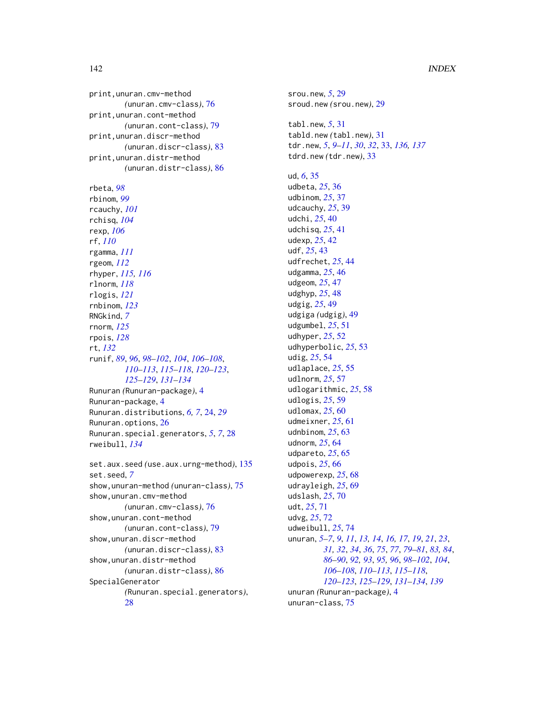### 142 INDEX

print,unuran.cmv-method *(*unuran.cmv-class*)*, [76](#page-75-0) print,unuran.cont-method *(*unuran.cont-class*)*, [79](#page-78-0) print,unuran.discr-method *(*unuran.discr-class*)*, [83](#page-82-0) print,unuran.distr-method *(*unuran.distr-class*)*, [86](#page-85-0) rbeta, *[98](#page-97-0)* rbinom, *[99](#page-98-0)* rcauchy, *[101](#page-100-0)* rchisq, *[104](#page-103-0)* rexp, *[106](#page-105-0)* rf, *[110](#page-109-0)* rgamma, *[111](#page-110-0)* rgeom, *[112](#page-111-0)* rhyper, *[115,](#page-114-0) [116](#page-115-0)* rlnorm, *[118](#page-117-0)* rlogis, *[121](#page-120-0)* rnbinom, *[123](#page-122-0)* RNGkind, *[7](#page-6-0)* rnorm, *[125](#page-124-0)* rpois, *[128](#page-127-0)* rt, *[132](#page-131-0)* runif, *[89](#page-88-0)*, *[96](#page-95-1)*, *[98](#page-97-0)[–102](#page-101-0)*, *[104](#page-103-0)*, *[106–](#page-105-0)[108](#page-107-0)*, *[110](#page-109-0)[–113](#page-112-0)*, *[115–](#page-114-0)[118](#page-117-0)*, *[120–](#page-119-0)[123](#page-122-0)*, *[125](#page-124-0)[–129](#page-128-0)*, *[131–](#page-130-0)[134](#page-133-0)* Runuran *(*Runuran-package*)*, [4](#page-3-0) Runuran-package, [4](#page-3-0) Runuran.distributions, *[6,](#page-5-0) [7](#page-6-0)*, [24,](#page-23-0) *[29](#page-28-0)* Runuran.options, [26](#page-25-0) Runuran.special.generators, *[5](#page-4-0)*, *[7](#page-6-0)*, [28](#page-27-0) rweibull, *[134](#page-133-0)* set.aux.seed *(*use.aux.urng-method*)*, [135](#page-134-0) set.seed, *[7](#page-6-0)* show,unuran-method *(*unuran-class*)*, [75](#page-74-1) show,unuran.cmv-method *(*unuran.cmv-class*)*, [76](#page-75-0) show,unuran.cont-method *(*unuran.cont-class*)*, [79](#page-78-0) show,unuran.discr-method *(*unuran.discr-class*)*, [83](#page-82-0) show,unuran.distr-method

*(*unuran.distr-class*)*, [86](#page-85-0) SpecialGenerator *(*Runuran.special.generators*)*, [28](#page-27-0)

srou.new, *[5](#page-4-0)*, [29](#page-28-0) sroud.new *(*srou.new*)*, [29](#page-28-0) tabl.new, *[5](#page-4-0)*, [31](#page-30-0) tabld.new *(*tabl.new*)*, [31](#page-30-0) tdr.new, *[5](#page-4-0)*, *[9](#page-8-0)[–11](#page-10-0)*, *[30](#page-29-0)*, *[32](#page-31-0)*, [33,](#page-32-1) *[136,](#page-135-0) [137](#page-136-0)* tdrd.new *(*tdr.new*)*, [33](#page-32-1) ud, *[6](#page-5-0)*, [35](#page-34-0) udbeta, *[25](#page-24-0)*, [36](#page-35-0) udbinom, *[25](#page-24-0)*, [37](#page-36-0) udcauchy, *[25](#page-24-0)*, [39](#page-38-0) udchi, *[25](#page-24-0)*, [40](#page-39-0) udchisq, *[25](#page-24-0)*, [41](#page-40-0) udexp, *[25](#page-24-0)*, [42](#page-41-0) udf, *[25](#page-24-0)*, [43](#page-42-0) udfrechet, *[25](#page-24-0)*, [44](#page-43-0) udgamma, *[25](#page-24-0)*, [46](#page-45-0) udgeom, *[25](#page-24-0)*, [47](#page-46-0) udghyp, *[25](#page-24-0)*, [48](#page-47-0) udgig, *[25](#page-24-0)*, [49](#page-48-0) udgiga *(*udgig*)*, [49](#page-48-0) udgumbel, *[25](#page-24-0)*, [51](#page-50-0) udhyper, *[25](#page-24-0)*, [52](#page-51-0) udhyperbolic, *[25](#page-24-0)*, [53](#page-52-0) udig, *[25](#page-24-0)*, [54](#page-53-0) udlaplace, *[25](#page-24-0)*, [55](#page-54-0) udlnorm, *[25](#page-24-0)*, [57](#page-56-0) udlogarithmic, *[25](#page-24-0)*, [58](#page-57-0) udlogis, *[25](#page-24-0)*, [59](#page-58-0) udlomax, *[25](#page-24-0)*, [60](#page-59-0) udmeixner, *[25](#page-24-0)*, [61](#page-60-0) udnbinom, *[25](#page-24-0)*, [63](#page-62-0) udnorm, *[25](#page-24-0)*, [64](#page-63-0) udpareto, *[25](#page-24-0)*, [65](#page-64-0) udpois, *[25](#page-24-0)*, [66](#page-65-0) udpowerexp, *[25](#page-24-0)*, [68](#page-67-0) udrayleigh, *[25](#page-24-0)*, [69](#page-68-0) udslash, *[25](#page-24-0)*, [70](#page-69-0) udt, *[25](#page-24-0)*, [71](#page-70-0) udvg, *[25](#page-24-0)*, [72](#page-71-0) udweibull, *[25](#page-24-0)*, [74](#page-73-0) unuran, *[5](#page-4-0)[–7](#page-6-0)*, *[9](#page-8-0)*, *[11](#page-10-0)*, *[13,](#page-12-0) [14](#page-13-0)*, *[16,](#page-15-0) [17](#page-16-0)*, *[19](#page-18-0)*, *[21](#page-20-0)*, *[23](#page-22-0)*, *[31,](#page-30-0) [32](#page-31-0)*, *[34](#page-33-0)*, *[36](#page-35-0)*, *[75](#page-74-1)*, *[77](#page-76-0)*, *[79](#page-78-0)[–81](#page-80-0)*, *[83,](#page-82-0) [84](#page-83-0)*, *[86](#page-85-0)[–90](#page-89-0)*, *[92,](#page-91-0) [93](#page-92-0)*, *[95,](#page-94-0) [96](#page-95-1)*, *[98](#page-97-0)[–102](#page-101-0)*, *[104](#page-103-0)*, *[106](#page-105-0)[–108](#page-107-0)*, *[110](#page-109-0)[–113](#page-112-0)*, *[115](#page-114-0)[–118](#page-117-0)*, *[120](#page-119-0)[–123](#page-122-0)*, *[125](#page-124-0)[–129](#page-128-0)*, *[131](#page-130-0)[–134](#page-133-0)*, *[139](#page-138-0)* unuran *(*Runuran-package*)*, [4](#page-3-0) unuran-class, [75](#page-74-1)